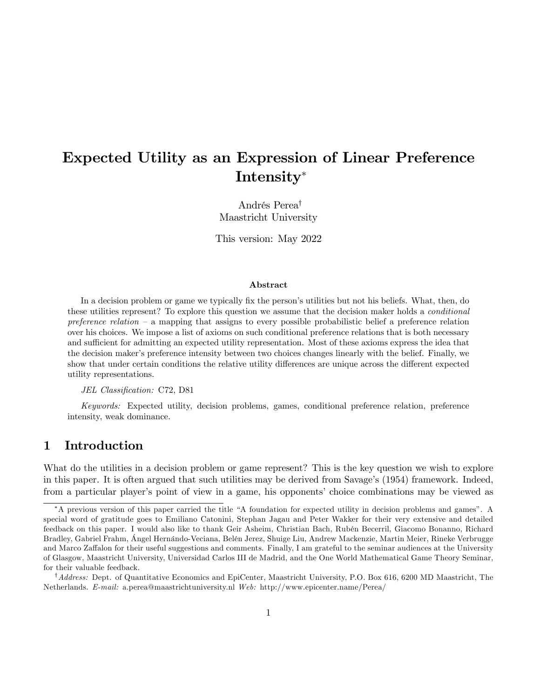# Expected Utility as an Expression of Linear Preference Intensity

Andrés Perea<sup>†</sup> Maastricht University

This version: May 2022

#### Abstract

In a decision problem or game we typically fix the person's utilities but not his beliefs. What, then, do these utilities represent? To explore this question we assume that the decision maker holds a conditional preference relation  $-$  a mapping that assigns to every possible probabilistic belief a preference relation over his choices. We impose a list of axioms on such conditional preference relations that is both necessary and sufficient for admitting an expected utility representation. Most of these axioms express the idea that the decision maker's preference intensity between two choices changes linearly with the belief. Finally, we show that under certain conditions the relative utility differences are unique across the different expected utility representations.

#### JEL Classification: C72, D81

Keywords: Expected utility, decision problems, games, conditional preference relation, preference intensity, weak dominance.

## 1 Introduction

What do the utilities in a decision problem or game represent? This is the key question we wish to explore in this paper. It is often argued that such utilities may be derived from Savage's (1954) framework. Indeed, from a particular player's point of view in a game, his opponents' choice combinations may be viewed as

<sup>\*</sup>A previous version of this paper carried the title "A foundation for expected utility in decision problems and games". A special word of gratitude goes to Emiliano Catonini, Stephan Jagau and Peter Wakker for their very extensive and detailed feedback on this paper. I would also like to thank Geir Asheim, Christian Bach, Rubén Becerril, Giacomo Bonanno, Richard Bradley, Gabriel Frahm, Ángel Hernándo-Veciana, Belén Jerez, Shuige Liu, Andrew Mackenzie, Martin Meier, Rineke Verbrugge and Marco Zaffalon for their useful suggestions and comments. Finally, I am grateful to the seminar audiences at the University of Glasgow, Maastricht University, Universidad Carlos III de Madrid, and the One World Mathematical Game Theory Seminar, for their valuable feedback.

 $^{\dagger}$ Address: Dept. of Quantitative Economics and EpiCenter, Maastricht University, P.O. Box 616, 6200 MD Maastricht, The Netherlands. E-mail: a.perea@maastrichtuniversity.nl Web: http://www.epicenter.name/Perea/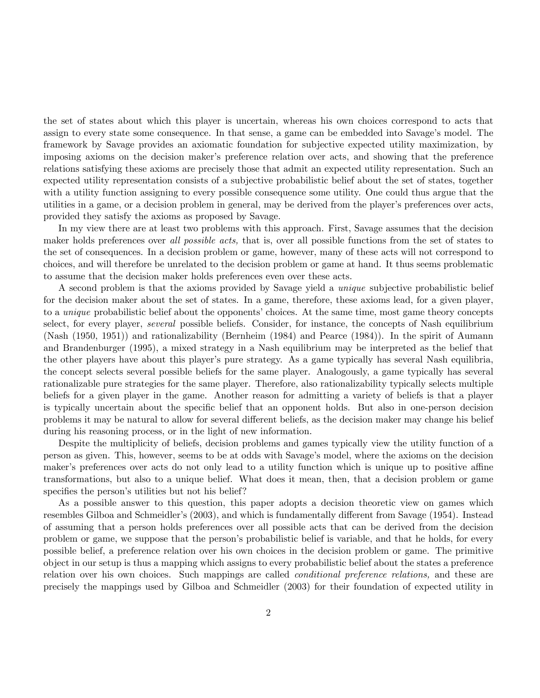the set of states about which this player is uncertain, whereas his own choices correspond to acts that assign to every state some consequence. In that sense, a game can be embedded into Savage's model. The framework by Savage provides an axiomatic foundation for subjective expected utility maximization, by imposing axioms on the decision maker's preference relation over acts, and showing that the preference relations satisfying these axioms are precisely those that admit an expected utility representation. Such an expected utility representation consists of a subjective probabilistic belief about the set of states, together with a utility function assigning to every possible consequence some utility. One could thus argue that the utilities in a game, or a decision problem in general, may be derived from the player's preferences over acts, provided they satisfy the axioms as proposed by Savage.

In my view there are at least two problems with this approach. First, Savage assumes that the decision maker holds preferences over all possible acts, that is, over all possible functions from the set of states to the set of consequences. In a decision problem or game, however, many of these acts will not correspond to choices, and will therefore be unrelated to the decision problem or game at hand. It thus seems problematic to assume that the decision maker holds preferences even over these acts.

A second problem is that the axioms provided by Savage yield a unique subjective probabilistic belief for the decision maker about the set of states. In a game, therefore, these axioms lead, for a given player, to a *unique* probabilistic belief about the opponents' choices. At the same time, most game theory concepts select, for every player, *several* possible beliefs. Consider, for instance, the concepts of Nash equilibrium (Nash (1950, 1951)) and rationalizability (Bernheim (1984) and Pearce (1984)). In the spirit of Aumann and Brandenburger (1995), a mixed strategy in a Nash equilibrium may be interpreted as the belief that the other players have about this player's pure strategy. As a game typically has several Nash equilibria, the concept selects several possible beliefs for the same player. Analogously, a game typically has several rationalizable pure strategies for the same player. Therefore, also rationalizability typically selects multiple beliefs for a given player in the game. Another reason for admitting a variety of beliefs is that a player is typically uncertain about the specific belief that an opponent holds. But also in one-person decision problems it may be natural to allow for several different beliefs, as the decision maker may change his belief during his reasoning process, or in the light of new information.

Despite the multiplicity of beliefs, decision problems and games typically view the utility function of a person as given. This, however, seems to be at odds with Savage's model, where the axioms on the decision maker's preferences over acts do not only lead to a utility function which is unique up to positive affine transformations, but also to a unique belief. What does it mean, then, that a decision problem or game specifies the person's utilities but not his belief?

As a possible answer to this question, this paper adopts a decision theoretic view on games which resembles Gilboa and Schmeidler's (2003), and which is fundamentally different from Savage (1954). Instead of assuming that a person holds preferences over all possible acts that can be derived from the decision problem or game, we suppose that the person's probabilistic belief is variable, and that he holds, for every possible belief, a preference relation over his own choices in the decision problem or game. The primitive object in our setup is thus a mapping which assigns to every probabilistic belief about the states a preference relation over his own choices. Such mappings are called conditional preference relations, and these are precisely the mappings used by Gilboa and Schmeidler (2003) for their foundation of expected utility in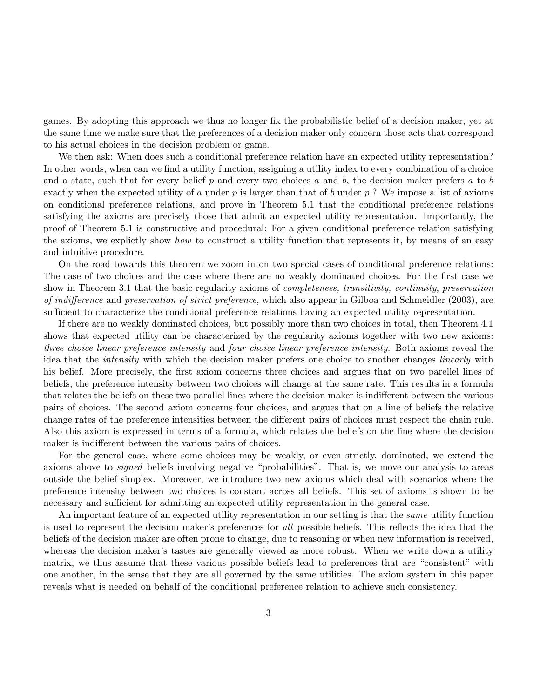games. By adopting this approach we thus no longer fix the probabilistic belief of a decision maker, yet at the same time we make sure that the preferences of a decision maker only concern those acts that correspond to his actual choices in the decision problem or game.

We then ask: When does such a conditional preference relation have an expected utility representation? In other words, when can we find a utility function, assigning a utility index to every combination of a choice and a state, such that for every belief p and every two choices a and b, the decision maker prefers a to b exactly when the expected utility of a under  $p$  is larger than that of b under  $p$ ? We impose a list of axioms on conditional preference relations, and prove in Theorem 5.1 that the conditional preference relations satisfying the axioms are precisely those that admit an expected utility representation. Importantly, the proof of Theorem 5.1 is constructive and procedural: For a given conditional preference relation satisfying the axioms, we explictly show how to construct a utility function that represents it, by means of an easy and intuitive procedure.

On the road towards this theorem we zoom in on two special cases of conditional preference relations: The case of two choices and the case where there are no weakly dominated choices. For the first case we show in Theorem 3.1 that the basic regularity axioms of completeness, transitivity, continuity, preservation of indifference and preservation of strict preference, which also appear in Gilboa and Schmeidler (2003), are sufficient to characterize the conditional preference relations having an expected utility representation.

If there are no weakly dominated choices, but possibly more than two choices in total, then Theorem 4.1 shows that expected utility can be characterized by the regularity axioms together with two new axioms: three choice linear preference intensity and four choice linear preference intensity. Both axioms reveal the idea that the intensity with which the decision maker prefers one choice to another changes linearly with his belief. More precisely, the first axiom concerns three choices and argues that on two parellel lines of beliefs, the preference intensity between two choices will change at the same rate. This results in a formula that relates the beliefs on these two parallel lines where the decision maker is indifferent between the various pairs of choices. The second axiom concerns four choices, and argues that on a line of beliefs the relative change rates of the preference intensities between the different pairs of choices must respect the chain rule. Also this axiom is expressed in terms of a formula, which relates the beliefs on the line where the decision maker is indifferent between the various pairs of choices.

For the general case, where some choices may be weakly, or even strictly, dominated, we extend the axioms above to *signed* beliefs involving negative "probabilities". That is, we move our analysis to areas outside the belief simplex. Moreover, we introduce two new axioms which deal with scenarios where the preference intensity between two choices is constant across all beliefs. This set of axioms is shown to be necessary and sufficient for admitting an expected utility representation in the general case.

An important feature of an expected utility representation in our setting is that the same utility function is used to represent the decision maker's preferences for all possible beliefs. This reflects the idea that the beliefs of the decision maker are often prone to change, due to reasoning or when new information is received, whereas the decision maker's tastes are generally viewed as more robust. When we write down a utility matrix, we thus assume that these various possible beliefs lead to preferences that are "consistent" with one another, in the sense that they are all governed by the same utilities. The axiom system in this paper reveals what is needed on behalf of the conditional preference relation to achieve such consistency.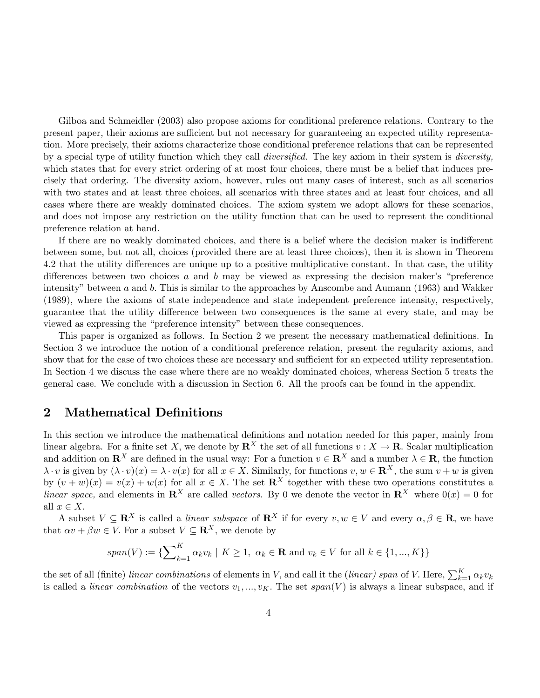Gilboa and Schmeidler (2003) also propose axioms for conditional preference relations. Contrary to the present paper, their axioms are sufficient but not necessary for guaranteeing an expected utility representation. More precisely, their axioms characterize those conditional preference relations that can be represented by a special type of utility function which they call *diversified*. The key axiom in their system is *diversity*, which states that for every strict ordering of at most four choices, there must be a belief that induces precisely that ordering. The diversity axiom, however, rules out many cases of interest, such as all scenarios with two states and at least three choices, all scenarios with three states and at least four choices, and all cases where there are weakly dominated choices. The axiom system we adopt allows for these scenarios, and does not impose any restriction on the utility function that can be used to represent the conditional preference relation at hand.

If there are no weakly dominated choices, and there is a belief where the decision maker is indifferent between some, but not all, choices (provided there are at least three choices), then it is shown in Theorem 4.2 that the utility differences are unique up to a positive multiplicative constant. In that case, the utility differences between two choices  $a$  and  $b$  may be viewed as expressing the decision maker's "preference intensity" between a and b. This is similar to the approaches by Anscombe and Aumann (1963) and Wakker (1989), where the axioms of state independence and state independent preference intensity, respectively, guarantee that the utility difference between two consequences is the same at every state, and may be viewed as expressing the "preference intensity" between these consequences.

This paper is organized as follows. In Section 2 we present the necessary mathematical definitions. In Section 3 we introduce the notion of a conditional preference relation, present the regularity axioms, and show that for the case of two choices these are necessary and sufficient for an expected utility representation. In Section 4 we discuss the case where there are no weakly dominated choices, whereas Section 5 treats the general case. We conclude with a discussion in Section 6. All the proofs can be found in the appendix.

## 2 Mathematical Definitions

In this section we introduce the mathematical definitions and notation needed for this paper, mainly from linear algebra. For a finite set X, we denote by  $\mathbb{R}^X$  the set of all functions  $v : X \to \mathbb{R}$ . Scalar multiplication and addition on  $\mathbb{R}^X$  are defined in the usual way: For a function  $v \in \mathbb{R}^X$  and a number  $\lambda \in \mathbb{R}$ , the function  $\lambda \cdot v$  is given by  $(\lambda \cdot v)(x) = \lambda \cdot v(x)$  for all  $x \in X$ . Similarly, for functions  $v, w \in \mathbb{R}^X$ , the sum  $v + w$  is given by  $(v + w)(x) = v(x) + w(x)$  for all  $x \in X$ . The set  $\mathbb{R}^X$  together with these two operations constitutes a linear space, and elements in  $\mathbb{R}^X$  are called vectors. By 0 we denote the vector in  $\mathbb{R}^X$  where  $0(x) = 0$  for all  $x \in X$ .

A subset  $V \subseteq \mathbb{R}^X$  is called a *linear subspace* of  $\mathbb{R}^X$  if for every  $v, w \in V$  and every  $\alpha, \beta \in \mathbb{R}$ , we have that  $\alpha v + \beta w \in V$ . For a subset  $V \subseteq \mathbb{R}^{X}$ , we denote by

$$
span(V) := \{ \sum_{k=1}^{K} \alpha_k v_k \mid K \ge 1, \ \alpha_k \in \mathbf{R} \text{ and } v_k \in V \text{ for all } k \in \{1, ..., K\} \}
$$

the set of all (finite) linear combinations of elements in V, and call it the (linear) span of V. Here,  $\sum_{k=1}^{K} \alpha_k v_k$ is called a *linear combination* of the vectors  $v_1, ..., v_K$ . The set span(V) is always a linear subspace, and if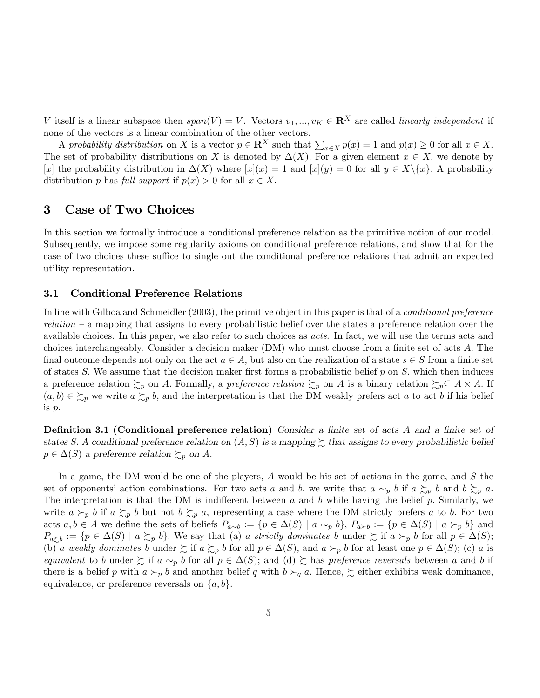V itself is a linear subspace then  $span(V) = V$ . Vectors  $v_1, ..., v_K \in \mathbb{R}^X$  are called linearly independent if none of the vectors is a linear combination of the other vectors.

A probability distribution on X is a vector  $p \in \mathbb{R}^X$  such that  $\sum_{x \in X} p(x) = 1$  and  $p(x) \ge 0$  for all  $x \in X$ . The set of probability distributions on X is denoted by  $\Delta(X)$ . For a given element  $x \in X$ , we denote by [x] the probability distribution in  $\Delta(X)$  where  $[x](x) = 1$  and  $[x](y) = 0$  for all  $y \in X \setminus \{x\}$ . A probability distribution p has full support if  $p(x) > 0$  for all  $x \in X$ .

## 3 Case of Two Choices

In this section we formally introduce a conditional preference relation as the primitive notion of our model. Subsequently, we impose some regularity axioms on conditional preference relations, and show that for the case of two choices these suffice to single out the conditional preference relations that admit an expected utility representation.

## 3.1 Conditional Preference Relations

In line with Gilboa and Schmeidler (2003), the primitive object in this paper is that of a *conditional preference*  $relation - a$  mapping that assigns to every probabilistic belief over the states a preference relation over the available choices. In this paper, we also refer to such choices as acts. In fact, we will use the terms acts and choices interchangeably. Consider a decision maker  $(DM)$  who must choose from a finite set of acts  $A$ . The final outcome depends not only on the act  $a \in A$ , but also on the realization of a state  $s \in S$  from a finite set of states S. We assume that the decision maker first forms a probabilistic belief  $p$  on S, which then induces a preference relation  $\succsim_p$  on A. Formally, a *preference relation*  $\succsim_p$  on A is a binary relation  $\succsim_p \subseteq A \times A$ . If  $(a, b) \in \Sigma_p$  we write  $a \Sigma_p b$ , and the interpretation is that the DM weakly prefers act a to act b if his belief is p:

**Definition 3.1 (Conditional preference relation)** Consider a finite set of acts A and a finite set of states S. A conditional preference relation on  $(A, S)$  is a mapping  $\succeq$  that assigns to every probabilistic belief  $p \in \Delta(S)$  a preference relation  $\succsim_{p}$  on A.

In a game, the DM would be one of the players, A would be his set of actions in the game, and S the set of opponents' action combinations. For two acts a and b, we write that  $a \sim_p b$  if  $a \succsim_p b$  and  $b \succsim_p a$ . The interpretation is that the DM is indifferent between a and b while having the belief p. Similarly, we write  $a \succ_p b$  if  $a \succ_p b$  but not  $b \succsim_p a$ , representing a case where the DM strictly prefers a to b. For two acts  $a, b \in A$  we define the sets of beliefs  $P_{a\sim b} := \{p \in \Delta(S) \mid a \sim_p b\}$ ,  $P_{a \succ b} := \{p \in \Delta(S) \mid a \succ_p b\}$  and  $P_{a \succeq b} := \{ p \in \Delta(S) \mid a \succsim_p b \}.$  We say that (a) a strictly dominates b under  $\succeq$  if  $a \succ_p b$  for all  $p \in \Delta(S)$ ; (b) a weakly dominates b under  $\succsim$  if  $a \succsim_p b$  for all  $p \in \Delta(S)$ , and  $a \succ_p b$  for at least one  $p \in \Delta(S)$ ; (c) a is equivalent to b under  $\gtrsim$  if a  $\sim_p b$  for all  $p \in \Delta(S)$ ; and (d)  $\gtrsim$  has preference reversals between a and b if there is a belief p with  $a \succ_p b$  and another belief q with  $b \succ_q a$ . Hence,  $\succsim$  either exhibits weak dominance, equivalence, or preference reversals on  $\{a, b\}.$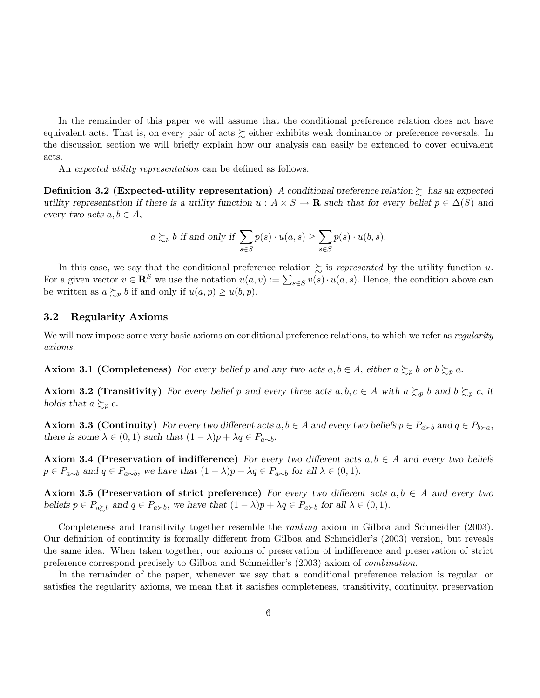In the remainder of this paper we will assume that the conditional preference relation does not have equivalent acts. That is, on every pair of acts  $\succsim$  either exhibits weak dominance or preference reversals. In the discussion section we will briefly explain how our analysis can easily be extended to cover equivalent acts.

An expected utility representation can be defined as follows.

**Definition 3.2 (Expected-utility representation)** A conditional preference relation  $\gtrsim$  has an expected utility representation if there is a utility function  $u : A \times S \to \mathbf{R}$  such that for every belief  $p \in \Delta(S)$  and every two acts  $a, b \in A$ ;

$$
a \succsim_{p} b
$$
 if and only if  $\sum_{s \in S} p(s) \cdot u(a, s) \ge \sum_{s \in S} p(s) \cdot u(b, s)$ .

In this case, we say that the conditional preference relation  $\sum$  is *represented* by the utility function u. For a given vector  $v \in \mathbb{R}^S$  we use the notation  $u(a, v) := \sum_{s \in S} v(s) \cdot u(a, s)$ . Hence, the condition above can be written as  $a \succsim_{p} b$  if and only if  $u(a, p) \geq u(b, p)$ .

## 3.2 Regularity Axioms

We will now impose some very basic axioms on conditional preference relations, to which we refer as *regularity* axioms.

**Axiom 3.1 (Completeness)** For every belief p and any two acts  $a, b \in A$ , either  $a \succsim_{p} b$  or  $b \succsim_{p} a$ .

**Axiom 3.2 (Transitivity)** For every belief p and every three acts  $a, b, c \in A$  with  $a \succsim_{p} b$  and  $b \succsim_{p} c$ , it holds that  $a \succsim_{p} c$ .

**Axiom 3.3 (Continuity)** For every two different acts  $a, b \in A$  and every two beliefs  $p \in P_{a \succ b}$  and  $q \in P_{b \succ a}$ ; there is some  $\lambda \in (0, 1)$  such that  $(1 - \lambda)p + \lambda q \in P_{a \sim b}$ .

Axiom 3.4 (Preservation of indifference) For every two different acts  $a, b \in A$  and every two beliefs  $p \in P_{a \sim b}$  and  $q \in P_{a \sim b}$ , we have that  $(1 - \lambda)p + \lambda q \in P_{a \sim b}$  for all  $\lambda \in (0, 1)$ .

Axiom 3.5 (Preservation of strict preference) For every two different acts  $a, b \in A$  and every two beliefs  $p \in P_{a \succeq b}$  and  $q \in P_{a \succ b}$ , we have that  $(1 - \lambda)p + \lambda q \in P_{a \succ b}$  for all  $\lambda \in (0, 1)$ .

Completeness and transitivity together resemble the ranking axiom in Gilboa and Schmeidler (2003). Our definition of continuity is formally different from Gilboa and Schmeidler's (2003) version, but reveals the same idea. When taken together, our axioms of preservation of indifference and preservation of strict preference correspond precisely to Gilboa and Schmeidler's (2003) axiom of *combination*.

In the remainder of the paper, whenever we say that a conditional preference relation is regular, or satisfies the regularity axioms, we mean that it satisfies completeness, transitivity, continuity, preservation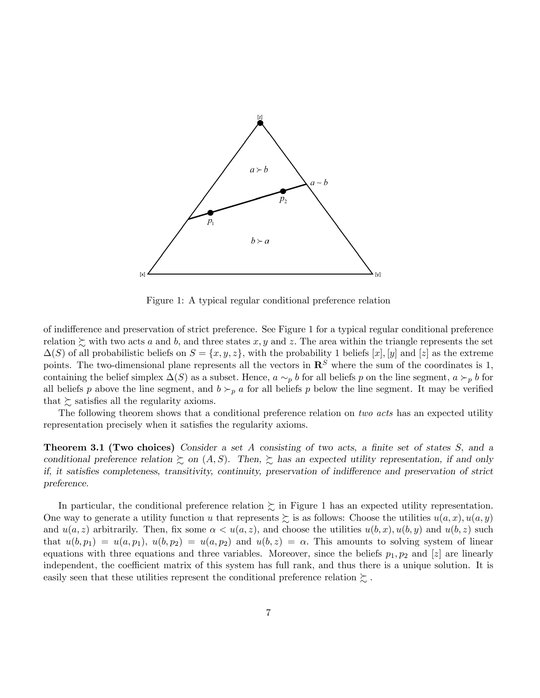

Figure 1: A typical regular conditional preference relation

of indifference and preservation of strict preference. See Figure 1 for a typical regular conditional preference relation  $\gtrsim$  with two acts a and b, and three states x, y and z. The area within the triangle represents the set  $\Delta(S)$  of all probabilistic beliefs on  $S = \{x, y, z\}$ , with the probability 1 beliefs [x], [y] and [z] as the extreme points. The two-dimensional plane represents all the vectors in  $\mathbb{R}^S$  where the sum of the coordinates is 1, containing the belief simplex  $\Delta(S)$  as a subset. Hence,  $a \sim_p b$  for all beliefs p on the line segment,  $a \succ_p b$  for all beliefs p above the line segment, and  $b \succ_p a$  for all beliefs p below the line segment. It may be verified that  $\succeq$  satisfies all the regularity axioms.

The following theorem shows that a conditional preference relation on two acts has an expected utility representation precisely when it satisfies the regularity axioms.

**Theorem 3.1 (Two choices)** Consider a set A consisting of two acts, a finite set of states  $S$ , and a conditional preference relation  $\gtrsim$  on  $(A, S)$ . Then,  $\gtrsim$  has an expected utility representation, if and only if, it satisfies completeness, transitivity, continuity, preservation of indifference and preservation of strict preference.

In particular, the conditional preference relation  $\succeq$  in Figure 1 has an expected utility representation. One way to generate a utility function u that represents  $\gtrsim$  is as follows: Choose the utilities  $u(a, x), u(a, y)$ and  $u(a, z)$  arbitrarily. Then, fix some  $\alpha < u(a, z)$ , and choose the utilities  $u(b, x), u(b, y)$  and  $u(b, z)$  such that  $u(b, p_1) = u(a, p_1), u(b, p_2) = u(a, p_2)$  and  $u(b, z) = \alpha$ . This amounts to solving system of linear equations with three equations and three variables. Moreover, since the beliefs  $p_1, p_2$  and [z] are linearly independent, the coefficient matrix of this system has full rank, and thus there is a unique solution. It is easily seen that these utilities represent the conditional preference relation  $\succsim$ .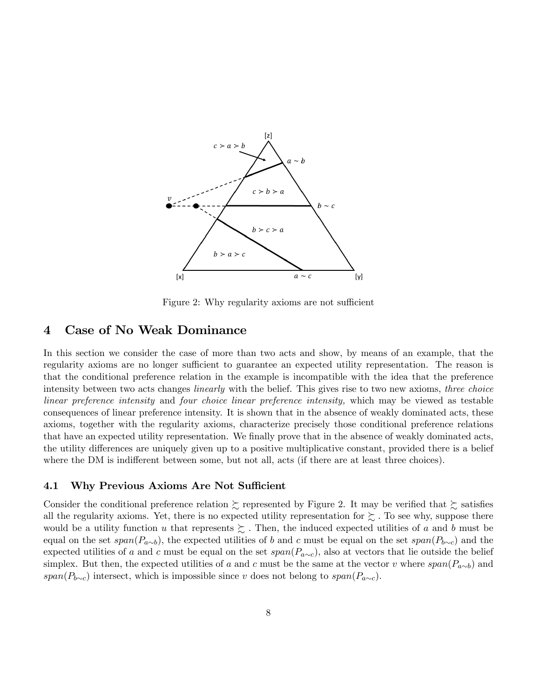

Figure 2: Why regularity axioms are not sufficient

## 4 Case of No Weak Dominance

In this section we consider the case of more than two acts and show, by means of an example, that the regularity axioms are no longer sufficient to guarantee an expected utility representation. The reason is that the conditional preference relation in the example is incompatible with the idea that the preference intensity between two acts changes *linearly* with the belief. This gives rise to two new axioms, *three choice* linear preference intensity and four choice linear preference intensity, which may be viewed as testable consequences of linear preference intensity. It is shown that in the absence of weakly dominated acts, these axioms, together with the regularity axioms, characterize precisely those conditional preference relations that have an expected utility representation. We finally prove that in the absence of weakly dominated acts, the utility differences are uniquely given up to a positive multiplicative constant, provided there is a belief where the DM is indifferent between some, but not all, acts (if there are at least three choices).

## 4.1 Why Previous Axioms Are Not Sufficient

Consider the conditional preference relation  $\succeq$  represented by Figure 2. It may be verified that  $\succeq$  satisfies all the regularity axioms. Yet, there is no expected utility representation for  $\succsim$  . To see why, suppose there would be a utility function u that represents  $\gtrsim$ . Then, the induced expected utilities of a and b must be equal on the set  $span(P_{a\sim b})$ , the expected utilities of b and c must be equal on the set  $span(P_{b\sim c})$  and the expected utilities of a and c must be equal on the set  $span(P_{a\sim c})$ , also at vectors that lie outside the belief simplex. But then, the expected utilities of a and c must be the same at the vector v where  $span(P_{a\sim b})$  and  $span(P_{b\sim c})$  intersect, which is impossible since v does not belong to  $span(P_{a\sim c})$ .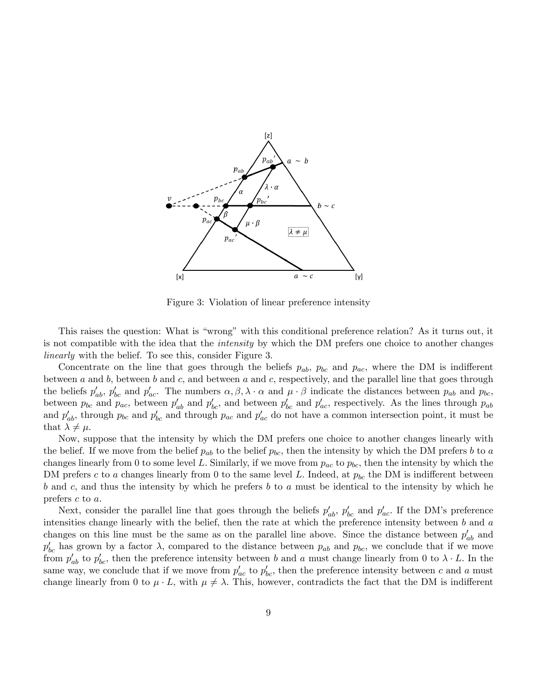

Figure 3: Violation of linear preference intensity

This raises the question: What is "wrong" with this conditional preference relation? As it turns out, it is not compatible with the idea that the intensity by which the DM prefers one choice to another changes linearly with the belief. To see this, consider Figure 3.

Concentrate on the line that goes through the beliefs  $p_{ab}$ ,  $p_{bc}$  and  $p_{ac}$ , where the DM is indifferent between  $a$  and  $b$ , between  $b$  and  $c$ , and between  $a$  and  $c$ , respectively, and the parallel line that goes through the beliefs  $p'_{ab}$ ,  $p'_{bc}$  and  $p'_{ac}$ . The numbers  $\alpha, \beta, \lambda \cdot \alpha$  and  $\mu \cdot \beta$  indicate the distances between  $p_{ab}$  and  $p_{bc}$ , between  $p_{bc}$  and  $p_{ac}$ , between  $p'_{ab}$  and  $p'_{bc}$ , and between  $p'_{bc}$  and  $p'_{ac}$ , respectively. As the lines through  $p_{ab}$ and  $p'_{ab}$ , through  $p_{bc}$  and  $p'_{bc}$  and through  $p_{ac}$  and  $p'_{ac}$  do not have a common intersection point, it must be that  $\lambda \neq \mu$ .

Now, suppose that the intensity by which the DM prefers one choice to another changes linearly with the belief. If we move from the belief  $p_{ab}$  to the belief  $p_{bc}$ , then the intensity by which the DM prefers b to a changes linearly from 0 to some level L. Similarly, if we move from  $p_{ac}$  to  $p_{bc}$ , then the intensity by which the DM prefers c to a changes linearly from 0 to the same level L. Indeed, at  $p_{bc}$  the DM is indifferent between b and c, and thus the intensity by which he prefers b to a must be identical to the intensity by which he prefers  $c$  to  $a$ .

Next, consider the parallel line that goes through the beliefs  $p'_{ab}$ ,  $p'_{bc}$  and  $p'_{ac}$ . If the DM's preference intensities change linearly with the belief, then the rate at which the preference intensity between b and a changes on this line must be the same as on the parallel line above. Since the distance between  $p'_{ab}$  and  $p'_{bc}$  has grown by a factor  $\lambda$ , compared to the distance between  $p_{ab}$  and  $p_{bc}$ , we conclude that if we move from  $p'_{ab}$  to  $p'_{bc}$ , then the preference intensity between b and a must change linearly from 0 to  $\lambda \cdot L$ . In the same way, we conclude that if we move from  $p'_{ac}$  to  $p'_{bc}$ , then the preference intensity between c and a must change linearly from 0 to  $\mu \cdot L$ , with  $\mu \neq \lambda$ . This, however, contradicts the fact that the DM is indifferent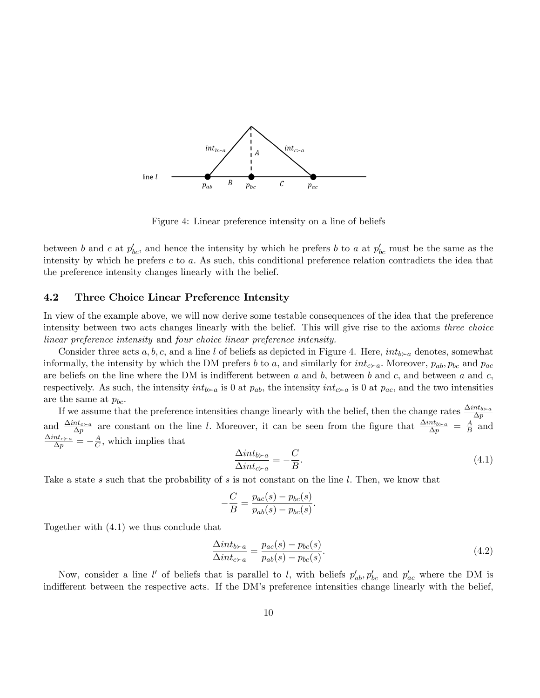

Figure 4: Linear preference intensity on a line of beliefs

between b and c at  $p'_{bc}$ , and hence the intensity by which he prefers b to a at  $p'_{bc}$  must be the same as the intensity by which he prefers c to a: As such, this conditional preference relation contradicts the idea that the preference intensity changes linearly with the belief.

### 4.2 Three Choice Linear Preference Intensity

In view of the example above, we will now derive some testable consequences of the idea that the preference intensity between two acts changes linearly with the belief. This will give rise to the axioms three choice linear preference intensity and four choice linear preference intensity.

Consider three acts a, b, c, and a line l of beliefs as depicted in Figure 4. Here,  $int_{b\sim a}$  denotes, somewhat informally, the intensity by which the DM prefers b to a, and similarly for  $int_{c-a}$ . Moreover,  $p_{ab}$ ,  $p_{bc}$  and  $p_{ac}$ are beliefs on the line where the DM is indifferent between a and b, between b and c, and between a and c, respectively. As such, the intensity  $int_{b\geq a}$  is 0 at  $p_{ab}$ , the intensity  $int_{c\geq a}$  is 0 at  $p_{ac}$ , and the two intensities are the same at  $p_{bc}$ .

If we assume that the preference intensities change linearly with the belief, then the change rates  $\frac{\Delta int_{b \succ a}}{\Delta p}$ and  $\frac{\Delta int_{c-a}}{\Delta p}$  are constant on the line l. Moreover, it can be seen from the figure that  $\frac{\Delta int_{b-a}}{\Delta p} = \frac{A}{B}$  $\frac{A}{B}$  and  $\frac{\Delta int_{c \succ a}}{\Delta p} = -\frac{A}{C}$  $\frac{A}{C}$ , which implies that

$$
\frac{\Delta int_{b \succ a}}{\Delta int_{c \succ a}} = -\frac{C}{B}.\tag{4.1}
$$

Take a state s such that the probability of s is not constant on the line l. Then, we know that

$$
-\frac{C}{B} = \frac{p_{ac}(s) - p_{bc}(s)}{p_{ab}(s) - p_{bc}(s)}.
$$

Together with (4.1) we thus conclude that

$$
\frac{\Delta int_{b \succ a}}{\Delta int_{c \succ a}} = \frac{p_{ac}(s) - p_{bc}(s)}{p_{ab}(s) - p_{bc}(s)}.\tag{4.2}
$$

Now, consider a line l' of beliefs that is parallel to l, with beliefs  $p'_{ab}, p'_{bc}$  and  $p'_{ac}$  where the DM is indifferent between the respective acts. If the DM's preference intensities change linearly with the belief,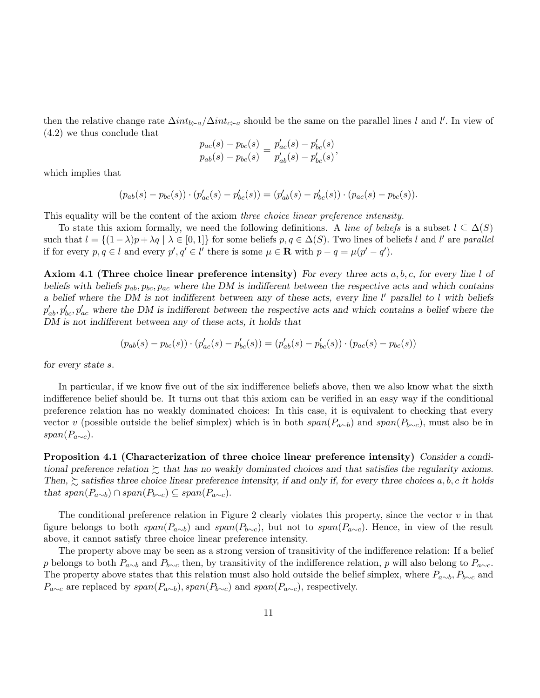then the relative change rate  $\Delta int_{b\approx a}/\Delta int_{c\approx a}$  should be the same on the parallel lines l and l'. In view of (4.2) we thus conclude that

$$
\frac{p_{ac}(s) - p_{bc}(s)}{p_{ab}(s) - p_{bc}(s)} = \frac{p'_{ac}(s) - p'_{bc}(s)}{p'_{ab}(s) - p'_{bc}(s)},
$$

which implies that

$$
(p_{ab}(s) - p_{bc}(s)) \cdot (p'_{ac}(s) - p'_{bc}(s)) = (p'_{ab}(s) - p'_{bc}(s)) \cdot (p_{ac}(s) - p_{bc}(s)).
$$

This equality will be the content of the axiom three choice linear preference intensity.

To state this axiom formally, we need the following definitions. A line of beliefs is a subset  $l \subseteq \Delta(S)$ such that  $l = \{(1 - \lambda)p + \lambda q \mid \lambda \in [0, 1]\}$  for some beliefs  $p, q \in \Delta(S)$ . Two lines of beliefs l and l' are parallel if for every  $p, q \in l$  and every  $p', q' \in l'$  there is some  $\mu \in \mathbf{R}$  with  $p - q = \mu(p' - q')$ .

**Axiom 4.1 (Three choice linear preference intensity)** For every three acts  $a, b, c$ , for every line l of beliefs with beliefs  $p_{ab}$ ,  $p_{bc}$ ,  $p_{ac}$  where the DM is indifferent between the respective acts and which contains a belief where the DM is not indifferent between any of these acts, every line  $l'$  parallel to l with beliefs  $p'_{ab}, p'_{bc}, p'_{ac}$  where the DM is indifferent between the respective acts and which contains a belief where the DM is not indifferent between any of these acts, it holds that

$$
(p_{ab}(s) - p_{bc}(s)) \cdot (p'_{ac}(s) - p'_{bc}(s)) = (p'_{ab}(s) - p'_{bc}(s)) \cdot (p_{ac}(s) - p_{bc}(s))
$$

for every state s.

In particular, if we know five out of the six indifference beliefs above, then we also know what the sixth indifference belief should be. It turns out that this axiom can be verified in an easy way if the conditional preference relation has no weakly dominated choices: In this case, it is equivalent to checking that every vector v (possible outside the belief simplex) which is in both  $span(P_{a\sim b})$  and  $span(P_{b\sim c})$ , must also be in  $span(P_{a\sim c})$ .

Proposition 4.1 (Characterization of three choice linear preference intensity) Consider a conditional preference relation  $\succsim$  that has no weakly dominated choices and that satisfies the regularity axioms. Then,  $\gtrsim$  satisfies three choice linear preference intensity, if and only if, for every three choices a, b, c it holds that  $span(P_{a\sim b}) \cap span(P_{b\sim c}) \subseteq span(P_{a\sim c}).$ 

The conditional preference relation in Figure 2 clearly violates this property, since the vector  $v$  in that figure belongs to both  $span(P_{a\sim b})$  and  $span(P_{b\sim c})$ , but not to  $span(P_{a\sim c})$ . Hence, in view of the result above, it cannot satisfy three choice linear preference intensity.

The property above may be seen as a strong version of transitivity of the indifference relation: If a belief p belongs to both  $P_{a\sim b}$  and  $P_{b\sim c}$  then, by transitivity of the indifference relation, p will also belong to  $P_{a\sim c}$ . The property above states that this relation must also hold outside the belief simplex, where  $P_{a\sim b}$ ,  $P_{b\sim c}$  and  $P_{a\sim c}$  are replaced by  $span(P_{a\sim b})$ ,  $span(P_{b\sim c})$  and  $span(P_{a\sim c})$ , respectively.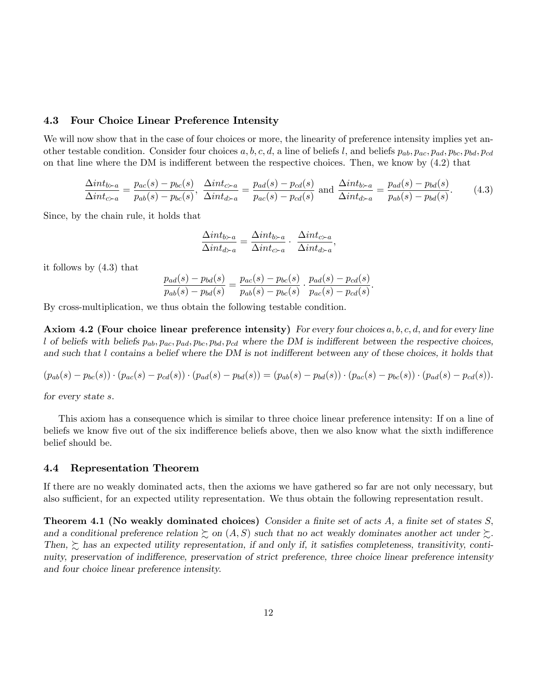## 4.3 Four Choice Linear Preference Intensity

We will now show that in the case of four choices or more, the linearity of preference intensity implies yet another testable condition. Consider four choices  $a, b, c, d$ , a line of beliefs l, and beliefs  $p_{ab}, p_{ac}, p_{ad}, p_{bc}, p_{bd}, p_{cd}$ on that line where the DM is indifferent between the respective choices. Then, we know by  $(4.2)$  that

$$
\frac{\Delta int_{b \succ a}}{\Delta int_{c \succ a}} = \frac{p_{ac}(s) - p_{bc}(s)}{p_{ab}(s) - p_{bc}(s)}, \quad \frac{\Delta int_{c \succ a}}{\Delta int_{d \succ a}} = \frac{p_{ad}(s) - p_{cd}(s)}{p_{ac}(s) - p_{cd}(s)} \text{ and } \frac{\Delta int_{b \succ a}}{\Delta int_{d \succ a}} = \frac{p_{ad}(s) - p_{bd}(s)}{p_{ab}(s) - p_{bd}(s)}.\tag{4.3}
$$

Since, by the chain rule, it holds that

$$
\frac{\Delta int_{b \succ a}}{\Delta int_{d \succ a}} = \frac{\Delta int_{b \succ a}}{\Delta int_{c \succ a}} \cdot \frac{\Delta int_{c \succ a}}{\Delta int_{d \succ a}},
$$

it follows by (4.3) that

$$
\frac{p_{ad}(s) - p_{bd}(s)}{p_{ab}(s) - p_{bd}(s)} = \frac{p_{ac}(s) - p_{bc}(s)}{p_{ab}(s) - p_{bc}(s)} \cdot \frac{p_{ad}(s) - p_{cd}(s)}{p_{ac}(s) - p_{cd}(s)}.
$$

By cross-multiplication, we thus obtain the following testable condition.

Axiom 4.2 (Four choice linear preference intensity) For every four choices  $a, b, c, d$ , and for every line l of beliefs with beliefs  $p_{ab}$ ,  $p_{ac}$ ,  $p_{ad}$ ,  $p_{bc}$ ,  $p_{bd}$ ,  $p_{cd}$  where the DM is indifferent between the respective choices, and such that  $l$  contains a belief where the DM is not indifferent between any of these choices, it holds that

$$
(p_{ab}(s) - p_{bc}(s)) \cdot (p_{ac}(s) - p_{cd}(s)) \cdot (p_{ad}(s) - p_{bd}(s)) = (p_{ab}(s) - p_{bd}(s)) \cdot (p_{ac}(s) - p_{bc}(s)) \cdot (p_{ad}(s) - p_{cd}(s)).
$$

for every state s:

This axiom has a consequence which is similar to three choice linear preference intensity: If on a line of beliefs we know five out of the six indifference beliefs above, then we also know what the sixth indifference belief should be.

## 4.4 Representation Theorem

If there are no weakly dominated acts, then the axioms we have gathered so far are not only necessary, but also sufficient, for an expected utility representation. We thus obtain the following representation result.

**Theorem 4.1 (No weakly dominated choices)** Consider a finite set of acts  $A$ , a finite set of states  $S$ , and a conditional preference relation  $\succsim$  on  $(A, S)$  such that no act weakly dominates another act under  $\succsim$ . Then,  $\succeq$  has an expected utility representation, if and only if, it satisfies completeness, transitivity, continuity, preservation of indifference, preservation of strict preference, three choice linear preference intensity and four choice linear preference intensity.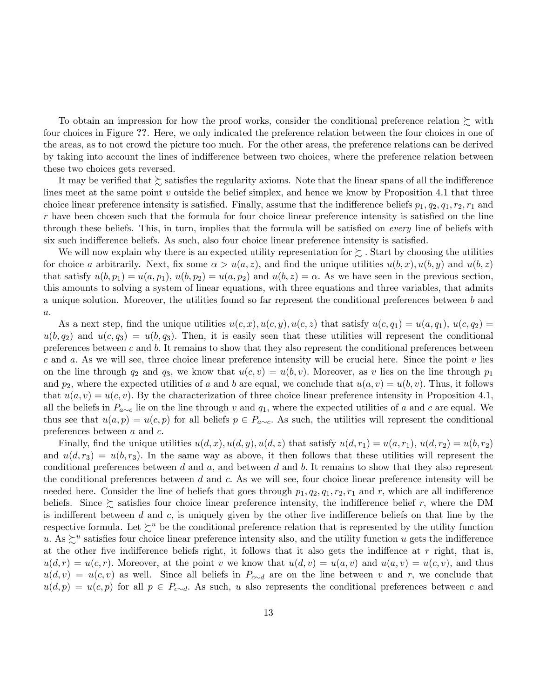To obtain an impression for how the proof works, consider the conditional preference relation  $\succeq$  with four choices in Figure ??. Here, we only indicated the preference relation between the four choices in one of the areas, as to not crowd the picture too much. For the other areas, the preference relations can be derived by taking into account the lines of indifference between two choices, where the preference relation between these two choices gets reversed.

It may be verified that  $\succsim$  satisfies the regularity axioms. Note that the linear spans of all the indifference lines meet at the same point  $v$  outside the belief simplex, and hence we know by Proposition 4.1 that three choice linear preference intensity is satisfied. Finally, assume that the indifference beliefs  $p_1, q_2, q_1, r_2, r_1$  and  $r$  have been chosen such that the formula for four choice linear preference intensity is satisfied on the line through these beliefs. This, in turn, implies that the formula will be satisfied on *every* line of beliefs with six such indifference beliefs. As such, also four choice linear preference intensity is satisfied.

We will now explain why there is an expected utility representation for  $\sum$ . Start by choosing the utilities for choice a arbitrarily. Next, fix some  $\alpha > u(a, z)$ , and find the unique utilities  $u(b, x), u(b, y)$  and  $u(b, z)$ that satisfy  $u(b, p_1) = u(a, p_1), u(b, p_2) = u(a, p_2)$  and  $u(b, z) = \alpha$ . As we have seen in the previous section, this amounts to solving a system of linear equations, with three equations and three variables, that admits a unique solution. Moreover, the utilities found so far represent the conditional preferences between b and  $\boldsymbol{a}.$ 

As a next step, find the unique utilities  $u(c, x), u(c, y), u(c, z)$  that satisfy  $u(c, q_1) = u(a, q_1), u(c, q_2) =$  $u(b, q_2)$  and  $u(c, q_3) = u(b, q_3)$ . Then, it is easily seen that these utilities will represent the conditional preferences between  $c$  and  $b$ . It remains to show that they also represent the conditional preferences between c and a: As we will see, three choice linear preference intensity will be crucial here. Since the point v lies on the line through  $q_2$  and  $q_3$ , we know that  $u(c, v) = u(b, v)$ . Moreover, as v lies on the line through  $p_1$ and  $p_2$ , where the expected utilities of a and b are equal, we conclude that  $u(a, v) = u(b, v)$ . Thus, it follows that  $u(a, v) = u(c, v)$ . By the characterization of three choice linear preference intensity in Proposition 4.1, all the beliefs in  $P_{a\sim c}$  lie on the line through v and  $q_1$ , where the expected utilities of a and c are equal. We thus see that  $u(a, p) = u(c, p)$  for all beliefs  $p \in P_{a \sim c}$ . As such, the utilities will represent the conditional preferences between  $a$  and  $c$ .

Finally, find the unique utilities  $u(d, x)$ ,  $u(d, y)$ ,  $u(d, z)$  that satisfy  $u(d, r_1) = u(a, r_1)$ ,  $u(d, r_2) = u(b, r_2)$ and  $u(d, r_3) = u(b, r_3)$ . In the same way as above, it then follows that these utilities will represent the conditional preferences between d and a, and between d and b. It remains to show that they also represent the conditional preferences between  $d$  and  $c$ . As we will see, four choice linear preference intensity will be needed here. Consider the line of beliefs that goes through  $p_1, q_2, q_1, r_2, r_1$  and r, which are all indifference beliefs. Since  $\succeq$  satisfies four choice linear preference intensity, the indifference belief r, where the DM is indifferent between  $d$  and  $c$ , is uniquely given by the other five indifference beliefs on that line by the respective formula. Let  $\sum^u$  be the conditional preference relation that is represented by the utility function u. As  $\succsim^u$  satisfies four choice linear preference intensity also, and the utility function u gets the indifference at the other five indifference beliefs right, it follows that it also gets the indiffence at  $r$  right, that is,  $u(d, r) = u(c, r)$ . Moreover, at the point v we know that  $u(d, v) = u(a, v)$  and  $u(a, v) = u(c, v)$ , and thus  $u(d, v) = u(c, v)$  as well. Since all beliefs in  $P_{c \sim d}$  are on the line between v and r, we conclude that  $u(d, p) = u(c, p)$  for all  $p \in P_{c \sim d}$ . As such, u also represents the conditional preferences between c and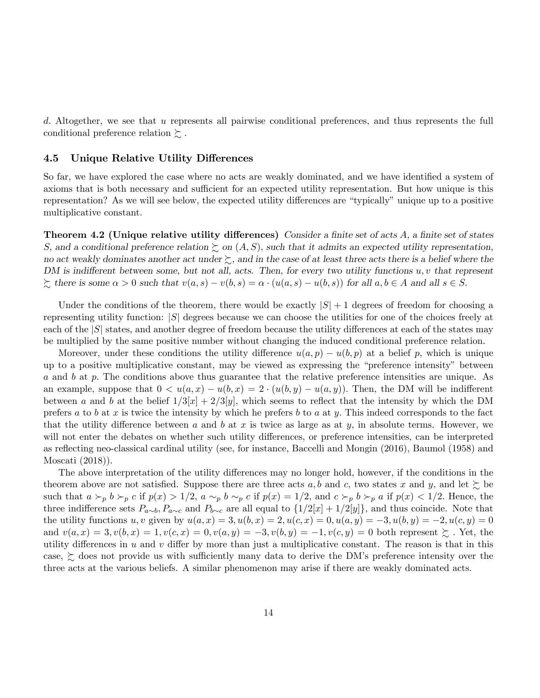d. Altogether, we see that u represents all pairwise conditional preferences, and thus represents the full conditional preference relation  $\succsim$ .

## 4.5 Unique Relative Utility Differences

So far, we have explored the case where no acts are weakly dominated, and we have identified a system of axioms that is both necessary and sufficient for an expected utility representation. But how unique is this representation? As we will see below, the expected utility differences are "typically" unique up to a positive multiplicative constant.

Theorem 4.2 (Unique relative utility differences) Consider a finite set of acts  $A$ , a finite set of states S, and a conditional preference relation  $\succeq$  on  $(A, S)$ , such that it admits an expected utility representation, no act weakly dominates another act under  $\succsim$ , and in the case of at least three acts there is a belief where the DM is indifferent between some, but not all, acts. Then, for every two utility functions  $u, v$  that represent  $\sum$  there is some  $\alpha > 0$  such that  $v(a, s) - v(b, s) = \alpha \cdot (u(a, s) - u(b, s))$  for all  $a, b \in A$  and all  $s \in S$ .

Under the conditions of the theorem, there would be exactly  $|S|+1$  degrees of freedom for choosing a representing utility function:  $|S|$  degrees because we can choose the utilities for one of the choices freely at each of the  $|S|$  states, and another degree of freedom because the utility differences at each of the states may be multiplied by the same positive number without changing the induced conditional preference relation.

Moreover, under these conditions the utility difference  $u(a, p) - u(b, p)$  at a belief p, which is unique up to a positive multiplicative constant, may be viewed as expressing the "preference intensity" between a and b at p. The conditions above thus guarantee that the relative preference intensities are unique. As an example, suppose that  $0 < u(a,x) - u(b,x) = 2 \cdot (u(b,y) - u(a,y))$ . Then, the DM will be indifferent between a and b at the belief  $1/3[x] + 2/3[y]$ , which seems to reflect that the intensity by which the DM prefers a to b at x is twice the intensity by which he prefers b to a at y. This indeed corresponds to the fact that the utility difference between a and b at x is twice as large as at y, in absolute terms. However, we will not enter the debates on whether such utility differences, or preference intensities, can be interpreted as reflecting neo-classical cardinal utility (see, for instance, Baccelli and Mongin (2016), Baumol (1958) and Moscati (2018)).

The above interpretation of the utility differences may no longer hold, however, if the conditions in the theorem above are not satisfied. Suppose there are three acts a, b and c, two states x and y, and let  $\succeq$  be such that  $a \succ_p b \succ_p c$  if  $p(x) > 1/2$ ,  $a \sim_p b \sim_p c$  if  $p(x) = 1/2$ , and  $c \succ_p b \succ_p a$  if  $p(x) < 1/2$ . Hence, the three indifference sets  $P_{a\sim b}$ ,  $P_{a\sim c}$  and  $P_{b\sim c}$  are all equal to  $\{1/2|x|+1/2|y|\}$ , and thus coincide. Note that the utility functions u, v given by  $u(a, x) = 3$ ,  $u(b, x) = 2$ ,  $u(c, x) = 0$ ,  $u(a, y) = -3$ ,  $u(b, y) = -2$ ,  $u(c, y) = 0$ and  $v(a, x) = 3, v(b, x) = 1, v(c, x) = 0, v(a, y) = -3, v(b, y) = -1, v(c, y) = 0$  both represent  $\succsim$ . Yet, the utility differences in  $u$  and  $v$  differ by more than just a multiplicative constant. The reason is that in this case,  $\gtrsim$  does not provide us with sufficiently many data to derive the DM's preference intensity over the three acts at the various beliefs. A similar phenomenon may arise if there are weakly dominated acts.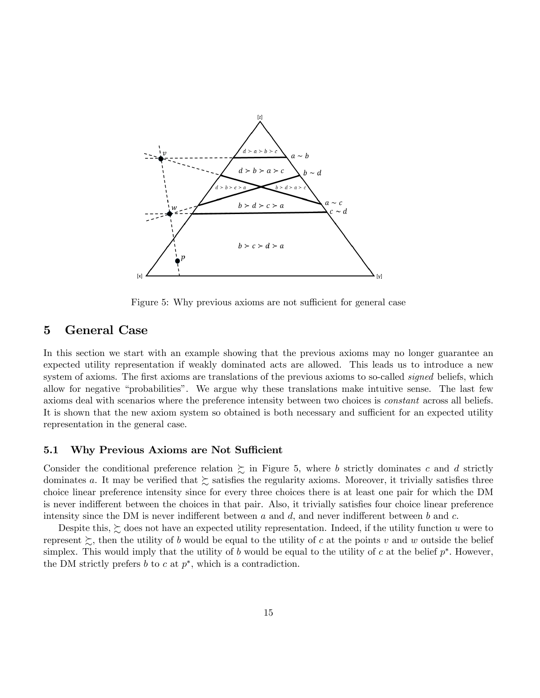

Figure 5: Why previous axioms are not sufficient for general case

## 5 General Case

In this section we start with an example showing that the previous axioms may no longer guarantee an expected utility representation if weakly dominated acts are allowed. This leads us to introduce a new system of axioms. The first axioms are translations of the previous axioms to so-called *signed* beliefs, which allow for negative "probabilities". We argue why these translations make intuitive sense. The last few axioms deal with scenarios where the preference intensity between two choices is constant across all beliefs. It is shown that the new axiom system so obtained is both necessary and sufficient for an expected utility representation in the general case.

## 5.1 Why Previous Axioms are Not Sufficient

Consider the conditional preference relation  $\sum$  in Figure 5, where b strictly dominates c and d strictly dominates a. It may be verified that  $\succeq$  satisfies the regularity axioms. Moreover, it trivially satisfies three choice linear preference intensity since for every three choices there is at least one pair for which the DM is never indifferent between the choices in that pair. Also, it trivially satisfies four choice linear preference intensity since the DM is never indifferent between  $a$  and  $d$ , and never indifferent between  $b$  and  $c$ .

Despite this,  $\succsim$  does not have an expected utility representation. Indeed, if the utility function u were to represent  $\gtrsim$ , then the utility of b would be equal to the utility of c at the points v and w outside the belief simplex. This would imply that the utility of b would be equal to the utility of c at the belief  $p^*$ . However, the DM strictly prefers  $b$  to  $c$  at  $p^*$ , which is a contradiction.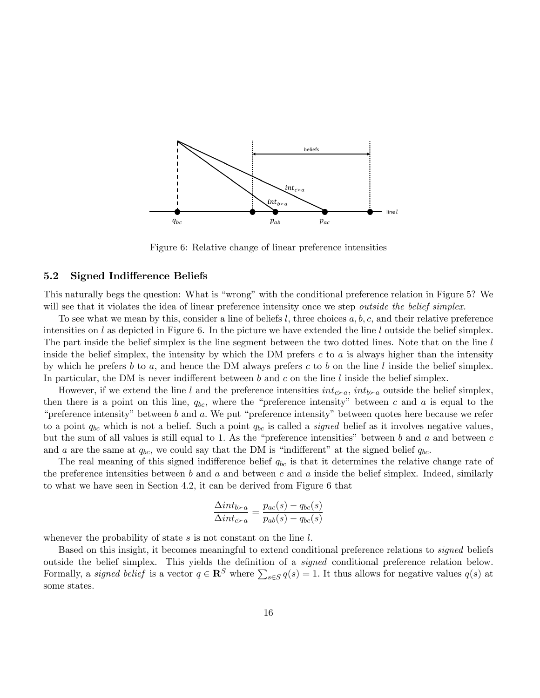

Figure 6: Relative change of linear preference intensities

## 5.2 Signed Indifference Beliefs

This naturally begs the question: What is "wrong" with the conditional preference relation in Figure 5? We will see that it violates the idea of linear preference intensity once we step *outside the belief simplex*.

To see what we mean by this, consider a line of beliefs  $l$ , three choices  $a, b, c$ , and their relative preference intensities on l as depicted in Figure 6. In the picture we have extended the line l outside the belief simplex. The part inside the belief simplex is the line segment between the two dotted lines. Note that on the line l inside the belief simplex, the intensity by which the DM prefers  $c$  to  $a$  is always higher than the intensity by which he prefers b to a, and hence the DM always prefers c to b on the line l inside the belief simplex. In particular, the DM is never indifferent between b and c on the line l inside the belief simplex.

However, if we extend the line l and the preference intensities  $int_{c>a}$ ,  $int_{b\geq a}$  outside the belief simplex, then there is a point on this line,  $q_{bc}$ , where the "preference intensity" between c and a is equal to the "preference intensity" between b and a. We put "preference intensity" between quotes here because we refer to a point  $q_{bc}$  which is not a belief. Such a point  $q_{bc}$  is called a *signed* belief as it involves negative values, but the sum of all values is still equal to 1. As the "preference intensities" between  $b$  and  $a$  and between  $c$ and a are the same at  $q_{bc}$ , we could say that the DM is "indifferent" at the signed belief  $q_{bc}$ .

The real meaning of this signed indifference belief  $q_{bc}$  is that it determines the relative change rate of the preference intensities between b and a and between c and a inside the belief simplex. Indeed, similarly to what we have seen in Section 4.2, it can be derived from Figure 6 that

$$
\frac{\Delta int_{b \succ a}}{\Delta int_{c \succ a}} = \frac{p_{ac}(s) - q_{bc}(s)}{p_{ab}(s) - q_{bc}(s)}
$$

whenever the probability of state  $s$  is not constant on the line  $l$ .

Based on this insight, it becomes meaningful to extend conditional preference relations to signed beliefs outside the belief simplex. This yields the definition of a *signed* conditional preference relation below. Formally, a *signed belief* is a vector  $q \in \mathbb{R}^S$  where  $\sum_{s \in S} q(s) = 1$ . It thus allows for negative values  $q(s)$  at some states.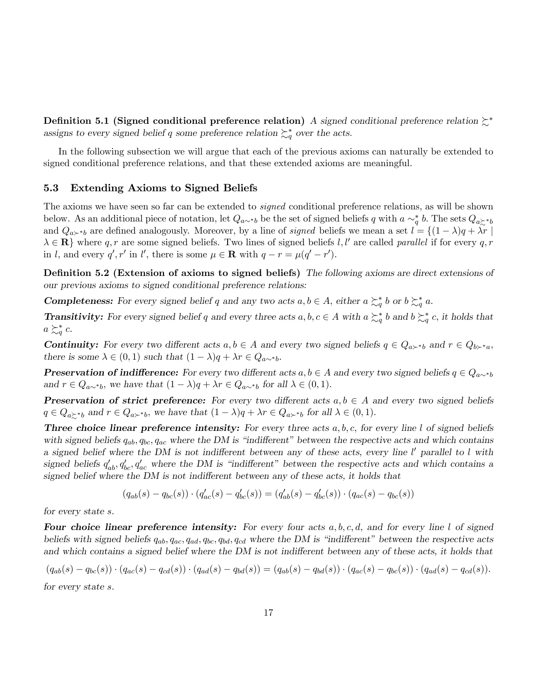Definition 5.1 (Signed conditional preference relation) A signed conditional preference relation  $\zeta^*$ assigns to every signed belief q some preference relation  $\mathcal{L}_q^*$  over the acts.

In the following subsection we will argue that each of the previous axioms can naturally be extended to signed conditional preference relations, and that these extended axioms are meaningful.

## 5.3 Extending Axioms to Signed Beliefs

The axioms we have seen so far can be extended to *signed* conditional preference relations, as will be shown below. As an additional piece of notation, let  $Q_{a\sim b}$  be the set of signed beliefs q with  $a \sim_q^* b$ . The sets  $Q_{a\succsim^* b}$ and  $Q_{a\succ b}$  are defined analogously. Moreover, by a line of *signed* beliefs we mean a set  $l = \{(1 - \lambda)q + \lambda r \mid$  $\lambda \in \mathbf{R}$  where q, r are some signed beliefs. Two lines of signed beliefs l, l' are called parallel if for every q, r in l, and every  $q', r'$  in l', there is some  $\mu \in \mathbf{R}$  with  $q - r = \mu(q' - r')$ .

Definition 5.2 (Extension of axioms to signed beliefs) The following axioms are direct extensions of our previous axioms to signed conditional preference relations:

**Completeness:** For every signed belief q and any two acts  $a, b \in A$ , either  $a \succeq_q^* b$  or  $b \succeq_q^* a$ .

**Transitivity:** For every signed belief q and every three acts  $a, b, c \in A$  with  $a \succsim_q^* b$  and  $b \succsim_q^* c$ , it holds that  $a \succsim_q^* c$ .

**Continuity:** For every two different acts  $a, b \in A$  and every two signed beliefs  $q \in Q_{a \succ b}$  and  $r \in Q_{b \succ a}$ , there is some  $\lambda \in (0, 1)$  such that  $(1 - \lambda)q + \lambda r \in Q_{a \sim b}$ .

**Preservation of indifference:** For every two different acts  $a, b \in A$  and every two signed beliefs  $q \in Q_{a \sim^* b}$ and  $r \in Q_{a\sim b}$ , we have that  $(1 - \lambda)q + \lambda r \in Q_{a\sim b}$  for all  $\lambda \in (0, 1)$ .

**Preservation of strict preference:** For every two different acts  $a, b \in A$  and every two signed beliefs  $q \in Q_{a \succ b}$  and  $r \in Q_{a \succ b}$ , we have that  $(1 - \lambda)q + \lambda r \in Q_{a \succ b}$  for all  $\lambda \in (0, 1)$ .

**Three choice linear preference intensity:** For every three acts  $a, b, c$ , for every line l of signed beliefs with signed beliefs  $q_{ab}$ ,  $q_{bc}$ ,  $q_{ac}$  where the DM is "indifferent" between the respective acts and which contains a signed belief where the DM is not indifferent between any of these acts, every line  $l'$  parallel to  $l$  with signed beliefs  $q'_{ab}, q'_{bc}, q'_{ac}$  where the DM is "indifferent" between the respective acts and which contains a signed belief where the DM is not indifferent between any of these acts, it holds that

$$
(q_{ab}(s) - q_{bc}(s)) \cdot (q'_{ac}(s) - q'_{bc}(s)) = (q'_{ab}(s) - q'_{bc}(s)) \cdot (q_{ac}(s) - q_{bc}(s))
$$

for every state s.

Four choice linear preference intensity: For every four acts  $a, b, c, d$ , and for every line l of signed beliefs with signed beliefs  $q_{ab}$ ,  $q_{ac}$ ,  $q_{ad}$ ,  $q_{bc}$ ,  $q_{bd}$ ,  $q_{cd}$  where the DM is "indifferent" between the respective acts and which contains a signed belief where the DM is not indifferent between any of these acts, it holds that

$$
(q_{ab}(s) - q_{bc}(s)) \cdot (q_{ac}(s) - q_{cd}(s)) \cdot (q_{ad}(s) - q_{bd}(s)) = (q_{ab}(s) - q_{bd}(s)) \cdot (q_{ac}(s) - q_{bc}(s)) \cdot (q_{ad}(s) - q_{cd}(s)).
$$

for every state s.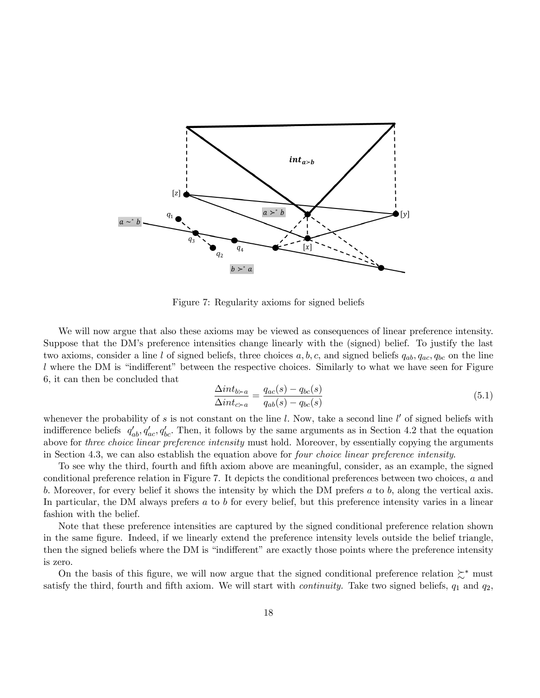

Figure 7: Regularity axioms for signed beliefs

We will now argue that also these axioms may be viewed as consequences of linear preference intensity. Suppose that the DMís preference intensities change linearly with the (signed) belief. To justify the last two axioms, consider a line l of signed beliefs, three choices  $a, b, c$ , and signed beliefs  $q_{ab}, q_{ac}, q_{bc}$  on the line  $l$  where the DM is "indifferent" between the respective choices. Similarly to what we have seen for Figure 6, it can then be concluded that

$$
\frac{\Delta int_{b \succ a}}{\Delta int_{c \succ a}} = \frac{q_{ac}(s) - q_{bc}(s)}{q_{ab}(s) - q_{bc}(s)}\tag{5.1}
$$

whenever the probability of s is not constant on the line  $l$ . Now, take a second line  $l'$  of signed beliefs with indifference beliefs  $q'_{ab}, q'_{ac}, q'_{bc}$ . Then, it follows by the same arguments as in Section 4.2 that the equation above for three choice linear preference intensity must hold. Moreover, by essentially copying the arguments in Section 4.3, we can also establish the equation above for *four choice linear preference intensity*.

To see why the third, fourth and fifth axiom above are meaningful, consider, as an example, the signed conditional preference relation in Figure 7. It depicts the conditional preferences between two choices, a and b. Moreover, for every belief it shows the intensity by which the DM prefers  $a$  to  $b$ , along the vertical axis. In particular, the DM always prefers a to b for every belief, but this preference intensity varies in a linear fashion with the belief.

Note that these preference intensities are captured by the signed conditional preference relation shown in the same Ögure. Indeed, if we linearly extend the preference intensity levels outside the belief triangle, then the signed beliefs where the DM is "indifferent" are exactly those points where the preference intensity is zero.

On the basis of this figure, we will now argue that the signed conditional preference relation  $\zeta^*$  must satisfy the third, fourth and fifth axiom. We will start with *continuity*. Take two signed beliefs,  $q_1$  and  $q_2$ ,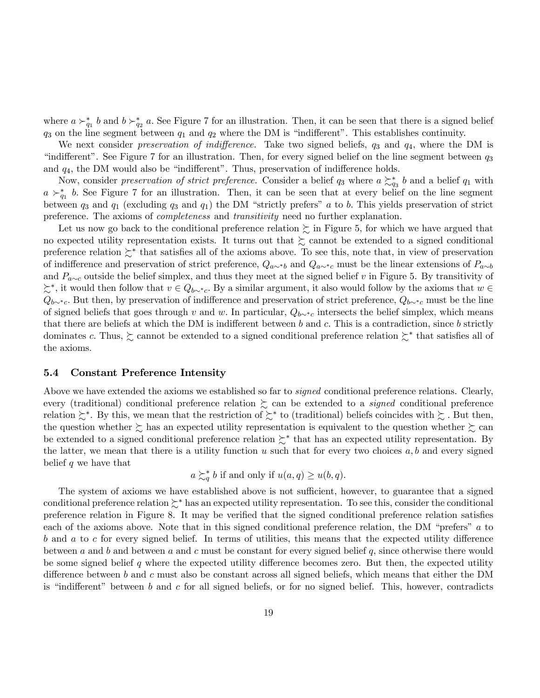where  $a \succ_{q_1}^* b$  and  $b \succ_{q_2}^* a$ . See Figure 7 for an illustration. Then, it can be seen that there is a signed belief  $q_3$  on the line segment between  $q_1$  and  $q_2$  where the DM is "indifferent". This establishes continuity.

We next consider preservation of indifference. Take two signed beliefs,  $q_3$  and  $q_4$ , where the DM is "indifferent". See Figure 7 for an illustration. Then, for every signed belief on the line segment between  $q_3$ and  $q_4$ , the DM would also be "indifferent". Thus, preservation of indifference holds.

Now, consider *preservation of strict preference*. Consider a belief  $q_3$  where  $a \succsim q_3$  b and a belief  $q_1$  with  $a \succ_{q_1}^* b$ . See Figure 7 for an illustration. Then, it can be seen that at every belief on the line segment between  $q_3$  and  $q_1$  (excluding  $q_3$  and  $q_1$ ) the DM "strictly prefers" a to b. This yields preservation of strict preference. The axioms of completeness and transitivity need no further explanation.

Let us now go back to the conditional preference relation  $\succeq$  in Figure 5, for which we have argued that no expected utility representation exists. It turns out that  $\gtrsim$  cannot be extended to a signed conditional preference relation  $\succsim^*$  that satisfies all of the axioms above. To see this, note that, in view of preservation of indifference and preservation of strict preference,  $Q_{a\sim b}$  and  $Q_{a\sim c}$  must be the linear extensions of  $P_{a\sim b}$ and  $P_{a\sim c}$  outside the belief simplex, and thus they meet at the signed belief v in Figure 5. By transitivity of  $\succsim^*$ , it would then follow that  $v \in Q_{b \sim^* c}$ . By a similar argument, it also would follow by the axioms that  $w \in Q_{b \sim^* c}$ .  $Q_{b\sim^*c}$ . But then, by preservation of indifference and preservation of strict preference,  $Q_{b\sim^*c}$  must be the line of signed beliefs that goes through v and w. In particular,  $Q_{b\sim c}$  intersects the belief simplex, which means that there are beliefs at which the DM is indifferent between  $b$  and  $c$ . This is a contradiction, since  $b$  strictly dominates c. Thus,  $\succsim$  cannot be extended to a signed conditional preference relation  $\succsim^*$  that satisfies all of the axioms.

## 5.4 Constant Preference Intensity

Above we have extended the axioms we established so far to *signed* conditional preference relations. Clearly, every (traditional) conditional preference relation  $\gtrsim$  can be extended to a *signed* conditional preference relation  $\succsim^*$ . By this, we mean that the restriction of  $\succsim^*$  to (traditional) beliefs coincides with  $\succsim$  . But then, the question whether  $\succsim$  has an expected utility representation is equivalent to the question whether  $\succsim$  can be extended to a signed conditional preference relation  $\succsim^*$  that has an expected utility representation. By the latter, we mean that there is a utility function u such that for every two choices  $a, b$  and every signed belief  $q$  we have that

$$
a \succsim_q^* b
$$
 if and only if  $u(a,q) \geq u(b,q)$ .

The system of axioms we have established above is not sufficient, however, to guarantee that a signed conditional preference relation  $\gtrsim^*$  has an expected utility representation. To see this, consider the conditional preference relation in Figure 8. It may be verified that the signed conditional preference relation satisfies each of the axioms above. Note that in this signed conditional preference relation, the DM "prefers"  $a$  to  $b$  and  $a$  to  $c$  for every signed belief. In terms of utilities, this means that the expected utility difference between a and b and between a and c must be constant for every signed belief  $q$ , since otherwise there would be some signed belief  $q$  where the expected utility difference becomes zero. But then, the expected utility difference between b and c must also be constant across all signed beliefs, which means that either the DM is "indifferent" between  $b$  and  $c$  for all signed beliefs, or for no signed belief. This, however, contradicts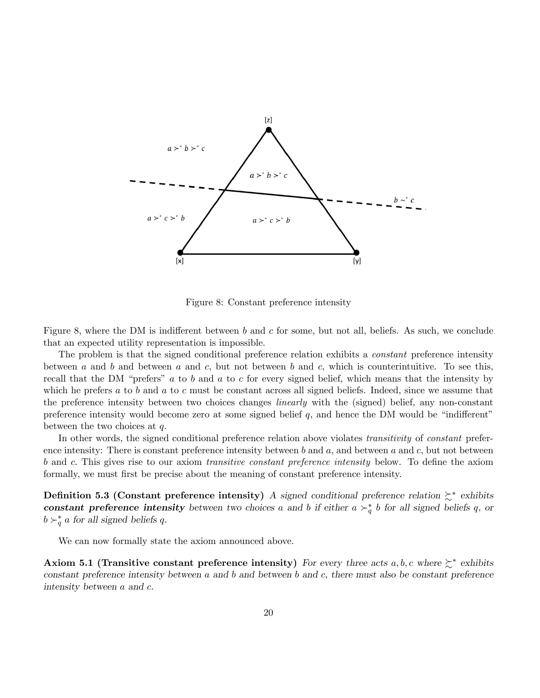

Figure 8: Constant preference intensity

Figure 8, where the DM is indifferent between b and c for some, but not all, beliefs. As such, we conclude that an expected utility representation is impossible.

The problem is that the signed conditional preference relation exhibits a *constant* preference intensity between a and b and between a and c, but not between b and c, which is counterintuitive. To see this, recall that the DM "prefers"  $a$  to  $b$  and  $a$  to  $c$  for every signed belief, which means that the intensity by which he prefers a to b and a to c must be constant across all signed beliefs. Indeed, since we assume that the preference intensity between two choices changes *linearly* with the (signed) belief, any non-constant preference intensity would become zero at some signed belief  $q$ , and hence the DM would be "indifferent" between the two choices at  $q$ .

In other words, the signed conditional preference relation above violates *transitivity* of *constant* preference intensity: There is constant preference intensity between b and a, and between a and  $c$ , but not between b and c. This gives rise to our axiom *transitive constant preference intensity* below. To define the axiom formally, we must first be precise about the meaning of constant preference intensity.

Definition 5.3 (Constant preference intensity) A signed conditional preference relation  $\succsim^*$  exhibits constant preference intensity between two choices a and b if either  $a \succ_q^* b$  for all signed beliefs q, or  $b \succ_q^* a$  for all signed beliefs q.

We can now formally state the axiom announced above.

Axiom 5.1 (Transitive constant preference intensity) For every three acts a, b, c where  $\succsim^*$  exhibits constant preference intensity between  $a$  and  $b$  and between  $b$  and  $c$ , there must also be constant preference intensity between  $a$  and  $c$ .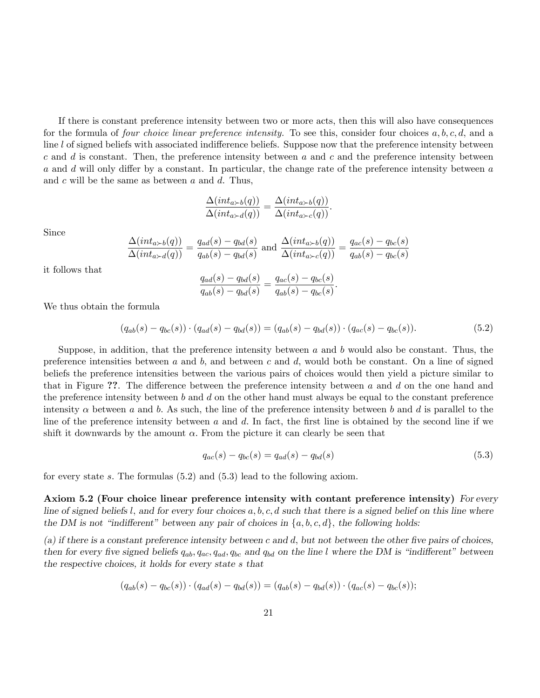If there is constant preference intensity between two or more acts, then this will also have consequences for the formula of *four choice linear preference intensity*. To see this, consider four choices  $a, b, c, d$ , and a line  $l$  of signed beliefs with associated indifference beliefs. Suppose now that the preference intensity between c and d is constant. Then, the preference intensity between a and c and the preference intensity between a and d will only differ by a constant. In particular, the change rate of the preference intensity between a and  $c$  will be the same as between  $a$  and  $d$ . Thus,

$$
\frac{\Delta(int_{a \succ b}(q))}{\Delta(int_{a \succ d}(q))} = \frac{\Delta(int_{a \succ b}(q))}{\Delta(int_{a \succ c}(q))}.
$$

Since

$$
\frac{\Delta(int_{a \succ b}(q))}{\Delta(int_{a \succ d}(q))} = \frac{q_{ad}(s) - q_{bd}(s)}{q_{ab}(s) - q_{bd}(s)} \text{ and } \frac{\Delta(int_{a \succ b}(q))}{\Delta(int_{a \succ c}(q))} = \frac{q_{ac}(s) - q_{bc}(s)}{q_{ab}(s) - q_{bc}(s)}
$$

it follows that

$$
\frac{q_{ad}(s) - q_{bd}(s)}{q_{ab}(s) - q_{bd}(s)} = \frac{q_{ac}(s) - q_{bc}(s)}{q_{ab}(s) - q_{bc}(s)}.
$$

We thus obtain the formula

$$
(q_{ab}(s) - q_{bc}(s)) \cdot (q_{ad}(s) - q_{bd}(s)) = (q_{ab}(s) - q_{bd}(s)) \cdot (q_{ac}(s) - q_{bc}(s)).
$$
\n(5.2)

Suppose, in addition, that the preference intensity between  $a$  and  $b$  would also be constant. Thus, the preference intensities between  $a$  and  $b$ , and between  $c$  and  $d$ , would both be constant. On a line of signed beliefs the preference intensities between the various pairs of choices would then yield a picture similar to that in Figure ??. The difference between the preference intensity between a and d on the one hand and the preference intensity between b and d on the other hand must always be equal to the constant preference intensity  $\alpha$  between a and b. As such, the line of the preference intensity between b and d is parallel to the line of the preference intensity between  $a$  and  $d$ . In fact, the first line is obtained by the second line if we shift it downwards by the amount  $\alpha$ . From the picture it can clearly be seen that

$$
q_{ac}(s) - q_{bc}(s) = q_{ad}(s) - q_{bd}(s)
$$
\n(5.3)

for every state s: The formulas (5.2) and (5.3) lead to the following axiom.

Axiom 5.2 (Four choice linear preference intensity with contant preference intensity) For every line of signed beliefs l, and for every four choices  $a, b, c, d$  such that there is a signed belief on this line where the DM is not "indifferent" between any pair of choices in  $\{a, b, c, d\}$ , the following holds:

(a) if there is a constant preference intensity between c and d, but not between the other five pairs of choices, then for every five signed beliefs  $q_{ab}$ ,  $q_{ac}$ ,  $q_{ad}$ ,  $q_{bc}$  and  $q_{bd}$  on the line l where the DM is "indifferent" between the respective choices, it holds for every state s that

$$
(q_{ab}(s) - q_{bc}(s)) \cdot (q_{ad}(s) - q_{bd}(s)) = (q_{ab}(s) - q_{bd}(s)) \cdot (q_{ac}(s) - q_{bc}(s));
$$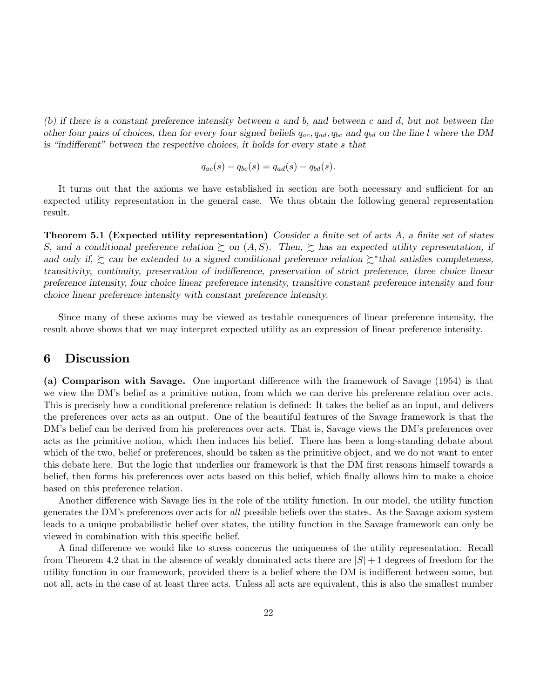(b) if there is a constant preference intensity between a and b; and between c and d; but not between the other four pairs of choices, then for every four signed beliefs  $q_{ac}$ ,  $q_{ad}$ ,  $q_{bc}$  and  $q_{bd}$  on the line l where the DM is "indifferent" between the respective choices, it holds for every state  $s$  that

$$
q_{ac}(s) - q_{bc}(s) = q_{ad}(s) - q_{bd}(s).
$$

It turns out that the axioms we have established in section are both necessary and sufficient for an expected utility representation in the general case. We thus obtain the following general representation result.

**Theorem 5.1 (Expected utility representation)** Consider a finite set of acts  $A$ , a finite set of states S, and a conditional preference relation  $\gtrsim$  on  $(A, S)$ . Then,  $\gtrsim$  has an expected utility representation, if and only if,  $\succsim$  can be extended to a signed conditional preference relation  $\succsim^*$  that satisfies completeness, transitivity, continuity, preservation of indifference, preservation of strict preference, three choice linear preference intensity, four choice linear preference intensity, transitive constant preference intensity and four choice linear preference intensity with constant preference intensity.

Since many of these axioms may be viewed as testable conequences of linear preference intensity, the result above shows that we may interpret expected utility as an expression of linear preference intensity.

## 6 Discussion

(a) Comparison with Savage. One important difference with the framework of Savage (1954) is that we view the DM's belief as a primitive notion, from which we can derive his preference relation over acts. This is precisely how a conditional preference relation is defined: It takes the belief as an input, and delivers the preferences over acts as an output. One of the beautiful features of the Savage framework is that the DM's belief can be derived from his preferences over acts. That is, Savage views the DM's preferences over acts as the primitive notion, which then induces his belief. There has been a long-standing debate about which of the two, belief or preferences, should be taken as the primitive object, and we do not want to enter this debate here. But the logic that underlies our framework is that the DM first reasons himself towards a belief, then forms his preferences over acts based on this belief, which finally allows him to make a choice based on this preference relation.

Another difference with Savage lies in the role of the utility function. In our model, the utility function generates the DMís preferences over acts for all possible beliefs over the states. As the Savage axiom system leads to a unique probabilistic belief over states, the utility function in the Savage framework can only be viewed in combination with this specific belief.

A final difference we would like to stress concerns the uniqueness of the utility representation. Recall from Theorem 4.2 that in the absence of weakly dominated acts there are  $|S|+1$  degrees of freedom for the utility function in our framework, provided there is a belief where the DM is indifferent between some, but not all, acts in the case of at least three acts. Unless all acts are equivalent, this is also the smallest number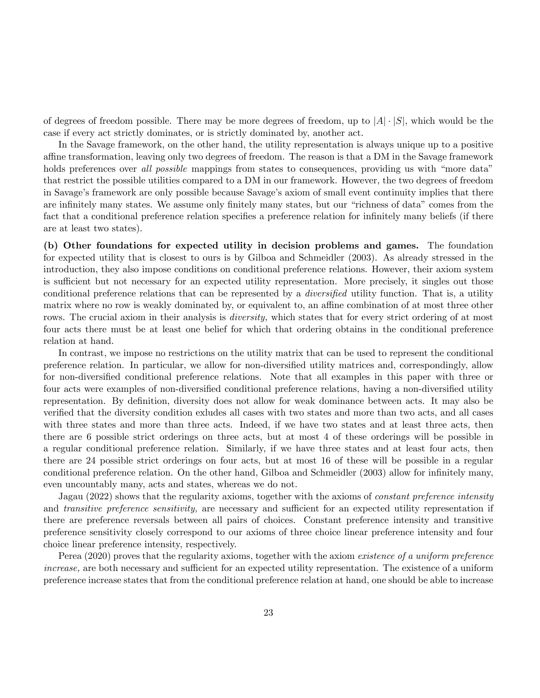of degrees of freedom possible. There may be more degrees of freedom, up to  $|A| \cdot |S|$ , which would be the case if every act strictly dominates, or is strictly dominated by, another act.

In the Savage framework, on the other hand, the utility representation is always unique up to a positive affine transformation, leaving only two degrees of freedom. The reason is that a DM in the Savage framework holds preferences over all possible mappings from states to consequences, providing us with "more data" that restrict the possible utilities compared to a DM in our framework. However, the two degrees of freedom in Savage's framework are only possible because Savage's axiom of small event continuity implies that there are infinitely many states. We assume only finitely many states, but our "richness of data" comes from the fact that a conditional preference relation specifies a preference relation for infinitely many beliefs (if there are at least two states).

(b) Other foundations for expected utility in decision problems and games. The foundation for expected utility that is closest to ours is by Gilboa and Schmeidler (2003). As already stressed in the introduction, they also impose conditions on conditional preference relations. However, their axiom system is sufficient but not necessary for an expected utility representation. More precisely, it singles out those conditional preference relations that can be represented by a *diversified* utility function. That is, a utility matrix where no row is weakly dominated by, or equivalent to, an affine combination of at most three other rows. The crucial axiom in their analysis is *diversity*, which states that for every strict ordering of at most four acts there must be at least one belief for which that ordering obtains in the conditional preference relation at hand.

In contrast, we impose no restrictions on the utility matrix that can be used to represent the conditional preference relation. In particular, we allow for non-diversified utility matrices and, correspondingly, allow for non-diversified conditional preference relations. Note that all examples in this paper with three or four acts were examples of non-diversified conditional preference relations, having a non-diversified utility representation. By definition, diversity does not allow for weak dominance between acts. It may also be verified that the diversity condition exludes all cases with two states and more than two acts, and all cases with three states and more than three acts. Indeed, if we have two states and at least three acts, then there are 6 possible strict orderings on three acts, but at most 4 of these orderings will be possible in a regular conditional preference relation. Similarly, if we have three states and at least four acts, then there are 24 possible strict orderings on four acts, but at most 16 of these will be possible in a regular conditional preference relation. On the other hand, Gilboa and Schmeidler (2003) allow for infinitely many, even uncountably many, acts and states, whereas we do not.

Jagau (2022) shows that the regularity axioms, together with the axioms of constant preference intensity and transitive preference sensitivity, are necessary and sufficient for an expected utility representation if there are preference reversals between all pairs of choices. Constant preference intensity and transitive preference sensitivity closely correspond to our axioms of three choice linear preference intensity and four choice linear preference intensity, respectively.

Perea (2020) proves that the regularity axioms, together with the axiom existence of a uniform preference increase, are both necessary and sufficient for an expected utility representation. The existence of a uniform preference increase states that from the conditional preference relation at hand, one should be able to increase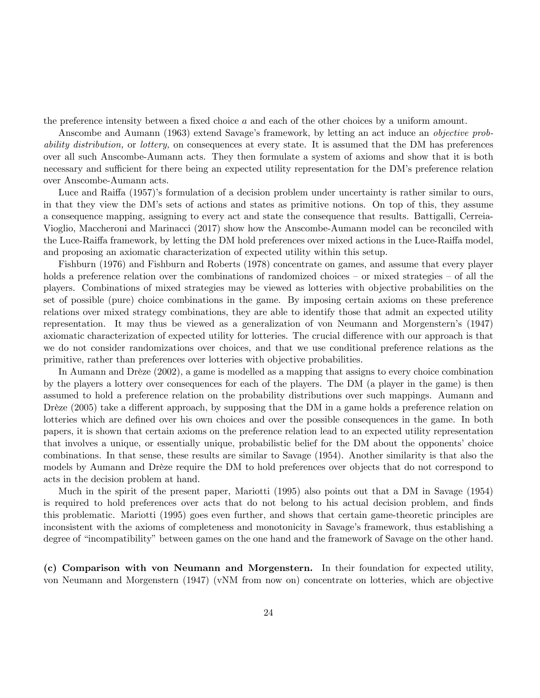the preference intensity between a fixed choice  $a$  and each of the other choices by a uniform amount.

Anscombe and Aumann (1963) extend Savage's framework, by letting an act induce an *objective prob*ability distribution, or lottery, on consequences at every state. It is assumed that the DM has preferences over all such Anscombe-Aumann acts. They then formulate a system of axioms and show that it is both necessary and sufficient for there being an expected utility representation for the DM's preference relation over Anscombe-Aumann acts.

Luce and Raiffa (1957)'s formulation of a decision problem under uncertainty is rather similar to ours, in that they view the DMís sets of actions and states as primitive notions. On top of this, they assume a consequence mapping, assigning to every act and state the consequence that results. Battigalli, Cerreia-Vioglio, Maccheroni and Marinacci (2017) show how the Anscombe-Aumann model can be reconciled with the Luce-Raiffa framework, by letting the DM hold preferences over mixed actions in the Luce-Raiffa model, and proposing an axiomatic characterization of expected utility within this setup.

Fishburn (1976) and Fishburn and Roberts (1978) concentrate on games, and assume that every player holds a preference relation over the combinations of randomized choices  $-$  or mixed strategies  $-$  of all the players. Combinations of mixed strategies may be viewed as lotteries with objective probabilities on the set of possible (pure) choice combinations in the game. By imposing certain axioms on these preference relations over mixed strategy combinations, they are able to identify those that admit an expected utility representation. It may thus be viewed as a generalization of von Neumann and Morgenstern's (1947) axiomatic characterization of expected utility for lotteries. The crucial difference with our approach is that we do not consider randomizations over choices, and that we use conditional preference relations as the primitive, rather than preferences over lotteries with objective probabilities.

In Aumann and Drèze (2002), a game is modelled as a mapping that assigns to every choice combination by the players a lottery over consequences for each of the players. The DM (a player in the game) is then assumed to hold a preference relation on the probability distributions over such mappings. Aumann and Drèze (2005) take a different approach, by supposing that the DM in a game holds a preference relation on lotteries which are defined over his own choices and over the possible consequences in the game. In both papers, it is shown that certain axioms on the preference relation lead to an expected utility representation that involves a unique, or essentially unique, probabilistic belief for the DM about the opponentsí choice combinations. In that sense, these results are similar to Savage (1954). Another similarity is that also the models by Aumann and Drèze require the DM to hold preferences over objects that do not correspond to acts in the decision problem at hand.

Much in the spirit of the present paper, Mariotti (1995) also points out that a DM in Savage (1954) is required to hold preferences over acts that do not belong to his actual decision problem, and finds this problematic. Mariotti (1995) goes even further, and shows that certain game-theoretic principles are inconsistent with the axioms of completeness and monotonicity in Savage's framework, thus establishing a degree of "incompatibility" between games on the one hand and the framework of Savage on the other hand.

(c) Comparison with von Neumann and Morgenstern. In their foundation for expected utility, von Neumann and Morgenstern (1947) (vNM from now on) concentrate on lotteries, which are objective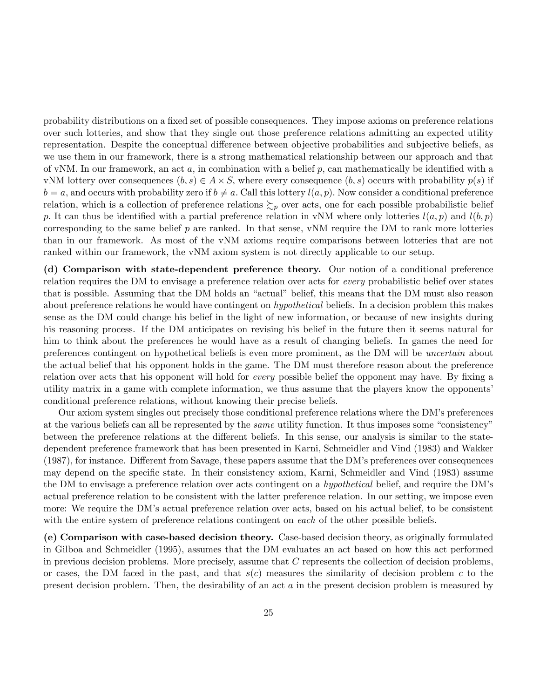probability distributions on a fixed set of possible consequences. They impose axioms on preference relations over such lotteries, and show that they single out those preference relations admitting an expected utility representation. Despite the conceptual difference between objective probabilities and subjective beliefs, as we use them in our framework, there is a strong mathematical relationship between our approach and that of vNM. In our framework, an act  $a$ , in combination with a belief  $p$ , can mathematically be identified with a vNM lottery over consequences  $(b, s) \in A \times S$ , where every consequence  $(b, s)$  occurs with probability  $p(s)$  if  $b = a$ , and occurs with probability zero if  $b \neq a$ . Call this lottery  $l(a, p)$ . Now consider a conditional preference relation, which is a collection of preference relations  $\gtrsim_p$  over acts, one for each possible probabilistic belief p. It can thus be identified with a partial preference relation in vNM where only lotteries  $l(a, p)$  and  $l(b, p)$ corresponding to the same belief  $p$  are ranked. In that sense, vNM require the DM to rank more lotteries than in our framework. As most of the vNM axioms require comparisons between lotteries that are not ranked within our framework, the vNM axiom system is not directly applicable to our setup.

(d) Comparison with state-dependent preference theory. Our notion of a conditional preference relation requires the DM to envisage a preference relation over acts for every probabilistic belief over states that is possible. Assuming that the DM holds an "actual" belief, this means that the DM must also reason about preference relations he would have contingent on hypothetical beliefs. In a decision problem this makes sense as the DM could change his belief in the light of new information, or because of new insights during his reasoning process. If the DM anticipates on revising his belief in the future then it seems natural for him to think about the preferences he would have as a result of changing beliefs. In games the need for preferences contingent on hypothetical beliefs is even more prominent, as the DM will be uncertain about the actual belief that his opponent holds in the game. The DM must therefore reason about the preference relation over acts that his opponent will hold for *every* possible belief the opponent may have. By fixing a utility matrix in a game with complete information, we thus assume that the players know the opponents' conditional preference relations, without knowing their precise beliefs.

Our axiom system singles out precisely those conditional preference relations where the DMís preferences at the various beliefs can all be represented by the *same* utility function. It thus imposes some "consistency" between the preference relations at the different beliefs. In this sense, our analysis is similar to the statedependent preference framework that has been presented in Karni, Schmeidler and Vind (1983) and Wakker  $(1987)$ , for instance. Different from Savage, these papers assume that the DM's preferences over consequences may depend on the specific state. In their consistency axiom, Karni, Schmeidler and Vind (1983) assume the DM to envisage a preference relation over acts contingent on a *hypothetical* belief, and require the DM's actual preference relation to be consistent with the latter preference relation. In our setting, we impose even more: We require the DM's actual preference relation over acts, based on his actual belief, to be consistent with the entire system of preference relations contingent on each of the other possible beliefs.

(e) Comparison with case-based decision theory. Case-based decision theory, as originally formulated in Gilboa and Schmeidler (1995), assumes that the DM evaluates an act based on how this act performed in previous decision problems. More precisely, assume that  $C$  represents the collection of decision problems, or cases, the DM faced in the past, and that  $s(c)$  measures the similarity of decision problem c to the present decision problem. Then, the desirability of an act a in the present decision problem is measured by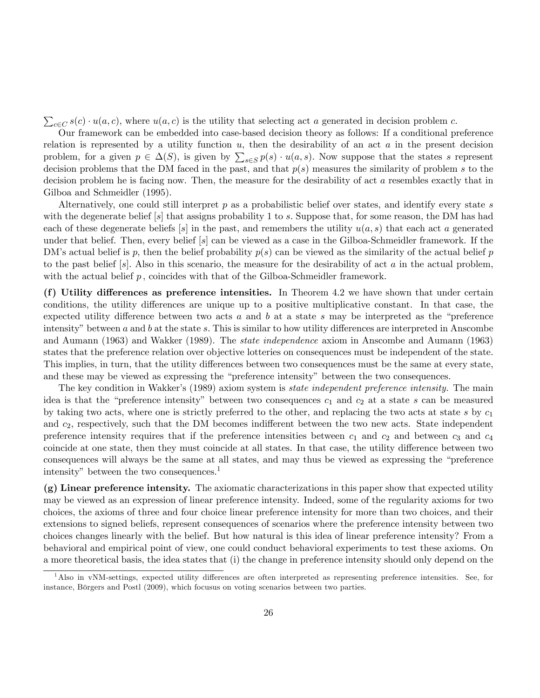$\sum_{c \in C} s(c) \cdot u(a, c)$ , where  $u(a, c)$  is the utility that selecting act a generated in decision problem c.

Our framework can be embedded into case-based decision theory as follows: If a conditional preference relation is represented by a utility function  $u$ , then the desirability of an act  $a$  in the present decision problem, for a given  $p \in \Delta(S)$ , is given by  $\sum_{s \in S} p(s) \cdot u(a, s)$ . Now suppose that the states s represent decision problems that the DM faced in the past, and that  $p(s)$  measures the similarity of problem s to the decision problem he is facing now. Then, the measure for the desirability of act a resembles exactly that in Gilboa and Schmeidler (1995).

Alternatively, one could still interpret  $p$  as a probabilistic belief over states, and identify every state s with the degenerate belief  $[s]$  that assigns probability 1 to s. Suppose that, for some reason, the DM has had each of these degenerate beliefs  $[s]$  in the past, and remembers the utility  $u(a, s)$  that each act a generated under that belief. Then, every belief [s] can be viewed as a case in the Gilboa-Schmeidler framework. If the DM's actual belief is p, then the belief probability  $p(s)$  can be viewed as the similarity of the actual belief p to the past belief  $[s]$ . Also in this scenario, the measure for the desirability of act a in the actual problem, with the actual belief  $p$ , coincides with that of the Gilboa-Schmeidler framework.

(f) Utility differences as preference intensities. In Theorem 4.2 we have shown that under certain conditions, the utility differences are unique up to a positive multiplicative constant. In that case, the expected utility difference between two acts a and b at a state s may be interpreted as the "preference" intensity" between  $a$  and  $b$  at the state  $s$ . This is similar to how utility differences are interpreted in Anscombe and Aumann (1963) and Wakker (1989). The state independence axiom in Anscombe and Aumann (1963) states that the preference relation over objective lotteries on consequences must be independent of the state. This implies, in turn, that the utility differences between two consequences must be the same at every state, and these may be viewed as expressing the "preference intensity" between the two consequences.

The key condition in Wakker's (1989) axiom system is *state independent preference intensity*. The main idea is that the "preference intensity" between two consequences  $c_1$  and  $c_2$  at a state s can be measured by taking two acts, where one is strictly preferred to the other, and replacing the two acts at state s by  $c_1$ and  $c_2$ , respectively, such that the DM becomes indifferent between the two new acts. State independent preference intensity requires that if the preference intensities between  $c_1$  and  $c_2$  and between  $c_3$  and  $c_4$ coincide at one state, then they must coincide at all states. In that case, the utility difference between two consequences will always be the same at all states, and may thus be viewed as expressing the "preference" intensity" between the two consequences. $<sup>1</sup>$ </sup>

(g) Linear preference intensity. The axiomatic characterizations in this paper show that expected utility may be viewed as an expression of linear preference intensity. Indeed, some of the regularity axioms for two choices, the axioms of three and four choice linear preference intensity for more than two choices, and their extensions to signed beliefs, represent consequences of scenarios where the preference intensity between two choices changes linearly with the belief. But how natural is this idea of linear preference intensity? From a behavioral and empirical point of view, one could conduct behavioral experiments to test these axioms. On a more theoretical basis, the idea states that (i) the change in preference intensity should only depend on the

 $1$ Also in vNM-settings, expected utility differences are often interpreted as representing preference intensities. See, for instance, Börgers and Postl (2009), which focusus on voting scenarios between two parties.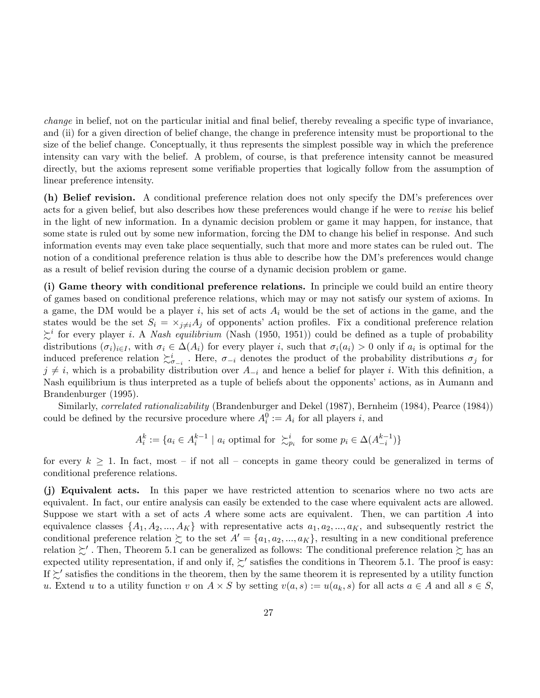change in belief, not on the particular initial and final belief, thereby revealing a specific type of invariance, and (ii) for a given direction of belief change, the change in preference intensity must be proportional to the size of the belief change. Conceptually, it thus represents the simplest possible way in which the preference intensity can vary with the belief. A problem, of course, is that preference intensity cannot be measured directly, but the axioms represent some verifiable properties that logically follow from the assumption of linear preference intensity.

(h) Belief revision. A conditional preference relation does not only specify the DM's preferences over acts for a given belief, but also describes how these preferences would change if he were to revise his belief in the light of new information. In a dynamic decision problem or game it may happen, for instance, that some state is ruled out by some new information, forcing the DM to change his belief in response. And such information events may even take place sequentially, such that more and more states can be ruled out. The notion of a conditional preference relation is thus able to describe how the DM's preferences would change as a result of belief revision during the course of a dynamic decision problem or game.

(i) Game theory with conditional preference relations. In principle we could build an entire theory of games based on conditional preference relations, which may or may not satisfy our system of axioms. In a game, the DM would be a player i, his set of acts  $A_i$  would be the set of actions in the game, and the states would be the set  $S_i = \times_{j \neq i} A_j$  of opponents' action profiles. Fix a conditional preference relation  $\sum_{i=1}^{i}$  for every player *i*. A *Nash equilibrium* (Nash (1950, 1951)) could be defined as a tuple of probability distributions  $(\sigma_i)_{i\in I}$ , with  $\sigma_i \in \Delta(A_i)$  for every player i, such that  $\sigma_i(a_i) > 0$  only if  $a_i$  is optimal for the induced preference relation  $\sum_{i=1}^{i}$ . Here,  $\sigma_{-i}$  denotes the product of the probability distributions  $\sigma_j$  for  $j \neq i$ , which is a probability distribution over  $A_{-i}$  and hence a belief for player i. With this definition, a Nash equilibrium is thus interpreted as a tuple of beliefs about the opponents' actions, as in Aumann and Brandenburger (1995).

Similarly, *correlated rationalizability* (Brandenburger and Dekel (1987), Bernheim (1984), Pearce (1984)) could be defined by the recursive procedure where  $A_i^0 := A_i$  for all players i, and

$$
A_i^k := \{ a_i \in A_i^{k-1} \mid a_i \text{ optimal for } \succ_{p_i}^i \text{ for some } p_i \in \Delta(A_{-i}^{k-1}) \}
$$

for every  $k \geq 1$ . In fact, most – if not all – concepts in game theory could be generalized in terms of conditional preference relations.

(j) Equivalent acts. In this paper we have restricted attention to scenarios where no two acts are equivalent. In fact, our entire analysis can easily be extended to the case where equivalent acts are allowed. Suppose we start with a set of acts  $A$  where some acts are equivalent. Then, we can partition  $A$  into equivalence classes  $\{A_1, A_2, ..., A_K\}$  with representative acts  $a_1, a_2, ..., a_K$ , and subsequently restrict the conditional preference relation  $\succsim$  to the set  $A' = \{a_1, a_2, ..., a_K\}$ , resulting in a new conditional preference relation  $\succsim'$  . Then, Theorem 5.1 can be generalized as follows: The conditional preference relation  $\succsim$  has an expected utility representation, if and only if,  $\succsim'$  satisfies the conditions in Theorem 5.1. The proof is easy: If  $\succsim'$  satisfies the conditions in the theorem, then by the same theorem it is represented by a utility function u. Extend u to a utility function v on  $A \times S$  by setting  $v(a, s) := u(a_k, s)$  for all acts  $a \in A$  and all  $s \in S$ ,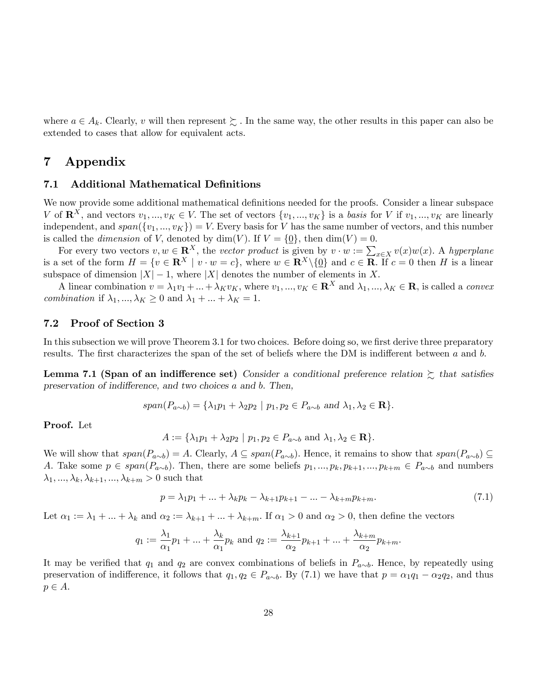where  $a \in A_k$ . Clearly, v will then represent  $\succsim$ . In the same way, the other results in this paper can also be extended to cases that allow for equivalent acts.

# 7 Appendix

## 7.1 Additional Mathematical Definitions

We now provide some additional mathematical definitions needed for the proofs. Consider a linear subspace V of  $\mathbf{R}^X$ , and vectors  $v_1, ..., v_K \in V$ . The set of vectors  $\{v_1, ..., v_K\}$  is a basis for V if  $v_1, ..., v_K$  are linearly independent, and  $span({v_1,...,v_K})=V$ . Every basis for V has the same number of vectors, and this number is called the *dimension* of V, denoted by dim(V). If  $V = \{0\}$ , then dim(V) = 0.

For every two vectors  $v, w \in \mathbb{R}^X$ , the vector product is given by  $v \cdot w := \sum_{x \in X} v(x)w(x)$ . A hyperplane is a set of the form  $H = \{v \in \mathbb{R}^X \mid v \cdot w = c\}$ , where  $w \in \mathbb{R}^X \setminus \{0\}$  and  $c \in \mathbb{R}$ . If  $c = 0$  then H is a linear subspace of dimension  $|X| - 1$ , where  $|X|$  denotes the number of elements in X.

A linear combination  $v = \lambda_1 v_1 + ... + \lambda_K v_K$ , where  $v_1, ..., v_K \in \mathbb{R}^X$  and  $\lambda_1, ..., \lambda_K \in \mathbb{R}$ , is called a *convex* combination if  $\lambda_1, ..., \lambda_K \geq 0$  and  $\lambda_1 + ... + \lambda_K = 1$ .

## 7.2 Proof of Section 3

In this subsection we will prove Theorem 3.1 for two choices. Before doing so, we first derive three preparatory results. The first characterizes the span of the set of beliefs where the DM is indifferent between  $a$  and  $b$ .

Lemma 7.1 (Span of an indifference set) Consider a conditional preference relation  $\gtrsim$  that satisfies preservation of indifference, and two choices a and b. Then,

$$
span(P_{a\sim b}) = {\lambda_1 p_1 + \lambda_2 p_2 \mid p_1, p_2 \in P_{a\sim b} \text{ and } \lambda_1, \lambda_2 \in \mathbf{R}}.
$$

Proof. Let

$$
A := \{ \lambda_1 p_1 + \lambda_2 p_2 \mid p_1, p_2 \in P_{a \sim b} \text{ and } \lambda_1, \lambda_2 \in \mathbf{R} \}.
$$

We will show that  $span(P_{a\sim b}) = A$ . Clearly,  $A \subseteq span(P_{a\sim b})$ . Hence, it remains to show that  $span(P_{a\sim b}) \subseteq$ A. Take some  $p \in span(P_{a\sim b})$ . Then, there are some beliefs  $p_1, ..., p_k, p_{k+1}, ..., p_{k+m} \in P_{a\sim b}$  and numbers  $\lambda_1, ..., \lambda_k, \lambda_{k+1}, ..., \lambda_{k+m} > 0$  such that

$$
p = \lambda_1 p_1 + \ldots + \lambda_k p_k - \lambda_{k+1} p_{k+1} - \ldots - \lambda_{k+m} p_{k+m}.
$$
\n(7.1)

Let  $\alpha_1 := \lambda_1 + ... + \lambda_k$  and  $\alpha_2 := \lambda_{k+1} + ... + \lambda_{k+m}$ . If  $\alpha_1 > 0$  and  $\alpha_2 > 0$ , then define the vectors

$$
q_1 := \frac{\lambda_1}{\alpha_1} p_1 + ... + \frac{\lambda_k}{\alpha_1} p_k
$$
 and  $q_2 := \frac{\lambda_{k+1}}{\alpha_2} p_{k+1} + ... + \frac{\lambda_{k+m}}{\alpha_2} p_{k+m}$ .

It may be verified that  $q_1$  and  $q_2$  are convex combinations of beliefs in  $P_{a\sim b}$ . Hence, by repeatedly using preservation of indifference, it follows that  $q_1, q_2 \in P_{a\sim b}$ . By (7.1) we have that  $p = \alpha_1 q_1 - \alpha_2 q_2$ , and thus  $p \in A$ .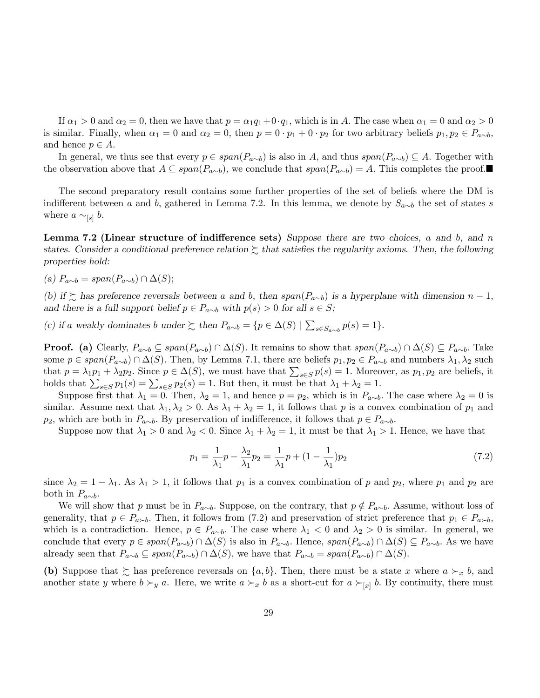If  $\alpha_1 > 0$  and  $\alpha_2 = 0$ , then we have that  $p = \alpha_1 q_1 + 0 \cdot q_1$ , which is in A. The case when  $\alpha_1 = 0$  and  $\alpha_2 > 0$ is similar. Finally, when  $\alpha_1 = 0$  and  $\alpha_2 = 0$ , then  $p = 0 \cdot p_1 + 0 \cdot p_2$  for two arbitrary beliefs  $p_1, p_2 \in P_{a \sim b}$ , and hence  $p \in A$ .

In general, we thus see that every  $p \in span(P_{a\sim b})$  is also in A, and thus  $span(P_{a\sim b}) \subseteq A$ . Together with the observation above that  $A \subseteq span(P_{a\sim b})$ , we conclude that  $span(P_{a\sim b}) = A$ . This completes the proof.

The second preparatory result contains some further properties of the set of beliefs where the DM is indifferent between a and b, gathered in Lemma 7.2. In this lemma, we denote by  $S_{a\sim b}$  the set of states s where  $a \sim_{[s]} b$ .

**Lemma 7.2 (Linear structure of indifference sets)** Suppose there are two choices, a and b, and n states. Consider a conditional preference relation  $\gtrsim$  that satisfies the regularity axioms. Then, the following properties hold:

(a)  $P_{a\sim b} = span(P_{a\sim b}) \cap \Delta(S);$ 

(b) if  $\geq$  has preference reversals between a and b, then span( $P_{a\sim b}$ ) is a hyperplane with dimension  $n-1$ , and there is a full support belief  $p \in P_{a \sim b}$  with  $p(s) > 0$  for all  $s \in S$ ;

(c) if a weakly dominates b under  $\gtrsim$  then  $P_{a\sim b} = \{p \in \Delta(S) \mid \sum_{s \in S_{a\sim b}} p(s) = 1\}.$ 

**Proof.** (a) Clearly,  $P_{a\sim b} \subseteq span(P_{a\sim b}) \cap \Delta(S)$ . It remains to show that  $span(P_{a\sim b}) \cap \Delta(S) \subseteq P_{a\sim b}$ . Take some  $p \in span(P_{a\sim b}) \cap \Delta(S)$ . Then, by Lemma 7.1, there are beliefs  $p_1, p_2 \in P_{a\sim b}$  and numbers  $\lambda_1, \lambda_2$  such that  $p = \lambda_1 p_1 + \lambda_2 p_2$ . Since  $p \in \Delta(S)$ , we must have that  $\sum_{s \in S} p(s) = 1$ . Moreover, as  $p_1, p_2$  are beliefs, it holds that  $\sum_{s \in S} p_1(s) = \sum_{s \in S} p_2(s) = 1$ . But then, it must be that  $\lambda_1 + \lambda_2 = 1$ .

Suppose first that  $\lambda_1 = 0$ . Then,  $\lambda_2 = 1$ , and hence  $p = p_2$ , which is in  $P_{a \sim b}$ . The case where  $\lambda_2 = 0$  is similar. Assume next that  $\lambda_1, \lambda_2 > 0$ . As  $\lambda_1 + \lambda_2 = 1$ , it follows that p is a convex combination of  $p_1$  and  $p_2$ , which are both in  $P_{a\sim b}$ . By preservation of indifference, it follows that  $p \in P_{a\sim b}$ .

Suppose now that  $\lambda_1 > 0$  and  $\lambda_2 < 0$ . Since  $\lambda_1 + \lambda_2 = 1$ , it must be that  $\lambda_1 > 1$ . Hence, we have that

$$
p_1 = \frac{1}{\lambda_1} p - \frac{\lambda_2}{\lambda_1} p_2 = \frac{1}{\lambda_1} p + (1 - \frac{1}{\lambda_1}) p_2
$$
\n(7.2)

since  $\lambda_2 = 1 - \lambda_1$ . As  $\lambda_1 > 1$ , it follows that  $p_1$  is a convex combination of p and  $p_2$ , where  $p_1$  and  $p_2$  are both in  $P_{a\sim b}$ .

We will show that p must be in  $P_{a\sim b}$ . Suppose, on the contrary, that  $p \notin P_{a\sim b}$ . Assume, without loss of generality, that  $p \in P_{a \succ b}$ . Then, it follows from (7.2) and preservation of strict preference that  $p_1 \in P_{a \succ b}$ , which is a contradiction. Hence,  $p \in P_{a\sim b}$ . The case where  $\lambda_1 < 0$  and  $\lambda_2 > 0$  is similar. In general, we conclude that every  $p \in span(P_{a\sim b}) \cap \Delta(S)$  is also in  $P_{a\sim b}$ . Hence,  $span(P_{a\sim b}) \cap \Delta(S) \subseteq P_{a\sim b}$ . As we have already seen that  $P_{a\sim b} \subseteq span(P_{a\sim b}) \cap \Delta(S)$ , we have that  $P_{a\sim b} = span(P_{a\sim b}) \cap \Delta(S)$ .

(b) Suppose that  $\geq$  has preference reversals on  $\{a, b\}$ . Then, there must be a state x where  $a \succ_x b$ , and another state y where  $b \succ_y a$ . Here, we write  $a \succ_x b$  as a short-cut for  $a \succ_{[x]} b$ . By continuity, there must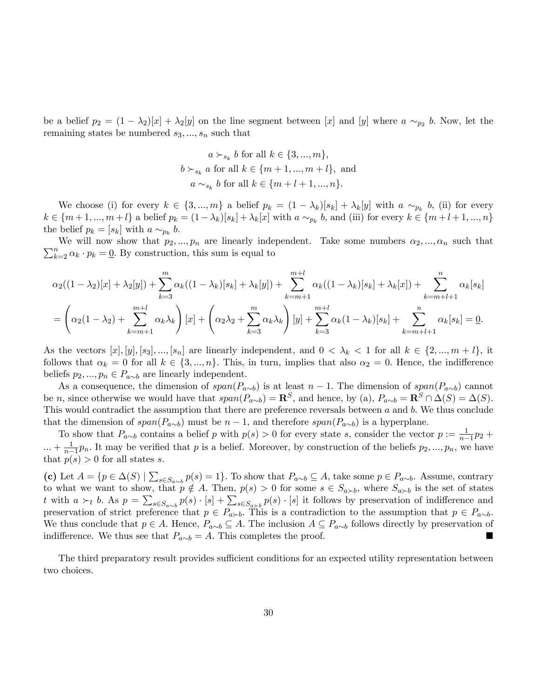be a belief  $p_2 = (1 - \lambda_2)[x] + \lambda_2[y]$  on the line segment between [x] and [y] where  $a \sim_{p_2} b$ . Now, let the remaining states be numbered  $s_3, ..., s_n$  such that

$$
a \succ_{s_k} b \text{ for all } k \in \{3, ..., m\},
$$
  

$$
b \succ_{s_k} a \text{ for all } k \in \{m+1, ..., m+l\}, \text{ and}
$$
  

$$
a \sim_{s_k} b \text{ for all } k \in \{m+l+1, ..., n\}.
$$

We choose (i) for every  $k \in \{3, ..., m\}$  a belief  $p_k = (1 - \lambda_k)[s_k] + \lambda_k[y]$  with  $a \sim_{p_k} b$ , (ii) for every  $k \in \{m+1, ..., m+l\}$  a belief  $p_k = (1 - \lambda_k)[s_k] + \lambda_k[x]$  with  $a \sim_{p_k} b$ , and (iii) for every  $k \in \{m+l+1, ..., n\}$ the belief  $p_k = [s_k]$  with  $a \sim_{p_k} b$ .

 $\sum_{k=2}^{n} \alpha_k \cdot p_k = \underline{0}$ . By construction, this sum is equal to We will now show that  $p_2, ..., p_n$  are linearly independent. Take some numbers  $\alpha_2, ..., \alpha_n$  such that

$$
\alpha_2((1-\lambda_2)[x] + \lambda_2[y]) + \sum_{k=3}^m \alpha_k((1-\lambda_k)[s_k] + \lambda_k[y]) + \sum_{k=m+1}^{m+l} \alpha_k((1-\lambda_k)[s_k] + \lambda_k[x]) + \sum_{k=m+l+1}^n \alpha_k[s_k]
$$
  
=  $\left(\alpha_2(1-\lambda_2) + \sum_{k=m+1}^{m+l} \alpha_k \lambda_k\right)[x] + \left(\alpha_2 \lambda_2 + \sum_{k=3}^m \alpha_k \lambda_k\right)[y] + \sum_{k=3}^{m+l} \alpha_k(1-\lambda_k)[s_k] + \sum_{k=m+l+1}^n \alpha_k[s_k] = \underline{0}.$ 

As the vectors  $[x], [y], [s_3], ..., [s_n]$  are linearly independent, and  $0 < \lambda_k < 1$  for all  $k \in \{2, ..., m + l\}$ , it follows that  $\alpha_k = 0$  for all  $k \in \{3, ..., n\}$ . This, in turn, implies that also  $\alpha_2 = 0$ . Hence, the indifference beliefs  $p_2, ..., p_n \in P_{a \sim b}$  are linearly independent.

As a consequence, the dimension of  $span(P_{a\sim b})$  is at least  $n-1$ . The dimension of  $span(P_{a\sim b})$  cannot be n, since otherwise we would have that  $span(P_{a\sim b}) = \mathbf{R}^S$ , and hence, by (a),  $P_{a\sim b} = \mathbf{R}^S \cap \Delta(S) = \Delta(S)$ . This would contradict the assumption that there are preference reversals between a and b. We thus conclude that the dimension of  $span(P_{a\sim b})$  must be  $n-1$ , and therefore  $span(P_{a\sim b})$  is a hyperplane.

To show that  $P_{a\sim b}$  contains a belief p with  $p(s) > 0$  for every state s, consider the vector  $p := \frac{1}{n-1}p_2 +$  $... + \frac{1}{n-1}$  $\frac{1}{n-1}p_n$ . It may be verified that p is a belief. Moreover, by construction of the beliefs  $p_2, ..., p_n$ , we have that  $p(s) > 0$  for all states s.

(c) Let  $A = \{p \in \Delta(S) \mid \sum_{s \in S_{a \sim b}} p(s) = 1\}$ . To show that  $P_{a \sim b} \subseteq A$ , take some  $p \in P_{a \sim b}$ . Assume, contrary to what we want to show, that  $p \notin A$ . Then,  $p(s) > 0$  for some  $s \in S_{a \succ b}$ , where  $S_{a \succ b}$  is the set of states t with  $a \succ_t b$ . As  $p = \sum_{s \in S_{a \sim b}} p(s) \cdot [s] + \sum_{s \in S_{a \succ b}} p(s) \cdot [s]$  it follows by preservation of indifference and preservation of strict preference that  $p \in P_{a \succ b}$ . This is a contradiction to the assumption that  $p \in P_{a \sim b}$ . We thus conclude that  $p \in A$ . Hence,  $P_{a\sim b} \subseteq A$ . The inclusion  $A \subseteq P_{a\sim b}$  follows directly by preservation of indifference. We thus see that  $P_{a\sim b} = A$ . This completes the proof.

The third preparatory result provides sufficient conditions for an expected utility representation between two choices.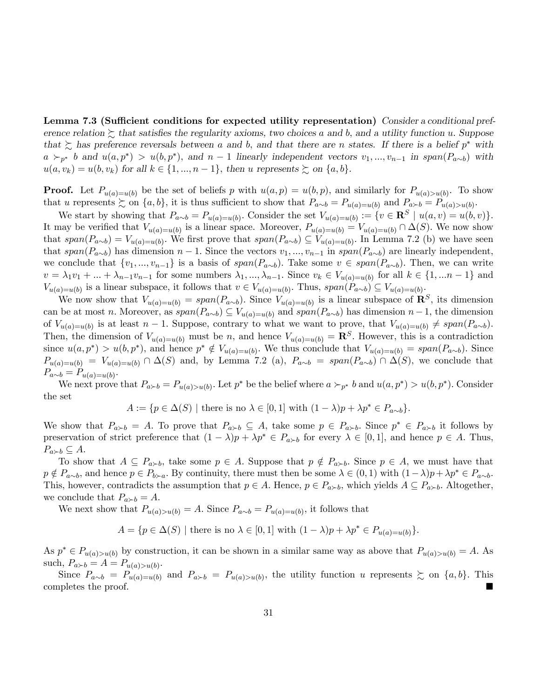Lemma 7.3 (Sufficient conditions for expected utility representation) Consider a conditional preference relation  $\succeq$  that satisfies the regularity axioms, two choices a and b, and a utility function u. Suppose that  $\succsim$  has preference reversals between a and b, and that there are n states. If there is a belief  $p^*$  with  $a \succ_{p^*} b$  and  $u(a, p^*) > u(b, p^*)$ , and  $n-1$  linearly independent vectors  $v_1, ..., v_{n-1}$  in span $(P_{a \sim b})$  with  $u(a, v_k) = u(b, v_k)$  for all  $k \in \{1, ..., n-1\}$ , then u represents  $\succeq$  on  $\{a, b\}$ .

**Proof.** Let  $P_{u(a)=u(b)}$  be the set of beliefs p with  $u(a,p) = u(b,p)$ , and similarly for  $P_{u(a)>u(b)}$ . To show that u represents  $\succsim$  on  $\{a, b\}$ , it is thus sufficient to show that  $P_{a \sim b} = P_{u(a)=u(b)}$  and  $P_{a \succ b} = P_{u(a)>u(b)}$ .

We start by showing that  $P_{a\sim b} = P_{u(a)=u(b)}$ . Consider the set  $V_{u(a)=u(b)} := \{v \in \mathbb{R}^S \mid u(a,v) = u(b,v)\}.$ It may be verified that  $V_{u(a)=u(b)}$  is a linear space. Moreover,  $P_{u(a)=u(b)} = V_{u(a)=u(b)} \cap \Delta(S)$ . We now show that  $span(P_{a\sim b})=V_{u(a)=u(b)}$ . We first prove that  $span(P_{a\sim b})\subseteq V_{u(a)=u(b)}$ . In Lemma 7.2 (b) we have seen that span( $P_{a\sim b}$ ) has dimension n – 1. Since the vectors  $v_1, ..., v_{n-1}$  in span( $P_{a\sim b}$ ) are linearly independent, we conclude that  $\{v_1,..., v_{n-1}\}$  is a basis of  $span(P_{a\sim b})$ . Take some  $v \in span(P_{a\sim b})$ . Then, we can write  $v = \lambda_1 v_1 + ... + \lambda_{n-1} v_{n-1}$  for some numbers  $\lambda_1, ..., \lambda_{n-1}$ . Since  $v_k \in V_{u(a)=u(b)}$  for all  $k \in \{1, ... n-1\}$  and  $V_{u(a)=u(b)}$  is a linear subspace, it follows that  $v \in V_{u(a)=u(b)}$ . Thus,  $span(P_{a\sim b}) \subseteq V_{u(a)=u(b)}$ .

We now show that  $V_{u(a)=u(b)} = span(P_{a\sim b})$ . Since  $V_{u(a)=u(b)}$  is a linear subspace of  $\mathbb{R}^S$ , its dimension can be at most n. Moreover, as  $span(P_{a\sim b}) \subseteq V_{u(a)=u(b)}$  and  $span(P_{a\sim b})$  has dimension  $n-1$ , the dimension of  $V_{u(a)=u(b)}$  is at least  $n-1$ . Suppose, contrary to what we want to prove, that  $V_{u(a)=u(b)} \neq span(P_{a\sim b})$ . Then, the dimension of  $V_{u(a)=u(b)}$  must be n, and hence  $V_{u(a)=u(b)} = \mathbb{R}^S$ . However, this is a contradiction since  $u(a, p^*) > u(b, p^*)$ , and hence  $p^* \notin V_{u(a)=u(b)}$ . We thus conclude that  $V_{u(a)=u(b)} = span(P_{a\sim b})$ . Since  $P_{u(a)=u(b)} = V_{u(a)=u(b)} \cap \Delta(S)$  and, by Lemma 7.2 (a),  $P_{a\sim b} = span(P_{a\sim b}) \cap \Delta(S)$ , we conclude that  $P_{a\sim b} = P_{u(a)=u(b)}$ .

We next prove that  $P_{a \succ b} = P_{u(a) > u(b)}$ . Let  $p^*$  be the belief where  $a \succ_{p^*} b$  and  $u(a, p^*) > u(b, p^*)$ . Consider the set

$$
A := \{ p \in \Delta(S) \mid \text{there is no } \lambda \in [0,1] \text{ with } (1-\lambda)p + \lambda p^* \in P_{a \sim b} \}.
$$

We show that  $P_{a \succ b} = A$ . To prove that  $P_{a \succ b} \subseteq A$ , take some  $p \in P_{a \succ b}$ . Since  $p^* \in P_{a \succ b}$  it follows by preservation of strict preference that  $(1 - \lambda)p + \lambda p^* \in P_{a \succ b}$  for every  $\lambda \in [0, 1]$ , and hence  $p \in A$ . Thus,  $P_{a \succ b} \subseteq A.$ 

To show that  $A \subseteq P_{a \succ b}$ , take some  $p \in A$ . Suppose that  $p \notin P_{a \succ b}$ . Since  $p \in A$ , we must have that  $p \notin P_{a \sim b}$ , and hence  $p \in P_{b \succ a}$ . By continuity, there must then be some  $\lambda \in (0,1)$  with  $(1-\lambda)p + \lambda p^* \in P_{a \sim b}$ . This, however, contradicts the assumption that  $p \in A$ . Hence,  $p \in P_{a \succ b}$ , which yields  $A \subseteq P_{a \succ b}$ . Altogether, we conclude that  $P_{a \succ b} = A$ .

We next show that  $P_{u(a)>u(b)} = A$ . Since  $P_{a \sim b} = P_{u(a)=u(b)}$ , it follows that

 $A = \{p \in \Delta(S) \mid \text{there is no } \lambda \in [0, 1] \text{ with } (1 - \lambda)p + \lambda p^* \in P_{u(a)=u(b)}\}.$ 

As  $p^* \in P_{u(a)>u(b)}$  by construction, it can be shown in a similar same way as above that  $P_{u(a)>u(b)} = A$ . As such,  $P_{a \succ b} = A = P_{u(a) > u(b)}$ .

Since  $P_{a\sim b} = P_{u(a)=u(b)}$  and  $P_{a\succ b} = P_{u(a)>u(b)}$ , the utility function u represents  $\succsim$  on  $\{a, b\}$ . This completes the proof.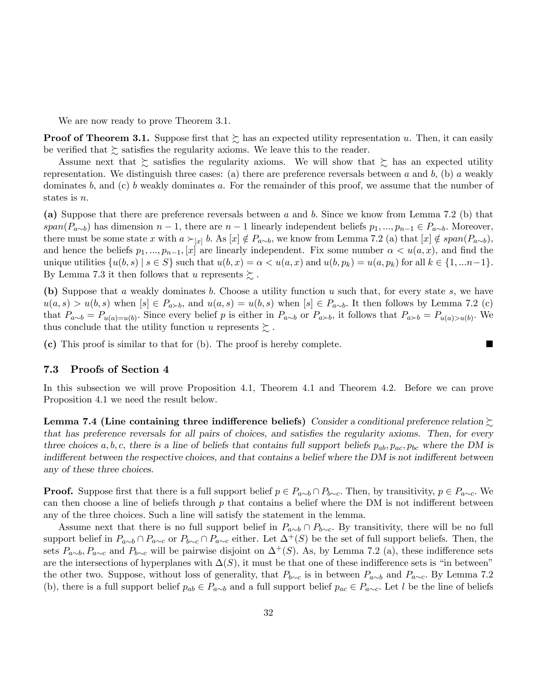We are now ready to prove Theorem 3.1.

**Proof of Theorem 3.1.** Suppose first that  $\succeq$  has an expected utility representation u. Then, it can easily be verified that  $\succeq$  satisfies the regularity axioms. We leave this to the reader.

Assume next that  $\gtrsim$  satisfies the regularity axioms. We will show that  $\gtrsim$  has an expected utility representation. We distinguish three cases: (a) there are preference reversals between a and b, (b) a weakly dominates b, and (c) b weakly dominates a. For the remainder of this proof, we assume that the number of states is  $n$ .

(a) Suppose that there are preference reversals between a and b: Since we know from Lemma 7.2 (b) that  $span(P_{a\sim b})$  has dimension  $n-1$ , there are  $n-1$  linearly independent beliefs  $p_1, ..., p_{n-1} \in P_{a\sim b}$ . Moreover, there must be some state x with  $a \succ_{[x]} b$ . As  $[x] \notin P_{a \sim b}$ , we know from Lemma 7.2 (a) that  $[x] \notin span(P_{a \sim b})$ ; and hence the beliefs  $p_1, ..., p_{n-1}, [x]$  are linearly independent. Fix some number  $\alpha < u(a, x)$ , and find the unique utilities  $\{u(b, s) \mid s \in S\}$  such that  $u(b, x) = \alpha < u(a, x)$  and  $u(b, p_k) = u(a, p_k)$  for all  $k \in \{1, \dots n-1\}$ . By Lemma 7.3 it then follows that u represents  $\succsim$ .

(b) Suppose that a weakly dominates b. Choose a utility function u such that, for every state s, we have  $u(a, s) > u(b, s)$  when  $[s] \in P_{a \succ b}$ , and  $u(a, s) = u(b, s)$  when  $[s] \in P_{a \sim b}$ . It then follows by Lemma 7.2 (c) that  $P_{a\sim b} = P_{u(a)=u(b)}$ . Since every belief p is either in  $P_{a\sim b}$  or  $P_{a\succ b}$ , it follows that  $P_{a\succ b} = P_{u(a)>u(b)}$ . We thus conclude that the utility function u represents  $\gtrsim$ .

(c) This proof is similar to that for (b). The proof is hereby complete.

## 7.3 Proofs of Section 4

In this subsection we will prove Proposition 4.1, Theorem 4.1 and Theorem 4.2. Before we can prove Proposition 4.1 we need the result below.

Lemma 7.4 (Line containing three indifference beliefs) Consider a conditional preference relation  $\succsim$ that has preference reversals for all pairs of choices, and satisfies the regularity axioms. Then, for every three choices  $a, b, c$ , there is a line of beliefs that contains full support beliefs  $p_{ab}, p_{ac}, p_{bc}$  where the DM is indifferent between the respective choices, and that contains a belief where the DM is not indifferent between any of these three choices.

**Proof.** Suppose first that there is a full support belief  $p \in P_{a \sim b} \cap P_{b \sim c}$ . Then, by transitivity,  $p \in P_{a \sim c}$ . We can then choose a line of beliefs through  $p$  that contains a belief where the DM is not indifferent between any of the three choices: Such a line will satisfy the statement in the lemma.

Assume next that there is no full support belief in  $P_{a\sim b} \cap P_{b\sim c}$ . By transitivity, there will be no full support belief in  $P_{a\sim b} \cap P_{a\sim c}$  or  $P_{b\sim c} \cap P_{a\sim c}$  either. Let  $\Delta^+(S)$  be the set of full support beliefs. Then, the sets  $P_{a\sim b}$ ,  $P_{a\sim c}$  and  $P_{b\sim c}$  will be pairwise disjoint on  $\Delta^+(S)$ . As, by Lemma 7.2 (a), these indifference sets are the intersections of hyperplanes with  $\Delta(S)$ , it must be that one of these indifference sets is "in between" the other two. Suppose, without loss of generality, that  $P_{b\sim c}$  is in between  $P_{a\sim b}$  and  $P_{a\sim c}$ . By Lemma 7.2 (b), there is a full support belief  $p_{ab} \in P_{a\sim b}$  and a full support belief  $p_{ac} \in P_{a\sim c}$ . Let l be the line of beliefs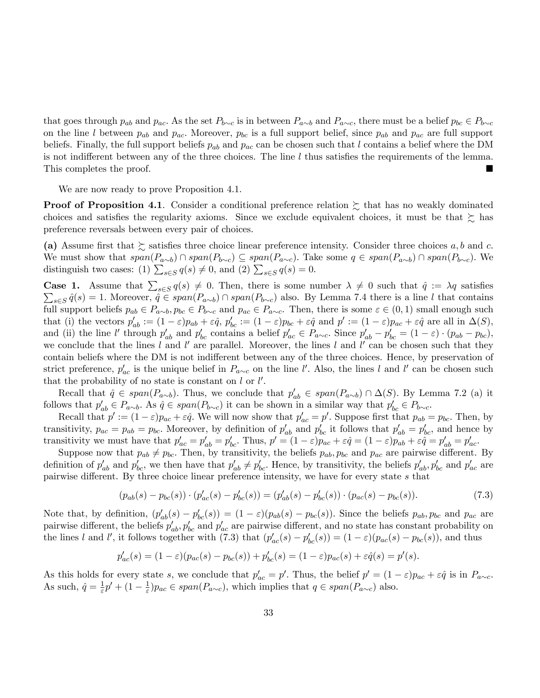that goes through  $p_{ab}$  and  $p_{ac}$ . As the set  $P_{b\sim c}$  is in between  $P_{a\sim b}$  and  $P_{a\sim c}$ , there must be a belief  $p_{bc} \in P_{b\sim c}$ on the line l between  $p_{ab}$  and  $p_{ac}$ . Moreover,  $p_{bc}$  is a full support belief, since  $p_{ab}$  and  $p_{ac}$  are full support beliefs. Finally, the full support beliefs  $p_{ab}$  and  $p_{ac}$  can be chosen such that l contains a belief where the DM is not indifferent between any of the three choices. The line  $l$  thus satisfies the requirements of the lemma. This completes the proof.

We are now ready to prove Proposition 4.1.

**Proof of Proposition 4.1**. Consider a conditional preference relation  $\geq$  that has no weakly dominated choices and satisfies the regularity axioms. Since we exclude equivalent choices, it must be that  $\succeq$  has preference reversals between every pair of choices.

(a) Assume first that  $\succsim$  satisfies three choice linear preference intensity. Consider three choices a, b and c. We must show that  $span(P_{a\sim b}) \cap span(P_{b\sim c}) \subseteq span(P_{a\sim c})$ . Take some  $q \in span(P_{a\sim b}) \cap span(P_{b\sim c})$ . We distinguish two cases: (1)  $\sum_{s \in S} q(s) \neq 0$ , and (2)  $\sum_{s \in S} q(s) = 0$ .

**Case 1.** Assume that  $\sum_{s \in S} q(s) \neq 0$ . Then, there is some number  $\lambda \neq 0$  such that  $\hat{q} := \lambda q$  satisfies  $\sum_{s\in S} \hat{q}(s) = 1.$  Moreover,  $\hat{q} \in span(P_{a\sim b}) \cap span(P_{b\sim c})$  also. By Lemma 7.4 there is a line l that contains full support beliefs  $p_{ab} \in P_{a\sim b}, p_{bc} \in P_{b\sim c}$  and  $p_{ac} \in P_{a\sim c}$ . Then, there is some  $\varepsilon \in (0,1)$  small enough such that (i) the vectors  $p'_{ab} := (1 - \varepsilon)p_{ab} + \varepsilon \hat{q}$ ,  $p'_{bc} := (1 - \varepsilon)p_{bc} + \varepsilon \hat{q}$  and  $p' := (1 - \varepsilon)p_{ac} + \varepsilon \hat{q}$  are all in  $\Delta(S)$ , and (ii) the line l' through  $p'_{ab}$  and  $p'_{bc}$  contains a belief  $p'_{ac} \in P_{a \sim c}$ . Since  $p'_{ab} - p'_{bc} = (1 - \varepsilon) \cdot (p_{ab} - p_{bc})$ , we conclude that the lines l and l' are parallel. Moreover, the lines l and l' can be chosen such that they contain beliefs where the DM is not indifferent between any of the three choices. Hence, by preservation of strict preference,  $p'_{ac}$  is the unique belief in  $P_{a\sim c}$  on the line l'. Also, the lines l and l' can be chosen such that the probability of no state is constant on  $l$  or  $l'$ .

Recall that  $\hat{q} \in span(P_{a\sim b})$ . Thus, we conclude that  $p'_{ab} \in span(P_{a\sim b}) \cap \Delta(S)$ . By Lemma 7.2 (a) it follows that  $p'_{ab} \in P_{a\sim b}$ . As  $\hat{q} \in span(P_{b\sim c})$  it can be shown in a similar way that  $p'_{bc} \in P_{b\sim c}$ .

Recall that  $p' := (1 - \varepsilon)p_{ac} + \varepsilon \hat{q}$ . We will now show that  $p'_{ac} = p'$ . Suppose first that  $p_{ab} = p_{bc}$ . Then, by transitivity,  $p_{ac} = p_{ab} = p_{bc}$ . Moreover, by definition of  $p'_{ab}$  and  $p'_{bc}$  it follows that  $p'_{ab} = p'_{bc}$ , and hence by transitivity we must have that  $p'_{ac} = p'_{ab} = p'_{bc}$ . Thus,  $p' = (1 - \varepsilon)p_{ac} + \varepsilon \hat{q} = (1 - \varepsilon)p_{ab} + \varepsilon \hat{q} = p'_{ab} = p'_{ac}$ .

Suppose now that  $p_{ab} \neq p_{bc}$ . Then, by transitivity, the beliefs  $p_{ab}$ ,  $p_{bc}$  and  $p_{ac}$  are pairwise different. By definition of  $p'_{ab}$  and  $p'_{bc}$ , we then have that  $p'_{ab} \neq p'_{bc}$ . Hence, by transitivity, the beliefs  $p'_{ab}, p'_{bc}$  and  $p'_{ac}$  are pairwise different. By three choice linear preference intensity, we have for every state  $s$  that

$$
(p_{ab}(s) - p_{bc}(s)) \cdot (p'_{ac}(s) - p'_{bc}(s)) = (p'_{ab}(s) - p'_{bc}(s)) \cdot (p_{ac}(s) - p_{bc}(s)).
$$
\n(7.3)

Note that, by definition,  $(p'_{ab}(s) - p'_{bc}(s)) = (1 - \varepsilon)(p_{ab}(s) - p_{bc}(s))$ . Since the beliefs  $p_{ab}, p_{bc}$  and  $p_{ac}$  are pairwise different, the beliefs  $p'_{ab}$ ,  $p'_{bc}$  and  $p'_{ac}$  are pairwise different, and no state has constant probability on the lines l and l', it follows together with (7.3) that  $(p'_{ac}(s) - p'_{bc}(s)) = (1 - \varepsilon)(p_{ac}(s) - p_{bc}(s))$ , and thus

$$
p'_{ac}(s) = (1 - \varepsilon)(p_{ac}(s) - p_{bc}(s)) + p'_{bc}(s) = (1 - \varepsilon)p_{ac}(s) + \varepsilon \hat{q}(s) = p'(s).
$$

As this holds for every state s, we conclude that  $p'_{ac} = p'$ . Thus, the belief  $p' = (1 - \varepsilon)p_{ac} + \varepsilon \hat{q}$  is in  $P_{a\sim c}$ . As such,  $\hat{q} = \frac{1}{\varepsilon}$  $\frac{1}{\varepsilon}p' + (1 - \frac{1}{\varepsilon})$  $\frac{1}{\varepsilon}$ ) $p_{ac} \in span(P_{a\sim c})$ , which implies that  $q \in span(P_{a\sim c})$  also.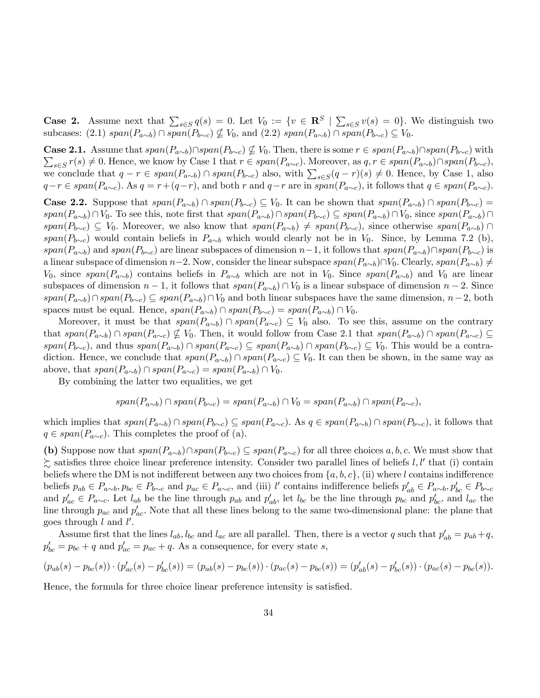**Case 2.** Assume next that  $\sum_{s \in S} q(s) = 0$ . Let  $V_0 := \{v \in \mathbb{R}^S \mid \sum_{s \in S} v(s) = 0\}$ . We distinguish two subcases: (2.1)  $span(P_{a\sim b}) \cap span(P_{b\sim c}) \nsubseteq V_0$ , and (2.2)  $span(P_{a\sim b}) \cap span(P_{b\sim c}) \subseteq V_0$ .

**Case 2.1.** Assume that  $span(P_{a\sim b})\cap span(P_{b\sim c}) \nsubseteq V_0$ . Then, there is some  $r \in span(P_{a\sim b})\cap span(P_{b\sim c})$  with  $\sum_{s\in S} r(s) \neq 0$ . Hence, we know by Case 1 that  $r \in span(P_{a\sim c})$ . Moreover, as  $q, r \in span(P_{a\sim b})\cap span(P_{b\sim c})$ , we conclude that  $q - r \in span(P_{a \sim b}) \cap span(P_{b \sim c})$  also, with  $\sum_{s \in S} (q - r)(s) \neq 0$ . Hence, by Case 1, also  $q-r \in span(P_{a\sim c})$ . As  $q = r+(q-r)$ , and both r and  $q-r$  are in  $span(P_{a\sim c})$ , it follows that  $q \in span(P_{a\sim c})$ .

**Case 2.2.** Suppose that  $span(P_{a\sim b}) \cap span(P_{b\sim c}) \subseteq V_0$ . It can be shown that  $span(P_{a\sim b}) \cap span(P_{b\sim c}) =$  $span(P_{a\sim b})\cap V_0.$  To see this, note first that  $span(P_{a\sim b})\cap span(P_{b\sim c})\subseteq span(P_{a\sim b})\cap V_0$ , since  $span(P_{a\sim b})\cap V_0$  $span(P_{b\sim c}) \subseteq V_0$ . Moreover, we also know that  $span(P_{a\sim b}) \neq span(P_{b\sim c})$ , since otherwise  $span(P_{a\sim b}) \cap$  $span(P_{b\sim c})$  would contain beliefs in  $P_{a\sim b}$  which would clearly not be in  $V_0$ . Since, by Lemma 7.2 (b),  $span(P_{a\sim b})$  and  $span(P_{b\sim c})$  are linear subspaces of dimension  $n-1$ , it follows that  $span(P_{a\sim b})\cap span(P_{b\sim c})$  is a linear subspace of dimension  $n-2$ . Now, consider the linear subspace  $span(P_{a\sim b})\cap V_0$ . Clearly,  $span(P_{a\sim b})\neq$  $V_0$ , since span( $P_{a\sim b}$ ) contains beliefs in  $P_{a\sim b}$  which are not in  $V_0$ . Since span( $P_{a\sim b}$ ) and  $V_0$  are linear subspaces of dimension  $n-1$ , it follows that  $span(P_{a\sim b}) \cap V_0$  is a linear subspace of dimension  $n-2$ . Since  $span(P_{a\sim b})\cap span(P_{b\sim c})\subseteq span(P_{a\sim b})\cap V_0$  and both linear subspaces have the same dimension,  $n-2$ , both spaces must be equal. Hence,  $span(P_{a\sim b}) \cap span(P_{b\sim c}) = span(P_{a\sim b}) \cap V_0$ .

Moreover, it must be that  $span(P_{a\sim b}) \cap span(P_{a\sim c}) \subseteq V_0$  also. To see this, assume on the contrary that  $span(P_{a\sim b}) \cap span(P_{a\sim c}) \nsubseteq V_0$ . Then, it would follow from Case 2.1 that  $span(P_{a\sim b}) \cap span(P_{a\sim c})$  $span(P_{b\sim c})$ , and thus  $span(P_{a\sim b}) \cap span(P_{a\sim c}) \subseteq span(P_{a\sim b}) \cap span(P_{b\sim c}) \subseteq V_0$ . This would be a contradiction. Hence, we conclude that  $span(P_{a\sim b}) \cap span(P_{a\sim c}) \subseteq V_0$ . It can then be shown, in the same way as above, that  $span(P_{a\sim b}) \cap span(P_{a\sim c}) = span(P_{a\sim b}) \cap V_0$ .

By combining the latter two equalities, we get

$$
span(P_{a\sim b}) \cap span(P_{b\sim c}) = span(P_{a\sim b}) \cap V_0 = span(P_{a\sim b}) \cap span(P_{a\sim c}),
$$

which implies that  $span(P_{a\sim b}) \cap span(P_{b\sim c}) \subseteq span(P_{a\sim c})$ . As  $q \in span(P_{a\sim b}) \cap span(P_{b\sim c})$ , it follows that  $q \in span(P_{a\sim c})$ . This completes the proof of (a).

(b) Suppose now that  $span(P_{a\sim b})\cap span(P_{b\sim c}) \subseteq span(P_{a\sim c})$  for all three choices a, b, c. We must show that  $\succsim$  satisfies three choice linear preference intensity. Consider two parallel lines of beliefs  $l, l'$  that (i) contain beliefs where the DM is not indifferent between any two choices from  $\{a, b, c\}$ , (ii) where l contains indifference beliefs  $p_{ab} \in P_{a \sim b}$ ,  $p_{bc} \in P_{b \sim c}$  and  $p_{ac} \in P_{a \sim c}$ , and (iii) l' contains indifference beliefs  $p'_{ab} \in P_{a \sim b}$ ,  $p'_{bc} \in P_{b \sim c}$ and  $p'_{ac} \in P_{a\sim c}$ . Let  $l_{ab}$  be the line through  $p_{ab}$  and  $p'_{ab}$ , let  $l_{bc}$  be the line through  $p_{bc}$  and  $p'_{bc}$ , and  $l_{ac}$  the line through  $p_{ac}$  and  $p'_{ac}$ . Note that all these lines belong to the same two-dimensional plane: the plane that goes through  $l$  and  $l'$ .

Assume first that the lines  $l_{ab}$ ,  $l_{bc}$  and  $l_{ac}$  are all parallel. Then, there is a vector q such that  $p'_{ab} = p_{ab} + q$ ,  $p'_{bc} = p_{bc} + q$  and  $p'_{ac} = p_{ac} + q$ . As a consequence, for every state s,

$$
(p_{ab}(s) - p_{bc}(s)) \cdot (p'_{ac}(s) - p'_{bc}(s)) = (p_{ab}(s) - p_{bc}(s)) \cdot (p_{ac}(s) - p_{bc}(s)) = (p'_{ab}(s) - p'_{bc}(s)) \cdot (p_{ac}(s) - p_{bc}(s)).
$$

Hence, the formula for three choice linear preference intensity is satisfied.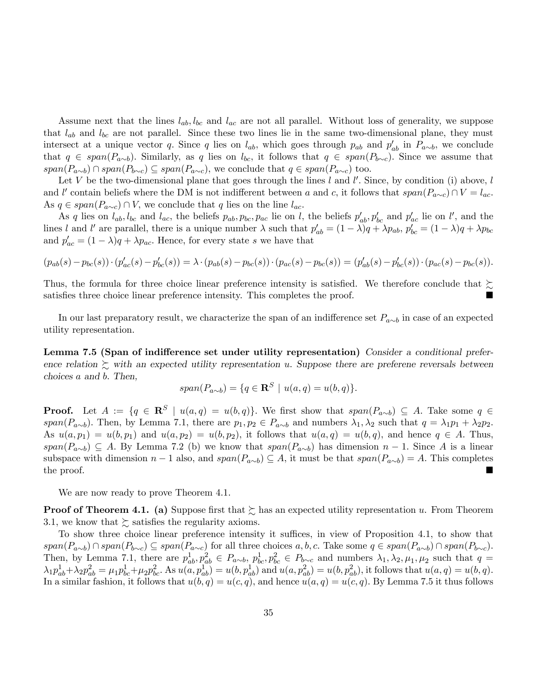Assume next that the lines  $l_{ab}$ ,  $l_{bc}$  and  $l_{ac}$  are not all parallel. Without loss of generality, we suppose that  $l_{ab}$  and  $l_{bc}$  are not parallel. Since these two lines lie in the same two-dimensional plane, they must intersect at a unique vector q. Since q lies on  $l_{ab}$ , which goes through  $p_{ab}$  and  $p'_{ab}$  in  $P_{a\sim b}$ , we conclude that  $q \in span(P_{a\sim b})$ . Similarly, as q lies on  $l_{bc}$ , it follows that  $q \in span(P_{b\sim c})$ . Since we assume that  $span(P_{a\sim b}) \cap span(P_{b\sim c}) \subseteq span(P_{a\sim c})$ , we conclude that  $q \in span(P_{a\sim c})$  too.

Let V be the two-dimensional plane that goes through the lines l and l'. Since, by condition (i) above, l and l' contain beliefs where the DM is not indifferent between a and c, it follows that  $span(P_{a\sim c}) \cap V = l_{ac}$ . As  $q \in span(P_{a\sim c}) \cap V$ , we conclude that q lies on the line  $l_{ac}$ .

As q lies on  $l_{ab}$ ,  $l_{bc}$  and  $l_{ac}$ , the beliefs  $p_{ab}$ ,  $p_{bc}$ ,  $p_{ac}$  lie on l, the beliefs  $p'_{ab}$ ,  $p'_{bc}$  and  $p'_{ac}$  lie on l', and the lines l and l' are parallel, there is a unique number  $\lambda$  such that  $p'_{ab} = (1 - \lambda)q + \lambda p_{ab}$ ,  $p'_{bc} = (1 - \lambda)q + \lambda p_{bc}$ and  $p'_{ac} = (1 - \lambda)q + \lambda p_{ac}$ . Hence, for every state s we have that

$$
(p_{ab}(s) - p_{bc}(s)) \cdot (p'_{ac}(s) - p'_{bc}(s)) = \lambda \cdot (p_{ab}(s) - p_{bc}(s)) \cdot (p_{ac}(s) - p_{bc}(s)) = (p'_{ab}(s) - p'_{bc}(s)) \cdot (p_{ac}(s) - p_{bc}(s)).
$$

Thus, the formula for three choice linear preference intensity is satisfied. We therefore conclude that  $\gtrsim$ satisfies three choice linear preference intensity. This completes the proof.

In our last preparatory result, we characterize the span of an indifference set  $P_{a\sim b}$  in case of an expected utility representation.

Lemma 7.5 (Span of indifference set under utility representation) Consider a conditional preference relation  $\sum$  with an expected utility representation u. Suppose there are preferene reversals between choices a and b: Then,

$$
span(P_{a\sim b}) = \{q \in \mathbf{R}^S \mid u(a,q) = u(b,q)\}.
$$

**Proof.** Let  $A := \{q \in \mathbb{R}^S \mid u(a,q) = u(b,q)\}.$  We first show that  $span(P_{a\sim b}) \subseteq A$ . Take some  $q \in \mathbb{R}$ span( $P_{a\sim b}$ ). Then, by Lemma 7.1, there are  $p_1, p_2 \in P_{a\sim b}$  and numbers  $\lambda_1, \lambda_2$  such that  $q = \lambda_1 p_1 + \lambda_2 p_2$ . As  $u(a, p_1) = u(b, p_1)$  and  $u(a, p_2) = u(b, p_2)$ , it follows that  $u(a, q) = u(b, q)$ , and hence  $q \in A$ . Thus,  $span(P_{a\sim b}) \subseteq A$ . By Lemma 7.2 (b) we know that  $span(P_{a\sim b})$  has dimension  $n-1$ . Since A is a linear subspace with dimension  $n - 1$  also, and  $span(P_{a \sim b}) \subseteq A$ , it must be that  $span(P_{a \sim b}) = A$ . This completes the proof. the proof.

We are now ready to prove Theorem 4.1.

**Proof of Theorem 4.1.** (a) Suppose first that  $\succsim$  has an expected utility representation u. From Theorem 3.1, we know that  $\succsim$  satisfies the regularity axioms.

To show three choice linear preference intensity it suffices, in view of Proposition 4.1, to show that  $span(P_{a\sim b}) \cap span(P_{b\sim c}) \subseteq span(P_{a\sim c})$  for all three choices  $a, b, c$ . Take some  $q \in span(P_{a\sim b}) \cap span(P_{b\sim c})$ . Then, by Lemma 7.1, there are  $p_{ab}^1, p_{ab}^2 \in P_{a\sim b}, p_{bc}^1, p_{bc}^2 \in P_{b\sim c}$  and numbers  $\lambda_1, \lambda_2, \mu_1, \mu_2$  such that  $q =$  $\lambda_1 p_{ab}^1 + \lambda_2 p_{ab}^2 = \mu_1 p_{bc}^1 + \mu_2 p_{bc}^2$ . As  $u(a, p_{ab}^1) = u(b, p_{ab}^1)$  and  $u(a, p_{ab}^2) = u(b, p_{ab}^2)$ , it follows that  $u(a, q) = u(b, q)$ . In a similar fashion, it follows that  $u(b, q) = u(c, q)$ , and hence  $u(a, q) = u(c, q)$ . By Lemma 7.5 it thus follows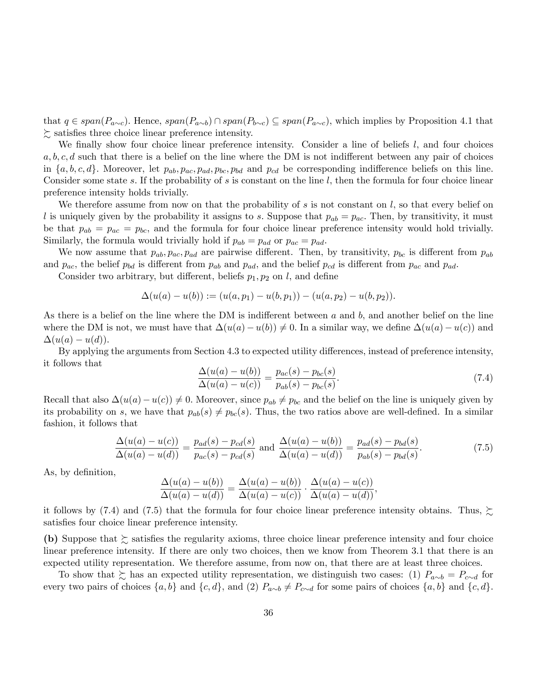that  $q \in span(P_{a\sim c})$ . Hence,  $span(P_{a\sim b}) \cap span(P_{b\sim c}) \subseteq span(P_{a\sim c})$ , which implies by Proposition 4.1 that  $\gtrsim$  satisfies three choice linear preference intensity.

We finally show four choice linear preference intensity. Consider a line of beliefs  $l$ , and four choices  $a, b, c, d$  such that there is a belief on the line where the DM is not indifferent between any pair of choices in  $\{a, b, c, d\}$ . Moreover, let  $p_{ab}, p_{ac}, p_{ad}, p_{bc}, p_{bd}$  and  $p_{cd}$  be corresponding indifference beliefs on this line. Consider some state s. If the probability of s is constant on the line  $l$ , then the formula for four choice linear preference intensity holds trivially.

We therefore assume from now on that the probability of  $s$  is not constant on  $l$ , so that every belief on l is uniquely given by the probability it assigns to s. Suppose that  $p_{ab} = p_{ac}$ . Then, by transitivity, it must be that  $p_{ab} = p_{ac} = p_{bc}$ , and the formula for four choice linear preference intensity would hold trivially. Similarly, the formula would trivially hold if  $p_{ab} = p_{ad}$  or  $p_{ac} = p_{ad}$ .

We now assume that  $p_{ab}, p_{ac}, p_{ad}$  are pairwise different. Then, by transitivity,  $p_{bc}$  is different from  $p_{ab}$ and  $p_{ac}$ , the belief  $p_{bd}$  is different from  $p_{ab}$  and  $p_{ad}$ , and the belief  $p_{cd}$  is different from  $p_{ac}$  and  $p_{ad}$ .

Consider two arbitrary, but different, beliefs  $p_1, p_2$  on l, and define

$$
\Delta(u(a) - u(b)) := (u(a, p_1) - u(b, p_1)) - (u(a, p_2) - u(b, p_2)).
$$

As there is a belief on the line where the DM is indifferent between  $a$  and  $b$ , and another belief on the line where the DM is not, we must have that  $\Delta(u(a) - u(b)) \neq 0$ . In a similar way, we define  $\Delta(u(a) - u(c))$  and  $\Delta(u(a) - u(d)).$ 

By applying the arguments from Section 4.3 to expected utility differences, instead of preference intensity, it follows that

$$
\frac{\Delta(u(a) - u(b))}{\Delta(u(a) - u(c))} = \frac{p_{ac}(s) - p_{bc}(s)}{p_{ab}(s) - p_{bc}(s)}.
$$
\n(7.4)

Recall that also  $\Delta(u(a)-u(c)) \neq 0$ . Moreover, since  $p_{ab} \neq p_{bc}$  and the belief on the line is uniquely given by its probability on s, we have that  $p_{ab}(s) \neq p_{bc}(s)$ . Thus, the two ratios above are well-defined. In a similar fashion, it follows that

$$
\frac{\Delta(u(a) - u(c))}{\Delta(u(a) - u(d))} = \frac{p_{ad}(s) - p_{cd}(s)}{p_{ac}(s) - p_{cd}(s)} \text{ and } \frac{\Delta(u(a) - u(b))}{\Delta(u(a) - u(d))} = \frac{p_{ad}(s) - p_{bd}(s)}{p_{ab}(s) - p_{bd}(s)}.
$$
(7.5)

As, by definition,

$$
\frac{\Delta(u(a)-u(b))}{\Delta(u(a)-u(d))} = \frac{\Delta(u(a)-u(b))}{\Delta(u(a)-u(c))} \cdot \frac{\Delta(u(a)-u(c))}{\Delta(u(a)-u(d))},
$$

it follows by (7.4) and (7.5) that the formula for four choice linear preference intensity obtains. Thus,  $\gtrsim$ satisfies four choice linear preference intensity.

(b) Suppose that  $\gtrsim$  satisfies the regularity axioms, three choice linear preference intensity and four choice linear preference intensity. If there are only two choices, then we know from Theorem 3.1 that there is an expected utility representation. We therefore assume, from now on, that there are at least three choices.

To show that  $\gtrsim$  has an expected utility representation, we distinguish two cases: (1)  $P_{a\sim b} = P_{c\sim d}$  for every two pairs of choices  $\{a, b\}$  and  $\{c, d\}$ , and (2)  $P_{a \sim b} \neq P_{c \sim d}$  for some pairs of choices  $\{a, b\}$  and  $\{c, d\}$ .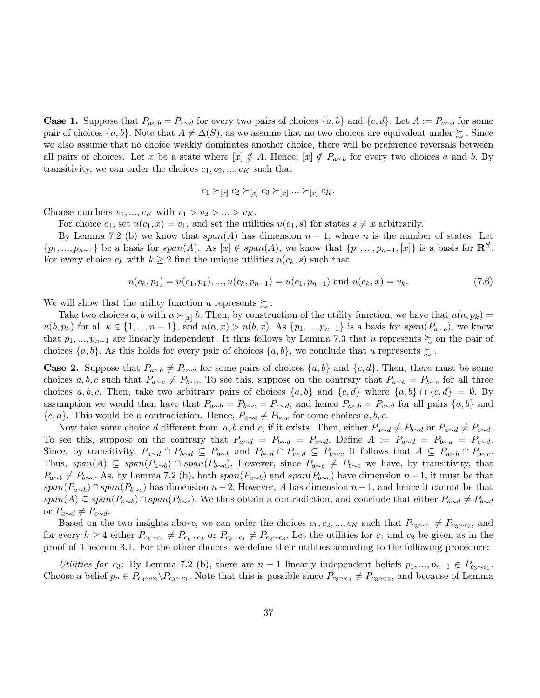**Case 1.** Suppose that  $P_{a\sim b} = P_{c\sim d}$  for every two pairs of choices  $\{a, b\}$  and  $\{c, d\}$ . Let  $A := P_{a\sim b}$  for some pair of choices  $\{a, b\}$ . Note that  $A \neq \Delta(S)$ , as we assume that no two choices are equivalent under  $\succeq$ . Since we also assume that no choice weakly dominates another choice, there will be preference reversals between all pairs of choices. Let x be a state where  $[x] \notin A$ . Hence,  $[x] \notin P_{a\sim b}$  for every two choices a and b. By transitivity, we can order the choices  $c_1, c_2, ..., c_K$  such that

$$
c_1 \succ_{[x]} c_2 \succ_{[x]} c_3 \succ_{[x]} \dots \succ_{[x]} c_K.
$$

Choose numbers  $v_1, ..., v_K$  with  $v_1 > v_2 > ... > v_K$ .

For choice  $c_1$ , set  $u(c_1,x) = v_1$ , and set the utilities  $u(c_1,s)$  for states  $s \neq x$  arbitrarily.

By Lemma 7.2 (b) we know that  $span(A)$  has dimension  $n-1$ , where n is the number of states. Let  $\{p_1, ..., p_{n-1}\}\$ be a basis for  $span(A)$ . As  $[x] \notin span(A)$ , we know that  $\{p_1, ..., p_{n-1}, [x]\}\$ is a basis for  $\mathbb{R}^S$ . For every choice  $c_k$  with  $k \geq 2$  find the unique utilities  $u(c_k, s)$  such that

$$
u(c_k, p_1) = u(c_1, p_1), \dots, u(c_k, p_{n-1}) = u(c_1, p_{n-1}) \text{ and } u(c_k, x) = v_k. \tag{7.6}
$$

We will show that the utility function u represents  $\succsim$ .

Take two choices a, b with  $a \succ_{[x]} b$ . Then, by construction of the utility function, we have that  $u(a, p_k) =$  $u(b, p_k)$  for all  $k \in \{1, ..., n-1\}$ , and  $u(a, x) > u(b, x)$ . As  $\{p_1, ..., p_{n-1}\}$  is a basis for  $span(P_{a\sim b})$ , we know that  $p_1,...,p_{n-1}$  are linearly independent. It thus follows by Lemma 7.3 that u represents  $\succeq$  on the pair of choices  $\{a, b\}$ . As this holds for every pair of choices  $\{a, b\}$ , we conclude that u represents  $\succeq$ .

**Case 2.** Suppose that  $P_{a\sim b} \neq P_{c\sim d}$  for some pairs of choices  $\{a, b\}$  and  $\{c, d\}$ . Then, there must be some choices a, b, c such that  $P_{a\sim c} \neq P_{b\sim c}$ . To see this, suppose on the contrary that  $P_{a\sim c} = P_{b\sim c}$  for all three choices a, b, c. Then, take two arbitrary pairs of choices  $\{a, b\}$  and  $\{c, d\}$  where  $\{a, b\} \cap \{c, d\} = \emptyset$ . By assumption we would then have that  $P_{a\sim b} = P_{b\sim c} = P_{c\sim d}$ , and hence  $P_{a\sim b} = P_{c\sim d}$  for all pairs  $\{a, b\}$  and  ${c, d}$ . This would be a contradiction. Hence,  $P_{a \sim c} \neq P_{b \sim c}$  for some choices  $a, b, c$ .

Now take some choice d different from a, b and c, if it exists. Then, either  $P_{a\sim d} \neq P_{b\sim d}$  or  $P_{a\sim d} \neq P_{c\sim d}$ . To see this, suppose on the contrary that  $P_{a\sim d} = P_{b\sim d} = P_{c\sim d}$ . Define  $A := P_{a\sim d} = P_{b\sim d} = P_{c\sim d}$ . Since, by transitivity,  $P_{a\sim d} \cap P_{b\sim d} \subseteq P_{a\sim b}$  and  $P_{b\sim d} \cap P_{c\sim d} \subseteq P_{b\sim c}$ , it follows that  $A \subseteq P_{a\sim b} \cap P_{b\sim c}$ . Thus, span(A)  $\subseteq$  span(P<sub>a $\sim$ b</sub>)  $\cap$  span(P<sub>b $\sim$ c</sub>). However, since  $P_{a\sim c} \neq P_{b\sim c}$  we have, by transitivity, that  $P_{a\sim b} \neq P_{b\sim c}$ . As, by Lemma 7.2 (b), both span( $P_{a\sim b}$ ) and span( $P_{b\sim c}$ ) have dimension  $n-1$ , it must be that  $span(P_{a\sim b})\cap span(P_{b\sim c})$  has dimension  $n-2$ . However, A has dimension  $n-1$ , and hence it cannot be that  $span(A) \subseteq span(P_{a\sim b})\cap span(P_{b\sim c})$ . We thus obtain a contradiction, and conclude that either  $P_{a\sim d} \neq P_{b\sim d}$ or  $P_{a\sim d} \neq P_{c\sim d}$ .

Based on the two insights above, we can order the choices  $c_1, c_2, ..., c_K$  such that  $P_{c_3 \sim c_1} \neq P_{c_3 \sim c_2}$ , and for every  $k \geq 4$  either  $P_{c_k \sim c_1} \neq P_{c_k \sim c_2}$  or  $P_{c_k \sim c_1} \neq P_{c_k \sim c_3}$ . Let the utilities for  $c_1$  and  $c_2$  be given as in the proof of Theorem 3.1. For the other choices, we define their utilities according to the following procedure:

Utilities for c<sub>3</sub>: By Lemma 7.2 (b), there are  $n-1$  linearly independent beliefs  $p_1, ..., p_{n-1} \in P_{c_3 \sim c_1}$ . Choose a belief  $p_n \in P_{c_3 \sim c_2} \backslash P_{c_3 \sim c_1}$ . Note that this is possible since  $P_{c_3 \sim c_1} \neq P_{c_3 \sim c_2}$ , and because of Lemma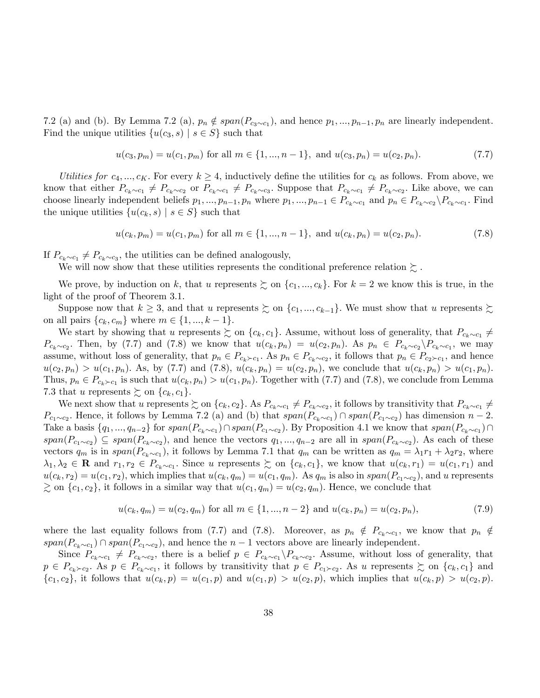7.2 (a) and (b). By Lemma 7.2 (a),  $p_n \notin span(P_{c_3 \sim c_1})$ , and hence  $p_1, ..., p_{n-1}, p_n$  are linearly independent. Find the unique utilities  $\{u(c_3, s) \mid s \in S\}$  such that

$$
u(c_3, p_m) = u(c_1, p_m) \text{ for all } m \in \{1, ..., n-1\}, \text{ and } u(c_3, p_n) = u(c_2, p_n). \tag{7.7}
$$

Utilities for  $c_4, ..., c_K$ . For every  $k \geq 4$ , inductively define the utilities for  $c_k$  as follows. From above, we know that either  $P_{c_k \sim c_1} \neq P_{c_k \sim c_2}$  or  $P_{c_k \sim c_1} \neq P_{c_k \sim c_3}$ . Suppose that  $P_{c_k \sim c_1} \neq P_{c_k \sim c_2}$ . Like above, we can choose linearly independent beliefs  $p_1, ..., p_{n-1}, p_n$  where  $p_1, ..., p_{n-1} \in P_{c_k \sim c_1}$  and  $p_n \in P_{c_k \sim c_2} \backslash P_{c_k \sim c_1}$ . Find the unique utilities  $\{u(c_k, s) \mid s \in S\}$  such that

$$
u(c_k, p_m) = u(c_1, p_m) \text{ for all } m \in \{1, ..., n-1\}, \text{ and } u(c_k, p_n) = u(c_2, p_n). \tag{7.8}
$$

If  $P_{c_k \sim c_1} \neq P_{c_k \sim c_3}$ , the utilities can be defined analogously,

We will now show that these utilities represents the conditional preference relation  $\succeq$ .

We prove, by induction on k, that u represents  $\gtrsim$  on  $\{c_1, ..., c_k\}$ . For  $k = 2$  we know this is true, in the light of the proof of Theorem 3.1.

Suppose now that  $k \geq 3$ , and that u represents  $\succsim$  on  $\{c_1, ..., c_{k-1}\}$ . We must show that u represents  $\succsim$ on all pairs  $\{c_k, c_m\}$  where  $m \in \{1, ..., k-1\}$ .

We start by showing that u represents  $\succsim$  on  $\{c_k, c_1\}$ . Assume, without loss of generality, that  $P_{c_k \sim c_1} \neq$  $P_{c_k\sim c_2}$ . Then, by (7.7) and (7.8) we know that  $u(c_k, p_n) = u(c_2, p_n)$ . As  $p_n \in P_{c_k\sim c_2} \backslash P_{c_k\sim c_1}$ , we may assume, without loss of generality, that  $p_n \in P_{c_k \succ c_1}$ . As  $p_n \in P_{c_k \sim c_2}$ , it follows that  $p_n \in P_{c_2 \succ c_1}$ , and hence  $u(c_2, p_n) > u(c_1, p_n)$ . As, by (7.7) and (7.8),  $u(c_k, p_n) = u(c_2, p_n)$ , we conclude that  $u(c_k, p_n) > u(c_1, p_n)$ . Thus,  $p_n \in P_{c_k \succ c_1}$  is such that  $u(c_k, p_n) > u(c_1, p_n)$ . Together with (7.7) and (7.8), we conclude from Lemma 7.3 that u represents  $\succsim$  on  $\{c_k, c_1\}$ .

We next show that u represents  $\succsim$  on  $\{c_k, c_2\}$ . As  $P_{c_k \sim c_1} \neq P_{c_k \sim c_2}$ , it follows by transitivity that  $P_{c_k \sim c_1} \neq$  $P_{c_1 \sim c_2}$ . Hence, it follows by Lemma 7.2 (a) and (b) that  $span(P_{c_k \sim c_1}) \cap span(P_{c_1 \sim c_2})$  has dimension  $n-2$ . Take a basis  $\{q_1, ..., q_{n-2}\}$  for  $span(P_{c_k \sim c_1}) \cap span(P_{c_1 \sim c_2})$ . By Proposition 4.1 we know that  $span(P_{c_k \sim c_1}) \cap span(P_{c_k \sim c_2})$  $span(P_{c_1\sim c_2})\subseteq span(P_{c_k\sim c_2})$ , and hence the vectors  $q_1,...,q_{n-2}$  are all in  $span(P_{c_k\sim c_2})$ . As each of these vectors  $q_m$  is in  $span(P_{c_k\sim c_1})$ , it follows by Lemma 7.1 that  $q_m$  can be written as  $q_m = \lambda_1 r_1 + \lambda_2 r_2$ , where  $\lambda_1, \lambda_2 \in \mathbf{R}$  and  $r_1, r_2 \in P_{c_k \sim c_1}$ . Since u represents  $\succsim$  on  $\{c_k, c_1\}$ , we know that  $u(c_k, r_1) = u(c_1, r_1)$  and  $u(c_k, r_2) = u(c_1, r_2)$ , which implies that  $u(c_k, q_m) = u(c_1, q_m)$ . As  $q_m$  is also in  $span(P_{c_1 \sim c_2})$ , and u represents  $\gtrsim$  on  $\{c_1, c_2\}$ , it follows in a similar way that  $u(c_1, q_m) = u(c_2, q_m)$ . Hence, we conclude that

$$
u(c_k, q_m) = u(c_2, q_m) \text{ for all } m \in \{1, ..., n-2\} \text{ and } u(c_k, p_n) = u(c_2, p_n),
$$
\n
$$
(7.9)
$$

where the last equality follows from (7.7) and (7.8). Moreover, as  $p_n \notin P_{c_k \sim c_1}$ , we know that  $p_n \notin$  $span(P_{c_k \sim c_1}) \cap span(P_{c_1 \sim c_2})$ , and hence the  $n-1$  vectors above are linearly independent.

Since  $P_{c_k \sim c_1} \neq P_{c_k \sim c_2}$ , there is a belief  $p \in P_{c_k \sim c_1} \backslash P_{c_k \sim c_2}$ . Assume, without loss of generality, that  $p \in P_{c_k \succ c_2}$ . As  $p \in P_{c_k \sim c_1}$ , it follows by transitivity that  $p \in P_{c_1 \succ c_2}$ . As u represents  $\succsim$  on  $\{c_k, c_1\}$  and  ${c_1,c_2}$ , it follows that  $u(c_k,p) = u(c_1,p)$  and  $u(c_1,p) > u(c_2,p)$ , which implies that  $u(c_k,p) > u(c_2,p)$ .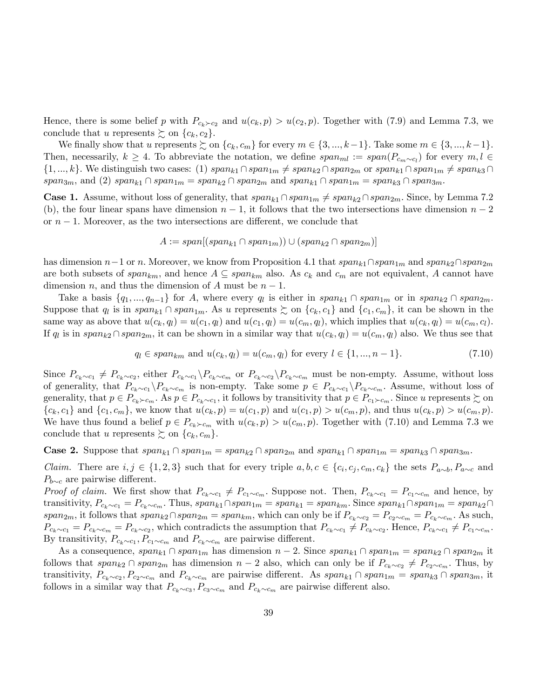Hence, there is some belief p with  $P_{c_k \succ c_2}$  and  $u(c_k, p) > u(c_2, p)$ . Together with (7.9) and Lemma 7.3, we conclude that u represents  $\succsim$  on  $\{c_k, c_2\}$ .

We finally show that u represents  $\succsim$  on  $\{c_k, c_m\}$  for every  $m \in \{3, ..., k-1\}$ . Take some  $m \in \{3, ..., k-1\}$ . Then, necessarily,  $k \geq 4$ . To abbreviate the notation, we define  $span_{ml} := span(P_{c_m \sim c_l})$  for every  $m, l \in$  $\{1, ..., k\}$ . We distinguish two cases: (1)  $span_{k1} \cap span_{m} \neq span_{k2} \cap span_{2m}$  or  $span_{k1} \cap span_{1m} \neq span_{k3} \cap$  $span_{3m}$ , and (2)  $span_{k1} \cap span_{1m} = span_{k2} \cap span_{2m}$  and  $span_{k1} \cap span_{1m} = span_{k3} \cap span_{3m}$ .

**Case 1.** Assume, without loss of generality, that  $span_{k1} \cap span_{1m} \neq span_{k2} \cap span_{2m}$ . Since, by Lemma 7.2 (b), the four linear spans have dimension  $n-1$ , it follows that the two intersections have dimension  $n-2$ or  $n-1$ . Moreover, as the two intersections are different, we conclude that

$$
A := span[(span_{k1} \cap span_{1m})) \cup (span_{k2} \cap span_{2m})]
$$

has dimension  $n-1$  or n. Moreover, we know from Proposition 4.1 that  $span_{k1}\cap span_{1m}$  and  $span_{k2}\cap span_{2m}$ are both subsets of  $span_{km}$ , and hence  $A \subseteq span_{km}$  also. As  $c_k$  and  $c_m$  are not equivalent, A cannot have dimension n, and thus the dimension of A must be  $n-1$ .

Take a basis  $\{q_1, ..., q_{n-1}\}$  for A, where every  $q_l$  is either in  $span_{k_1} \cap span_{1m}$  or in  $span_{k_2} \cap span_{2m}$ . Suppose that  $q_l$  is in  $span_{k_1} \cap span_{1m}$ . As u represents  $\succsim$  on  $\{c_k, c_1\}$  and  $\{c_1, c_m\}$ , it can be shown in the same way as above that  $u(c_k, q_l) = u(c_1, q_l)$  and  $u(c_1, q_l) = u(c_m, q_l)$ , which implies that  $u(c_k, q_l) = u(c_m, c_l)$ . If  $q_l$  is in  $span_{k_2} \cap span_{2m}$ , it can be shown in a similar way that  $u(c_k, q_l) = u(c_m, q_l)$  also. We thus see that

$$
q_l \in span_{km}
$$
 and  $u(c_k, q_l) = u(c_m, q_l)$  for every  $l \in \{1, ..., n-1\}.$  (7.10)

Since  $P_{c_k\sim c_1} \neq P_{c_k\sim c_2}$ , either  $P_{c_k\sim c_1} \backslash P_{c_k\sim c_m}$  or  $P_{c_k\sim c_2} \backslash P_{c_k\sim c_m}$  must be non-empty. Assume, without loss of generality, that  $P_{c_k\sim c_1} \backslash P_{c_k\sim c_m}$  is non-empty. Take some  $p \in P_{c_k\sim c_1} \backslash P_{c_k\sim c_m}$ . Assume, without loss of generality, that  $p \in P_{c_k \succ c_m}$ . As  $p \in P_{c_k \sim c_1}$ , it follows by transitivity that  $p \in P_{c_1 \succ c_m}$ . Since u represents  $\succsim$  on  ${c_k, c_1}$  and  ${c_1, c_m}$ , we know that  $u(c_k, p) = u(c_1, p)$  and  $u(c_1, p) > u(c_m, p)$ , and thus  $u(c_k, p) > u(c_m, p)$ . We have thus found a belief  $p \in P_{c_k \succ c_m}$  with  $u(c_k, p) > u(c_m, p)$ . Together with (7.10) and Lemma 7.3 we conclude that u represents  $\gtrsim$  on  $\{c_k, c_m\}$ .

**Case 2.** Suppose that  $span_{k1} \cap span_{1m} = span_{k2} \cap span_{2m}$  and  $span_{k1} \cap span_{1m} = span_{k3} \cap span_{3m}$ .

*Claim.* There are  $i, j \in \{1, 2, 3\}$  such that for every triple  $a, b, c \in \{c_i, c_j, c_m, c_k\}$  the sets  $P_{a \sim b}, P_{a \sim c}$  and  $P_{b \sim c}$  are pairwise different.

*Proof of claim.* We first show that  $P_{c_k \sim c_1} \neq P_{c_1 \sim c_m}$ . Suppose not. Then,  $P_{c_k \sim c_1} = P_{c_1 \sim c_m}$  and hence, by transitivity,  $P_{c_k\sim c_1} = P_{c_k\sim c_m}$ . Thus,  $span_{k1} \cap span_{1m} = span_{k1} = span_{km}$ . Since  $span_{k1} \cap span_{1m} = span_{k2} \cap$ span<sub>2m</sub>, it follows that span<sub>k2</sub>  $\cap$  span<sub>2m</sub> = span<sub>km</sub>, which can only be if  $P_{c_k\sim c_2} = P_{c_2\sim c_m} = P_{c_k\sim c_m}$ . As such,  $P_{c_k \sim c_1} = P_{c_k \sim c_m} = P_{c_k \sim c_2}$ , which contradicts the assumption that  $P_{c_k \sim c_1} \neq P_{c_k \sim c_2}$ . Hence,  $P_{c_k \sim c_1} \neq P_{c_1 \sim c_m}$ . By transitivity,  $P_{c_k \sim c_1}$ ,  $P_{c_1 \sim c_m}$  and  $P_{c_k \sim c_m}$  are pairwise different.

As a consequence,  $span_{k1} \cap span_{1m}$  has dimension  $n-2$ . Since  $span_{k1} \cap span_{1m} = span_{k2} \cap span_{2m}$  it follows that  $span_{k_2} \cap span_{2m}$  has dimension  $n-2$  also, which can only be if  $P_{c_k\sim c_2} \neq P_{c_2\sim c_m}$ . Thus, by transitivity,  $P_{c_k \sim c_2}, P_{c_2 \sim c_m}$  and  $P_{c_k \sim c_m}$  are pairwise different. As  $span_{k1} \cap span_{1m} = span_{k3} \cap span_{3m}$ , it follows in a similar way that  $P_{c_k \sim c_3}$ ,  $P_{c_3 \sim c_m}$  and  $P_{c_k \sim c_m}$  are pairwise different also.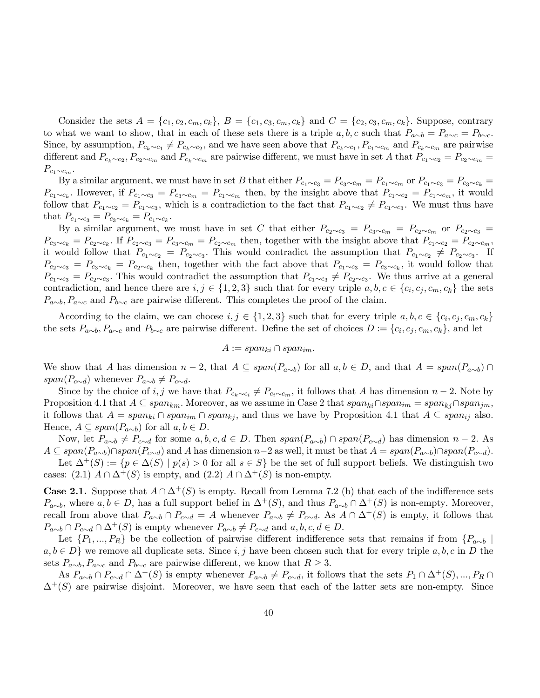Consider the sets  $A = \{c_1, c_2, c_m, c_k\}, B = \{c_1, c_3, c_m, c_k\}$  and  $C = \{c_2, c_3, c_m, c_k\}.$  Suppose, contrary to what we want to show, that in each of these sets there is a triple  $a, b, c$  such that  $P_{a\sim b} = P_{a\sim c} = P_{b\sim c}$ . Since, by assumption,  $P_{c_k\sim c_1} \neq P_{c_k\sim c_2}$ , and we have seen above that  $P_{c_k\sim c_1}$ ,  $P_{c_1\sim c_m}$  and  $P_{c_k\sim c_m}$  are pairwise different and  $P_{c_k\sim c_2}$ ,  $P_{c_2\sim c_m}$  and  $P_{c_k\sim c_m}$  are pairwise different, we must have in set A that  $P_{c_1\sim c_2} = P_{c_2\sim c_m}$  $P_{c_1\sim c_m}$ .

By a similar argument, we must have in set B that either  $P_{c_1\sim c_3} = P_{c_3\sim c_m} = P_{c_1\sim c_m}$  or  $P_{c_1\sim c_3} = P_{c_3\sim c_k}$  $P_{c_1\sim c_k}$ . However, if  $P_{c_1\sim c_3} = P_{c_3\sim c_m} = P_{c_1\sim c_m}$  then, by the insight above that  $P_{c_1\sim c_2} = P_{c_1\sim c_m}$ , it would follow that  $P_{c_1 \sim c_2} = P_{c_1 \sim c_3}$ , which is a contradiction to the fact that  $P_{c_1 \sim c_2} \neq P_{c_1 \sim c_3}$ . We must thus have that  $P_{c_1 \sim c_3} = P_{c_3 \sim c_k} = P_{c_1 \sim c_k}$ .

By a similar argument, we must have in set C that either  $P_{c_2\sim c_3} = P_{c_3\sim c_m} = P_{c_2\sim c_m}$  or  $P_{c_2\sim c_3}$  $P_{c_3\sim c_k} = P_{c_2\sim c_k}$ . If  $P_{c_2\sim c_3} = P_{c_3\sim c_m} = P_{c_2\sim c_m}$  then, together with the insight above that  $P_{c_1\sim c_2} = P_{c_2\sim c_m}$ , it would follow that  $P_{c_1 \sim c_2} = P_{c_2 \sim c_3}$ . This would contradict the assumption that  $P_{c_1 \sim c_2} \neq P_{c_2 \sim c_3}$ . If  $P_{c_2\sim c_3} = P_{c_3\sim c_k} = P_{c_2\sim c_k}$  then, together with the fact above that  $P_{c_1\sim c_3} = P_{c_3\sim c_k}$ , it would follow that  $P_{c_1\sim c_3} = P_{c_2\sim c_3}$ . This would contradict the assumption that  $P_{c_1\sim c_3} \neq P_{c_2\sim c_3}$ . We thus arrive at a general contradiction, and hence there are  $i, j \in \{1, 2, 3\}$  such that for every triple  $a, b, c \in \{c_i, c_j, c_m, c_k\}$  the sets  $P_{a\sim b}$ ,  $P_{a\sim c}$  and  $P_{b\sim c}$  are pairwise different. This completes the proof of the claim.

According to the claim, we can choose  $i, j \in \{1, 2, 3\}$  such that for every triple  $a, b, c \in \{c_i, c_j, c_m, c_k\}$ the sets  $P_{a\sim b}$ ,  $P_{a\sim c}$  and  $P_{b\sim c}$  are pairwise different. Define the set of choices  $D := \{c_i, c_j, c_m, c_k\}$ , and let

$$
A := span_{ki} \cap span_{im}.
$$

We show that A has dimension  $n-2$ , that  $A \subseteq span(P_{a\sim b})$  for all  $a, b \in D$ , and that  $A = span(P_{a\sim b}) \cap$ span( $P_{c\sim d}$ ) whenever  $P_{a\sim b} \neq P_{c\sim d}$ .

Since by the choice of i, j we have that  $P_{c_k \sim c_i} \neq P_{c_i \sim c_m}$ , it follows that A has dimension  $n-2$ . Note by Proposition 4.1 that  $A \subseteq span_{km}$ . Moreover, as we assume in Case 2 that  $span_{ki}\cap span_{im} = span_{ki}\cap span_{im}$ ; it follows that  $A = span_{ki} \cap span_{im} \cap span_{kj}$ , and thus we have by Proposition 4.1 that  $A \subseteq span_{ij}$  also. Hence,  $A \subseteq span(P_{a \sim b})$  for all  $a, b \in D$ .

Now, let  $P_{a\sim b} \neq P_{c\sim d}$  for some  $a, b, c, d \in D$ . Then  $span(P_{a\sim b}) \cap span(P_{c\sim d})$  has dimension  $n-2$ . As  $A \subseteq span(P_{a\sim b})\cap span(P_{c\sim d})$  and A has dimension  $n-2$  as well, it must be that  $A = span(P_{a\sim b})\cap span(P_{c\sim d}).$ 

Let  $\Delta^+(S) := \{p \in \Delta(S) \mid p(s) > 0 \text{ for all } s \in S\}$  be the set of full support beliefs. We distinguish two cases: (2.1)  $A \cap \Delta^+(S)$  is empty, and (2.2)  $A \cap \Delta^+(S)$  is non-empty.

**Case 2.1.** Suppose that  $A \cap \Delta^+(S)$  is empty. Recall from Lemma 7.2 (b) that each of the indifference sets  $P_{a\sim b}$ , where  $a, b \in D$ , has a full support belief in  $\Delta^+(S)$ , and thus  $P_{a\sim b} \cap \Delta^+(S)$  is non-empty. Moreover, recall from above that  $P_{a\sim b} \cap P_{c\sim d} = A$  whenever  $P_{a\sim b} \neq P_{c\sim d}$ . As  $A \cap \Delta^+(S)$  is empty, it follows that  $P_{a\sim b} \cap P_{c\sim d} \cap \Delta^+(S)$  is empty whenever  $P_{a\sim b} \neq P_{c\sim d}$  and  $a, b, c, d \in D$ .

Let  $\{P_1,...,P_R\}$  be the collection of pairwise different indifference sets that remains if from  $\{P_{a\sim b}\}$  $a, b \in D$  we remove all duplicate sets. Since i, j have been chosen such that for every triple  $a, b, c$  in D the sets  $P_{a\sim b}$ ,  $P_{a\sim c}$  and  $P_{b\sim c}$  are pairwise different, we know that  $R \geq 3$ .

As  $P_{a\sim b} \cap P_{c\sim d} \cap \Delta^+(S)$  is empty whenever  $P_{a\sim b} \neq P_{c\sim d}$ , it follows that the sets  $P_1 \cap \Delta^+(S), ..., P_R \cap$  $\Delta^{+}(S)$  are pairwise disjoint. Moreover, we have seen that each of the latter sets are non-empty. Since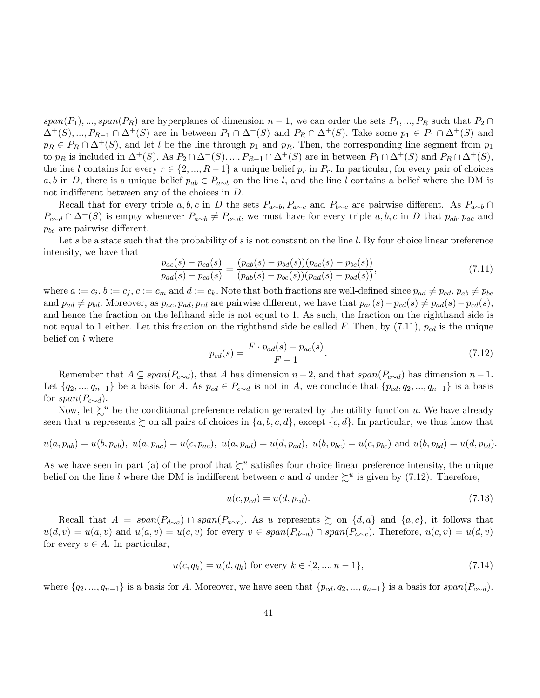$span(P_1), ..., span(P_R)$  are hyperplanes of dimension  $n-1$ , we can order the sets  $P_1, ..., P_R$  such that  $P_2 \cap$  $\Delta^+(S), ..., P_{R-1} \cap \Delta^+(S)$  are in between  $P_1 \cap \Delta^+(S)$  and  $P_R \cap \Delta^+(S)$ . Take some  $p_1 \in P_1 \cap \Delta^+(S)$  and  $p_R \in P_R \cap \Delta^+(S)$ , and let l be the line through  $p_1$  and  $p_R$ . Then, the corresponding line segment from  $p_1$ to  $p_R$  is included in  $\Delta^+(S)$ . As  $P_2 \cap \Delta^+(S)$ , ...,  $P_{R-1} \cap \Delta^+(S)$  are in between  $P_1 \cap \Delta^+(S)$  and  $P_R \cap \Delta^+(S)$ , the line l contains for every  $r \in \{2, ..., R-1\}$  a unique belief  $p_r$  in  $P_r$ . In particular, for every pair of choices a, b in D, there is a unique belief  $p_{ab} \in P_{a\sim b}$  on the line l; and the line l contains a belief where the DM is not indifferent between any of the choices in  $D$ .

Recall that for every triple a, b, c in D the sets  $P_{a\sim b}$ ,  $P_{a\sim c}$  and  $P_{b\sim c}$  are pairwise different. As  $P_{a\sim b} \cap$  $P_{c\sim d} \cap \Delta^+(S)$  is empty whenever  $P_{a\sim b} \neq P_{c\sim d}$ , we must have for every triple  $a, b, c$  in D that  $p_{ab}, p_{ac}$  and  $p_{bc}$  are pairwise different.

Let s be a state such that the probability of s is not constant on the line  $l$ . By four choice linear preference intensity, we have that

$$
\frac{p_{ac}(s) - p_{cd}(s)}{p_{ad}(s) - p_{cd}(s)} = \frac{(p_{ab}(s) - p_{bd}(s))(p_{ac}(s) - p_{bc}(s))}{(p_{ab}(s) - p_{bc}(s))(p_{ad}(s) - p_{bd}(s))},\tag{7.11}
$$

where  $a := c_i, b := c_j, c := c_m$  and  $d := c_k$ . Note that both fractions are well-defined since  $p_{ad} \neq p_{cd}, p_{ab} \neq p_{bc}$ and  $p_{ad} \neq p_{bd}$ . Moreover, as  $p_{ac}, p_{ad}, p_{cd}$  are pairwise different, we have that  $p_{ac}(s)-p_{cd}(s) \neq p_{ad}(s)-p_{cd}(s)$ ; and hence the fraction on the lefthand side is not equal to 1: As such, the fraction on the righthand side is not equal to 1 either. Let this fraction on the righthand side be called F. Then, by  $(7.11)$ ,  $p_{cd}$  is the unique belief on l where

$$
p_{cd}(s) = \frac{F \cdot p_{ad}(s) - p_{ac}(s)}{F - 1}.
$$
\n(7.12)

Remember that  $A \subseteq span(P_{c\sim d})$ , that A has dimension  $n-2$ , and that  $span(P_{c\sim d})$  has dimension  $n-1$ . Let  $\{q_2,..., q_{n-1}\}$  be a basis for A. As  $p_{cd} \in P_{c \sim d}$  is not in A, we conclude that  $\{p_{cd}, q_2,..., q_{n-1}\}$  is a basis for  $span(P_{c\sim d})$ .

Now, let  $\succeq^u$  be the conditional preference relation generated by the utility function u. We have already seen that u represents  $\succeq$  on all pairs of choices in  $\{a, b, c, d\}$ , except  $\{c, d\}$ . In particular, we thus know that

$$
u(a, p_{ab}) = u(b, p_{ab}), u(a, p_{ac}) = u(c, p_{ac}), u(a, p_{ad}) = u(d, p_{ad}), u(b, p_{bc}) = u(c, p_{bc})
$$
 and  $u(b, p_{bd}) = u(d, p_{bd}).$ 

As we have seen in part (a) of the proof that  $\zeta^u$  satisfies four choice linear preference intensity, the unique belief on the line l where the DM is indifferent between c and d under  $\zeta^u$  is given by (7.12). Therefore,

$$
u(c, p_{cd}) = u(d, p_{cd}).
$$
\n(7.13)

Recall that  $A = span(P_{d\sim a}) \cap span(P_{a\sim c})$ . As u represents  $\succeq$  on  $\{d, a\}$  and  $\{a, c\}$ , it follows that  $u(d, v) = u(a, v)$  and  $u(a, v) = u(c, v)$  for every  $v \in span(P_{d \sim a}) \cap span(P_{a \sim c})$ . Therefore,  $u(c, v) = u(d, v)$ for every  $v \in A$ . In particular,

$$
u(c, q_k) = u(d, q_k) \text{ for every } k \in \{2, ..., n-1\},\tag{7.14}
$$

where  $\{q_2, ..., q_{n-1}\}\$ is a basis for A. Moreover, we have seen that  $\{p_{cd}, q_2, ..., q_{n-1}\}\$ is a basis for  $span(P_{c\sim d})$ .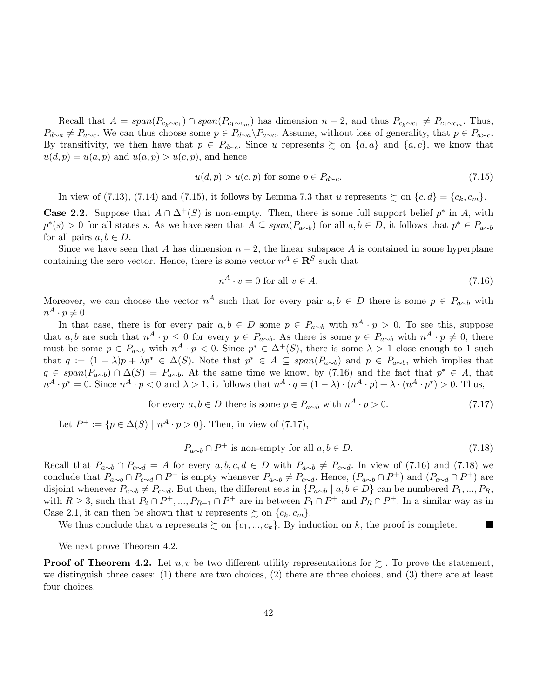Recall that  $A = span(P_{c_k \sim c_1}) \cap span(P_{c_1 \sim c_m})$  has dimension  $n - 2$ , and thus  $P_{c_k \sim c_1} \neq P_{c_1 \sim c_m}$ . Thus,  $P_{d\sim a} \neq P_{a\sim c}$ . We can thus choose some  $p \in P_{d\sim a} \backslash P_{a\sim c}$ . Assume, without loss of generality, that  $p \in P_{a\sim c}$ . By transitivity, we then have that  $p \in P_{d \succ c}$ . Since u represents  $\succsim$  on  $\{d, a\}$  and  $\{a, c\}$ , we know that  $u(d, p) = u(a, p)$  and  $u(a, p) > u(c, p)$ , and hence

$$
u(d, p) > u(c, p) \text{ for some } p \in P_{d \succ c}. \tag{7.15}
$$

In view of (7.13), (7.14) and (7.15), it follows by Lemma 7.3 that u represents  $\gtrsim$  on  $\{c,d\} = \{c_k,c_m\}$ .

**Case 2.2.** Suppose that  $A \cap \Delta^+(S)$  is non-empty. Then, there is some full support belief  $p^*$  in A, with  $p^*(s) > 0$  for all states s. As we have seen that  $A \subseteq span(P_{a \sim b})$  for all  $a, b \in D$ , it follows that  $p^* \in P_{a \sim b}$ for all pairs  $a, b \in D$ .

Since we have seen that A has dimension  $n-2$ , the linear subspace A is contained in some hyperplane containing the zero vector. Hence, there is some vector  $n^A \in \mathbb{R}^S$  such that

$$
n^A \cdot v = 0 \text{ for all } v \in A. \tag{7.16}
$$

Moreover, we can choose the vector  $n^A$  such that for every pair  $a, b \in D$  there is some  $p \in P_{a \sim b}$  with  $n^A \cdot p \neq 0.$ 

In that case, there is for every pair  $a, b \in D$  some  $p \in P_{a \sim b}$  with  $n^A \cdot p > 0$ . To see this, suppose that  $a, b$  are such that  $n^A \cdot p \leq 0$  for every  $p \in P_{a \sim b}$ . As there is some  $p \in P_{a \sim b}$  with  $n^A \cdot p \neq 0$ , there must be some  $p \in P_{a \sim b}$  with  $n^A \cdot p \le 0$ . Since  $p^* \in \Delta^+(S)$ , there is some  $\lambda > 1$  close enough to 1 such that  $q := (1 - \lambda)p + \lambda p^* \in \Delta(S)$ . Note that  $p^* \in A \subseteq span(P_{a \sim b})$  and  $p \in P_{a \sim b}$ , which implies that  $q \in span(P_{a\sim b}) \cap \Delta(S) = P_{a\sim b}$ . At the same time we know, by (7.16) and the fact that  $p^* \in A$ , that  $n^A \cdot p^* = 0$ . Since  $n^A \cdot p < 0$  and  $\lambda > 1$ , it follows that  $n^A \cdot q = (1 - \lambda) \cdot (n^A \cdot p) + \lambda \cdot (n^A \cdot p^*) > 0$ . Thus,

for every 
$$
a, b \in D
$$
 there is some  $p \in P_{a \sim b}$  with  $n^A \cdot p > 0$ . (7.17)

Let  $P^+ := \{ p \in \Delta(S) \mid n^A \cdot p > 0 \}.$  Then, in view of (7.17),

$$
P_{a \sim b} \cap P^+ \text{ is non-empty for all } a, b \in D. \tag{7.18}
$$

Recall that  $P_{a\sim b} \cap P_{c\sim d} = A$  for every  $a, b, c, d \in D$  with  $P_{a\sim b} \neq P_{c\sim d}$ . In view of (7.16) and (7.18) we conclude that  $P_{a\sim b} \cap P_{c\sim d} \cap P^+$  is empty whenever  $P_{a\sim b} \neq P_{c\sim d}$ . Hence,  $(P_{a\sim b} \cap P^+)$  and  $(P_{c\sim d} \cap P^+)$  are disjoint whenever  $P_{a\sim b} \neq P_{c\sim d}$ . But then, the different sets in  $\{P_{a\sim b} \mid a, b \in D\}$  can be numbered  $P_1, ..., P_R$ , with  $R \geq 3$ , such that  $P_2 \cap P^+$ , ...,  $P_{R-1} \cap P^+$  are in between  $P_1 \cap P^+$  and  $P_R \cap P^+$ . In a similar way as in Case 2.1, it can then be shown that u represents  $\succeq$  on  $\{c_k, c_m\}$ .

We thus conclude that u represents  $\succsim$  on  $\{c_1, ..., c_k\}$ . By induction on k, the proof is complete.

We next prove Theorem 4.2.

**Proof of Theorem 4.2.** Let u, v be two different utility representations for  $\geq$ . To prove the statement, we distinguish three cases: (1) there are two choices, (2) there are three choices, and (3) there are at least four choices.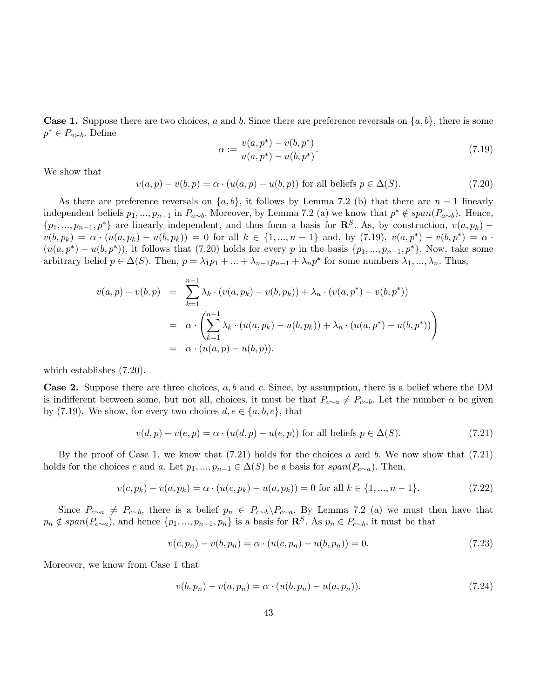**Case 1.** Suppose there are two choices, a and b. Since there are preference reversals on  $\{a, b\}$ , there is some  $p^* \in P_{a \succ b}$ . Define

$$
\alpha := \frac{v(a, p^*) - v(b, p^*)}{u(a, p^*) - u(b, p^*)}.
$$
\n(7.19)

We show that

$$
v(a,p) - v(b,p) = \alpha \cdot (u(a,p) - u(b,p))
$$
 for all beliefs  $p \in \Delta(S)$ . (7.20)

As there are preference reversals on  $\{a, b\}$ , it follows by Lemma 7.2 (b) that there are  $n-1$  linearly independent beliefs  $p_1, ..., p_{n-1}$  in  $P_{a \sim b}$ . Moreover, by Lemma 7.2 (a) we know that  $p^* \notin span(P_{a \sim b})$ . Hence,  $\{p_1, ..., p_{n-1}, p^*\}$  are linearly independent, and thus form a basis for  $\mathbb{R}^S$ . As, by construction,  $v(a, p_k)$  –  $v(b, p_k) = \alpha \cdot (u(a, p_k) - u(b, p_k)) = 0$  for all  $k \in \{1, ..., n-1\}$  and, by  $(7.19)$ ,  $v(a, p^*) - v(b, p^*) = \alpha$ .  $(u(a, p^*) - u(b, p^*))$ , it follows that (7.20) holds for every p in the basis  $\{p_1, ..., p_{n-1}, p^*\}$ . Now, take some arbitrary belief  $p \in \Delta(S)$ . Then,  $p = \lambda_1 p_1 + ... + \lambda_{n-1} p_{n-1} + \lambda_n p^*$  for some numbers  $\lambda_1, ..., \lambda_n$ . Thus,

$$
v(a,p) - v(b,p) = \sum_{k=1}^{n-1} \lambda_k \cdot (v(a,p_k) - v(b,p_k)) + \lambda_n \cdot (v(a,p^*) - v(b,p^*))
$$
  
=  $\alpha \cdot \left( \sum_{k=1}^{n-1} \lambda_k \cdot (u(a,p_k) - u(b,p_k)) + \lambda_n \cdot (u(a,p^*) - u(b,p^*)) \right)$   
=  $\alpha \cdot (u(a,p) - u(b,p)),$ 

which establishes (7.20).

**Case 2.** Suppose there are three choices,  $a, b$  and  $c$ . Since, by assumption, there is a belief where the DM is indifferent between some, but not all, choices, it must be that  $P_{c\sim a} \neq P_{c\sim b}$ . Let the number  $\alpha$  be given by (7.19). We show, for every two choices  $d, e \in \{a, b, c\}$ , that

$$
v(d, p) - v(e, p) = \alpha \cdot (u(d, p) - u(e, p))
$$
 for all beliefs  $p \in \Delta(S)$ . (7.21)

By the proof of Case 1, we know that  $(7.21)$  holds for the choices a and b. We now show that  $(7.21)$ holds for the choices c and a. Let  $p_1, ..., p_{n-1} \in \Delta(S)$  be a basis for  $span(P_{c \sim a})$ . Then,

$$
v(c, p_k) - v(a, p_k) = \alpha \cdot (u(c, p_k) - u(a, p_k)) = 0 \text{ for all } k \in \{1, ..., n-1\}. \tag{7.22}
$$

Since  $P_{c\sim a} \neq P_{c\sim b}$ , there is a belief  $p_n \in P_{c\sim b} \backslash P_{c\sim a}$ . By Lemma 7.2 (a) we must then have that  $p_n \notin span(P_{c\sim a})$ , and hence  $\{p_1,..., p_{n-1}, p_n\}$  is a basis for  $\mathbb{R}^S$ . As  $p_n \in P_{c\sim b}$ , it must be that

$$
v(c, p_n) - v(b, p_n) = \alpha \cdot (u(c, p_n) - u(b, p_n)) = 0.
$$
\n(7.23)

Moreover, we know from Case 1 that

$$
v(b, p_n) - v(a, p_n) = \alpha \cdot (u(b, p_n) - u(a, p_n)).
$$
\n(7.24)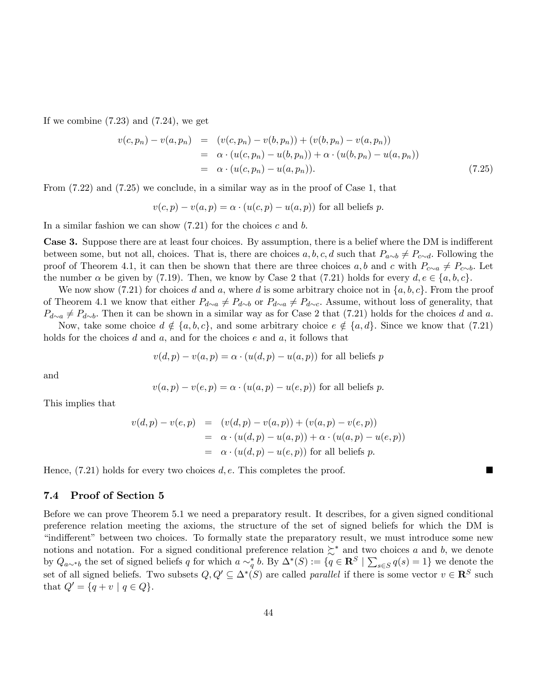If we combine  $(7.23)$  and  $(7.24)$ , we get

$$
v(c, p_n) - v(a, p_n) = (v(c, p_n) - v(b, p_n)) + (v(b, p_n) - v(a, p_n))
$$
  
=  $\alpha \cdot (u(c, p_n) - u(b, p_n)) + \alpha \cdot (u(b, p_n) - u(a, p_n))$   
=  $\alpha \cdot (u(c, p_n) - u(a, p_n)).$  (7.25)

From (7.22) and (7.25) we conclude, in a similar way as in the proof of Case 1, that

$$
v(c, p) - v(a, p) = \alpha \cdot (u(c, p) - u(a, p))
$$
 for all beliefs p.

In a similar fashion we can show  $(7.21)$  for the choices c and b.

Case 3. Suppose there are at least four choices. By assumption, there is a belief where the DM is indifferent between some, but not all, choices. That is, there are choices a, b, c, d such that  $P_{a\sim b} \neq P_{c\sim d}$ . Following the proof of Theorem 4.1, it can then be shown that there are three choices a, b and c with  $P_{c\sim a} \neq P_{c\sim b}$ . Let the number  $\alpha$  be given by (7.19). Then, we know by Case 2 that (7.21) holds for every  $d, e \in \{a, b, c\}$ .

We now show (7.21) for choices d and a, where d is some arbitrary choice not in  $\{a, b, c\}$ . From the proof of Theorem 4.1 we know that either  $P_{d\sim a} \neq P_{d\sim b}$  or  $P_{d\sim a} \neq P_{d\sim c}$ . Assume, without loss of generality, that  $P_{d\sim a} \neq P_{d\sim b}$ . Then it can be shown in a similar way as for Case 2 that (7.21) holds for the choices d and a.

Now, take some choice  $d \notin \{a, b, c\}$ , and some arbitrary choice  $e \notin \{a, d\}$ . Since we know that (7.21) holds for the choices  $d$  and  $a$ , and for the choices  $e$  and  $a$ , it follows that

$$
v(d, p) - v(a, p) = \alpha \cdot (u(d, p) - u(a, p))
$$
 for all beliefs p

and

$$
v(a, p) - v(e, p) = \alpha \cdot (u(a, p) - u(e, p))
$$
 for all beliefs p.

This implies that

$$
v(d,p) - v(e,p) = (v(d,p) - v(a,p)) + (v(a,p) - v(e,p))
$$
  
=  $\alpha \cdot (u(d,p) - u(a,p)) + \alpha \cdot (u(a,p) - u(e,p))$   
=  $\alpha \cdot (u(d,p) - u(e,p))$  for all beliefs p.

Hence,  $(7.21)$  holds for every two choices d, e. This completes the proof.

## 7.4 Proof of Section 5

Before we can prove Theorem 5.1 we need a preparatory result. It describes, for a given signed conditional preference relation meeting the axioms, the structure of the set of signed beliefs for which the DM is "indifferent" between two choices. To formally state the preparatory result, we must introduce some new notions and notation. For a signed conditional preference relation  $\succsim^*$  and two choices a and b, we denote by  $Q_{a\sim b}$  the set of signed beliefs q for which  $a \sim_b^* b$ . By  $\Delta^*(S) := \{q \in \mathbb{R}^S \mid \sum_{s \in S} q(s) = 1\}$  we denote the set of all signed beliefs. Two subsets  $Q, Q' \subseteq \Delta^*(S)$  are called *parallel* if there is some vector  $v \in \mathbb{R}^S$  such that  $Q' = \{q + v \mid q \in Q\}.$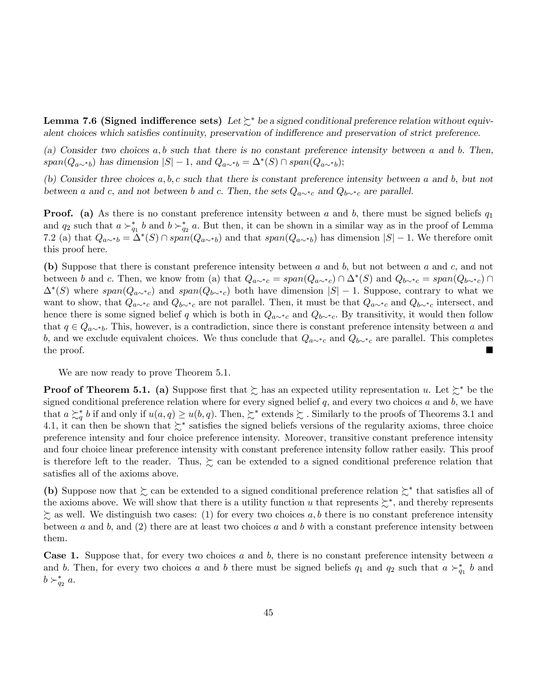**Lemma 7.6 (Signed indifference sets)** Let  $\succsim^*$  be a signed conditional preference relation without equivalent choices which satisfies continuity, preservation of indifference and preservation of strict preference.

(a) Consider two choices  $a, b$  such that there is no constant preference intensity between a and b. Then,  $span(Q_{a\sim b})$  has dimension  $|S| - 1$ , and  $Q_{a\sim b} = \Delta^*(S) \cap span(Q_{a\sim b});$ 

(b) Consider three choices  $a, b, c$  such that there is constant preference intensity between a and b, but not between a and c, and not between b and c. Then, the sets  $Q_{a\sim^*c}$  and  $Q_{b\sim^*c}$  are parallel.

**Proof.** (a) As there is no constant preference intensity between a and b, there must be signed beliefs  $q_1$ and  $q_2$  such that  $a \succ_{q_1}^* b$  and  $b \succ_{q_2}^* a$ . But then, it can be shown in a similar way as in the proof of Lemma 7.2 (a) that  $Q_{a\sim b} = \Delta^*(S) \cap span(Q_{a\sim b})$  and that  $span(Q_{a\sim b})$  has dimension  $|S|-1$ . We therefore omit this proof here.

(b) Suppose that there is constant preference intensity between a and b, but not between a and c, and not between b and c. Then, we know from (a) that  $Q_{a\sim^*c} = span(Q_{a\sim^*c}) \cap \Delta^*(S)$  and  $Q_{b\sim^*c} = span(Q_{b\sim^*c}) \cap \Delta^*(S)$  $\Delta^*(S)$  where  $span(Q_{a\sim^*c})$  and  $span(Q_{b\sim^*c})$  both have dimension  $|S|-1$ . Suppose, contrary to what we want to show, that  $Q_{a\sim^*c}$  and  $Q_{b\sim^*c}$  are not parallel. Then, it must be that  $Q_{a\sim^*c}$  and  $Q_{b\sim^*c}$  intersect, and hence there is some signed belief q which is both in  $Q_{a\sim^*c}$  and  $Q_{b\sim^*c}$ . By transitivity, it would then follow that  $q \in Q_{a\sim b}$ . This, however, is a contradiction, since there is constant preference intensity between a and b, and we exclude equivalent choices. We thus conclude that  $Q_{a\sim^*c}$  and  $Q_{b\sim^*c}$  are parallel. This completes the proof. the proof.

We are now ready to prove Theorem 5.1.

**Proof of Theorem 5.1.** (a) Suppose first that  $\succsim$  has an expected utility representation u. Let  $\succsim^*$  be the signed conditional preference relation where for every signed belief  $q$ , and every two choices  $a$  and  $b$ , we have that  $a \succsim_q^* b$  if and only if  $u(a,q) \ge u(b,q)$ . Then,  $\succsim^*$  extends  $\succsim$  . Similarly to the proofs of Theorems 3.1 and 4.1, it can then be shown that  $\succsim^*$  satisfies the signed beliefs versions of the regularity axioms, three choice preference intensity and four choice preference intensity. Moreover, transitive constant preference intensity and four choice linear preference intensity with constant preference intensity follow rather easily. This proof is therefore left to the reader. Thus,  $\succsim$  can be extended to a signed conditional preference relation that satisfies all of the axioms above.

(b) Suppose now that  $\succsim$  can be extended to a signed conditional preference relation  $\succsim^*$  that satisfies all of the axioms above. We will show that there is a utility function u that represents  $\succsim^*$ , and thereby represents  $\succeq$  as well. We distinguish two cases: (1) for every two choices a, b there is no constant preference intensity between a and b, and  $(2)$  there are at least two choices a and b with a constant preference intensity between them.

**Case 1.** Suppose that, for every two choices  $a$  and  $b$ , there is no constant preference intensity between  $a$ and b. Then, for every two choices a and b there must be signed beliefs  $q_1$  and  $q_2$  such that  $a \succ_{q_1}^* b$  and  $b\succ_{q_2}^* a.$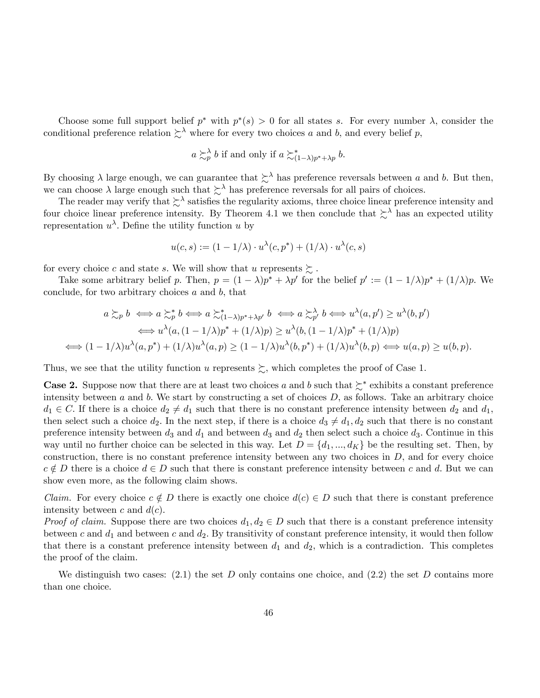Choose some full support belief  $p^*$  with  $p^*(s) > 0$  for all states s. For every number  $\lambda$ , consider the conditional preference relation  $\sum^{\lambda}$  where for every two choices a and b, and every belief p,

$$
a \succsim_p^{\lambda} b
$$
 if and only if  $a \succsim_{(1-\lambda)p^*+\lambda p}^* b$ .

By choosing  $\lambda$  large enough, we can guarantee that  $\sum^{\lambda}$  has preference reversals between a and b. But then, we can choose  $\lambda$  large enough such that  $\sum^{\lambda}$  has preference reversals for all pairs of choices.

The reader may verify that  $\succsim^{\lambda}$  satisfies the regularity axioms, three choice linear preference intensity and four choice linear preference intensity. By Theorem 4.1 we then conclude that  $\sum^{\lambda}$  has an expected utility representation  $u^{\lambda}$ . Define the utility function u by

$$
u(c,s) := (1 - 1/\lambda) \cdot u^{\lambda}(c, p^*) + (1/\lambda) \cdot u^{\lambda}(c, s)
$$

for every choice c and state s. We will show that u represents  $\succsim$ .

Take some arbitrary belief p. Then,  $p = (1 - \lambda)p^* + \lambda p'$  for the belief  $p' := (1 - 1/\lambda)p^* + (1/\lambda)p$ . We conclude, for two arbitrary choices  $a$  and  $b$ , that

$$
a \succsim_{p} b \iff a \succsim_{p}^{*} b \iff a \succsim_{(1-\lambda)p^{*}+\lambda p'} b \iff a \succsim_{p'} b \iff u^{\lambda}(a, p') \ge u^{\lambda}(b, p')
$$
  

$$
\iff u^{\lambda}(a, (1 - 1/\lambda)p^{*} + (1/\lambda)p) \ge u^{\lambda}(b, (1 - 1/\lambda)p^{*} + (1/\lambda)p)
$$
  

$$
\iff (1 - 1/\lambda)u^{\lambda}(a, p^{*}) + (1/\lambda)u^{\lambda}(a, p) \ge (1 - 1/\lambda)u^{\lambda}(b, p^{*}) + (1/\lambda)u^{\lambda}(b, p) \iff u(a, p) \ge u(b, p).
$$

Thus, we see that the utility function u represents  $\sum$ , which completes the proof of Case 1.

**Case 2.** Suppose now that there are at least two choices a and b such that  $\geq^*$  exhibits a constant preference intensity between  $a$  and  $b$ . We start by constructing a set of choices  $D$ , as follows. Take an arbitrary choice  $d_1 \in C$ . If there is a choice  $d_2 \neq d_1$  such that there is no constant preference intensity between  $d_2$  and  $d_1$ , then select such a choice  $d_2$ . In the next step, if there is a choice  $d_3 \neq d_1, d_2$  such that there is no constant preference intensity between  $d_3$  and  $d_1$  and between  $d_3$  and  $d_2$  then select such a choice  $d_3$ . Continue in this way until no further choice can be selected in this way. Let  $D = \{d_1, ..., d_K\}$  be the resulting set. Then, by construction, there is no constant preference intensity between any two choices in  $D$ , and for every choice  $c \notin D$  there is a choice  $d \in D$  such that there is constant preference intensity between c and d. But we can show even more, as the following claim shows.

*Claim.* For every choice  $c \notin D$  there is exactly one choice  $d(c) \in D$  such that there is constant preference intensity between c and  $d(c)$ .

*Proof of claim.* Suppose there are two choices  $d_1, d_2 \in D$  such that there is a constant preference intensity between c and  $d_1$  and between c and  $d_2$ . By transitivity of constant preference intensity, it would then follow that there is a constant preference intensity between  $d_1$  and  $d_2$ , which is a contradiction. This completes the proof of the claim.

We distinguish two cases:  $(2.1)$  the set D only contains one choice, and  $(2.2)$  the set D contains more than one choice.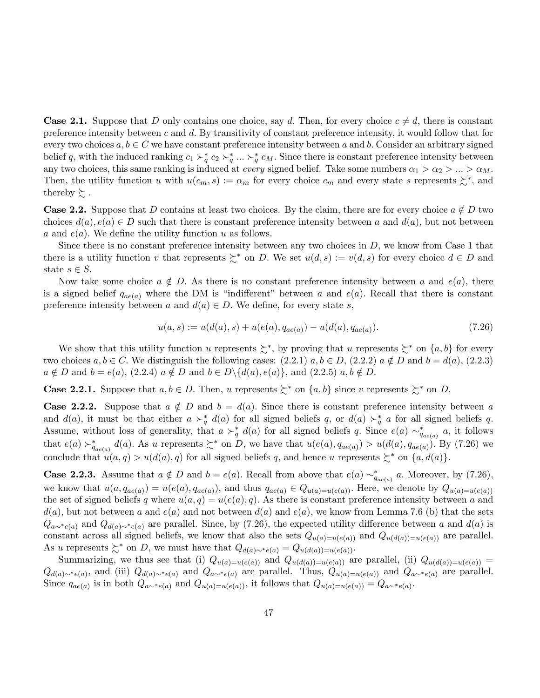**Case 2.1.** Suppose that D only contains one choice, say d. Then, for every choice  $c \neq d$ , there is constant preference intensity between c and d. By transitivity of constant preference intensity, it would follow that for every two choices  $a, b \in C$  we have constant preference intensity between a and b. Consider an arbitrary signed belief q, with the induced ranking  $c_1 \succ_q^* c_2 \succ_q^* ... \succ_q^* c_M$ . Since there is constant preference intensity between any two choices, this same ranking is induced at *every* signed belief. Take some numbers  $\alpha_1 > \alpha_2 > ... > \alpha_M$ . Then, the utility function u with  $u(c_m, s) := \alpha_m$  for every choice  $c_m$  and every state s represents  $\succsim^*$ , and thereby  $\succsim$ .

**Case 2.2.** Suppose that D contains at least two choices. By the claim, there are for every choice  $a \notin D$  two choices  $d(a), e(a) \in D$  such that there is constant preference intensity between a and  $d(a)$ , but not between a and  $e(a)$ . We define the utility function u as follows.

Since there is no constant preference intensity between any two choices in  $D$ , we know from Case 1 that there is a utility function v that represents  $\succeq^*$  on D. We set  $u(d, s) := v(d, s)$  for every choice  $d \in D$  and state  $s \in S$ .

Now take some choice  $a \notin D$ . As there is no constant preference intensity between a and  $e(a)$ , there is a signed belief  $q_{ae(a)}$  where the DM is "indifferent" between a and  $e(a)$ . Recall that there is constant preference intensity between a and  $d(a) \in D$ . We define, for every state s,

$$
u(a,s) := u(d(a),s) + u(e(a),q_{ae(a)}) - u(d(a),q_{ae(a)}).
$$
\n(7.26)

We show that this utility function u represents  $\succsim^*$ , by proving that u represents  $\succsim^*$  on  $\{a, b\}$  for every two choices  $a, b \in C$ . We distinguish the following cases:  $(2.2.1)$   $a, b \in D$ ,  $(2.2.2)$   $a \notin D$  and  $b = d(a)$ ,  $(2.2.3)$  $a \notin D$  and  $b = e(a)$ ,  $(2.2.4)$   $a \notin D$  and  $b \in D \setminus \{d(a), e(a)\}\)$ , and  $(2.2.5)$   $a, b \notin D$ .

**Case 2.2.1.** Suppose that  $a, b \in D$ . Then, u represents  $\succeq^*$  on  $\{a, b\}$  since v represents  $\succeq^*$  on D.

**Case 2.2.2.** Suppose that  $a \notin D$  and  $b = d(a)$ . Since there is constant preference intensity between a and  $d(a)$ , it must be that either  $a \succ_q^* d(a)$  for all signed beliefs q, or  $d(a) \succ_q^* a$  for all signed beliefs q. Assume, without loss of generality, that  $a \succ_q^* d(a)$  for all signed beliefs q. Since  $e(a) \sim_{q_{ae(a)}}^* a$ , it follows that  $e(a) \succ_{q_{ae(a)}}^* d(a)$ . As u represents  $\succsim^*$  on D, we have that  $u(e(a), q_{ae(a)}) > u(d(a), q_{ae(a)})$ . By (7.26) we conclude that  $u(a,q) > u(d(a), q)$  for all signed beliefs q, and hence u represents  $\succeq^*$  on  $\{a, d(a)\}.$ 

**Case 2.2.3.** Assume that  $a \notin D$  and  $b = e(a)$ . Recall from above that  $e(a) \sim_{q_{ae(a)}}^* a$ . Moreover, by (7.26), we know that  $u(a, q_{ae(a)}) = u(e(a), q_{ae(a)})$ , and thus  $q_{ae(a)} \in Q_{u(a)=u(e(a))}$ . Here, we denote by  $Q_{u(a)=u(e(a))}$ the set of signed beliefs q where  $u(a,q) = u(e(a), q)$ . As there is constant preference intensity between a and  $d(a)$ , but not between a and  $e(a)$  and not between  $d(a)$  and  $e(a)$ , we know from Lemma 7.6 (b) that the sets  $Q_{a\sim^*(a)}$  and  $Q_{d(a)\sim^*(a)}$  are parallel. Since, by (7.26), the expected utility difference between a and  $d(a)$  is constant across all signed beliefs, we know that also the sets  $Q_{u(a)=u(e(a))}$  and  $Q_{u(d(a))=u(e(a))}$  are parallel. As u represents  $\succeq^*$  on D, we must have that  $Q_{d(a)\sim^*e(a)} = Q_{u(d(a))=u(e(a))}$ .

Summarizing, we thus see that (i)  $Q_{u(a)=u(e(a))}$  and  $Q_{u(d(a))=u(e(a))}$  are parallel, (ii)  $Q_{u(d(a))=u(e(a))}$  $Q_{d(a)\sim^*e(a)}$ , and (iii)  $Q_{d(a)\sim^*e(a)}$  and  $Q_{a\sim^*e(a)}$  are parallel. Thus,  $Q_{u(a)=u(e(a))}$  and  $Q_{a\sim^*e(a)}$  are parallel. Since  $q_{ae(a)}$  is in both  $Q_{a\sim^*e(a)}$  and  $Q_{u(a)=u(e(a))}$ , it follows that  $Q_{u(a)=u(e(a))} = Q_{a\sim^*e(a)}$ .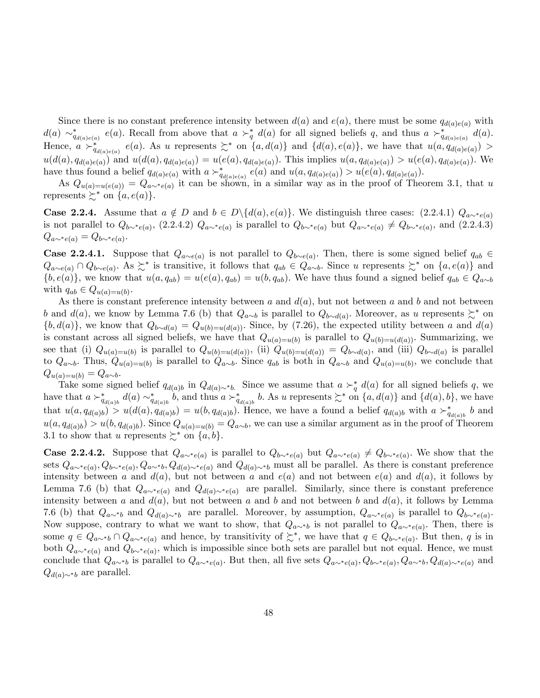Since there is no constant preference intensity between  $d(a)$  and  $e(a)$ , there must be some  $q_{d(a)e(a)}$  with  $d(a) \sim_{q_{d(a)e(a)}}^* e(a)$ . Recall from above that  $a \succ_q^* d(a)$  for all signed beliefs q, and thus  $a \succ_{q_{d(a)e(a)}}^* d(a)$ . Hence,  $a \succ_{q_{d(a)e(a)}}^* e(a)$ . As u represents  $\succsim^*$  on  $\{a,d(a)\}\$  and  $\{d(a),e(a)\}\$ , we have that  $u(a,q_{d(a)e(a)})$  $u(d(a), q_{d(a)e(a)})$  and  $u(d(a), q_{d(a)e(a)}) = u(e(a), q_{d(a)e(a)})$ . This implies  $u(a, q_{d(a)e(a)}) > u(e(a), q_{d(a)e(a)})$ . We have thus found a belief  $q_{d(a)e(a)}$  with  $a \succ_{q_{d(a)e(a)}}^* e(a)$  and  $u(a,q_{d(a)e(a)}) > u(e(a),q_{d(a)e(a)})$ .

As  $Q_{u(a)=u(e(a))} = Q_{a\sim^*e(a)}$  it can be shown, in a similar way as in the proof of Theorem 3.1, that u represents  $\succeq^*$  on  $\{a, e(a)\}.$ 

**Case 2.2.4.** Assume that  $a \notin D$  and  $b \in D \setminus \{d(a), e(a)\}\$ . We distinguish three cases: (2.2.4.1)  $Q_{a \sim^* e(a)}$ is not parallel to  $Q_{b\sim^*e(a)}$ , (2.2.4.2)  $Q_{a\sim^*e(a)}$  is parallel to  $Q_{b\sim^*e(a)}$  but  $Q_{a\sim^*e(a)} \neq Q_{b\sim^*e(a)}$ , and (2.2.4.3)  $Q_{a\sim^* e(a)} = Q_{b\sim^* e(a)}$ 

**Case 2.2.4.1.** Suppose that  $Q_{a\sim e(a)}$  is not parallel to  $Q_{b\sim e(a)}$ . Then, there is some signed belief  $q_{ab} \in \mathbb{R}$  $Q_{a\sim e(a)} \cap Q_{b\sim e(a)}$ . As  $\succsim^*$  is transitive, it follows that  $q_{ab} \in Q_{a\sim b}$ . Since u represents  $\succsim^*$  on  $\{a, e(a)\}$  and  $\{b, e(a)\}\$ , we know that  $u(a, q_{ab}) = u(e(a), q_{ab}) = u(b, q_{ab})$ . We have thus found a signed belief  $q_{ab} \in Q_{a \sim b}$ with  $q_{ab} \in Q_{u(a)=u(b)}$ .

As there is constant preference intensity between a and  $d(a)$ , but not between a and b and not between b and  $d(a)$ , we know by Lemma 7.6 (b) that  $Q_{a\sim b}$  is parallel to  $Q_{b\sim d(a)}$ . Moreover, as u represents  $\succsim^*$  on  $\{b, d(a)\}\$ , we know that  $Q_{b\sim d(a)} = Q_{u(b)=u(d(a))}\$ . Since, by (7.26), the expected utility between a and  $d(a)$ is constant across all signed beliefs, we have that  $Q_{u(a)=u(b)}$  is parallel to  $Q_{u(b)=u(d(a))}$ . Summarizing, we see that (i)  $Q_{u(a)=u(b)}$  is parallel to  $Q_{u(b)=u(d(a))}$ , (ii)  $Q_{u(b)=u(d(a))} = Q_{b\sim d(a)}$ , and (iii)  $Q_{b\sim d(a)}$  is parallel to  $Q_{a\sim b}$ . Thus,  $Q_{u(a)=u(b)}$  is parallel to  $Q_{a\sim b}$ . Since  $q_{ab}$  is both in  $Q_{a\sim b}$  and  $Q_{u(a)=u(b)}$ , we conclude that  $Q_{u(a)=u(b)} = Q_{a\sim b}.$ 

Take some signed belief  $q_{d(a)b}$  in  $Q_{d(a)\sim b}$ . Since we assume that  $a \succ_q^* d(a)$  for all signed beliefs q, we have that  $a \succ_{q_{d(a)b}}^* d(a) \sim_{q_{d(a)b}}^* b$ , and thus  $a \succ_{q_{d(a)b}}^* b$ . As u represents  $\succsim^*$  on  $\{a, d(a)\}$  and  $\{d(a), b\}$ , we have that  $u(a, q_{d(a)b}) > u(d(a), q_{d(a)b}) = u(b, q_{d(a)b})$ . Hence, we have a found a belief  $q_{d(a)b}$  with  $a \succ_{q_{d(a)b}}^* b$  and  $u(a, q_{d(a)b}) > u(b, q_{d(a)b})$ . Since  $Q_{u(a)=u(b)} = Q_{a\sim b}$ , we can use a similar argument as in the proof of Theorem 3.1 to show that u represents  $\succsim^*$  on  $\{a, b\}.$ 

**Case 2.2.4.2.** Suppose that  $Q_{a\sim^*e(a)}$  is parallel to  $Q_{b\sim^*e(a)}$  but  $Q_{a\sim^*e(a)} \neq Q_{b\sim^*e(a)}$ . We show that the sets  $Q_{a\sim^*e(a)}, Q_{b\sim^*e(a)}, Q_{a\sim^*b}, Q_{d(a)\sim^*e(a)}$  and  $Q_{d(a)\sim^*b}$  must all be parallel. As there is constant preference intensity between a and  $d(a)$ , but not between a and  $e(a)$  and not between  $e(a)$  and  $d(a)$ , it follows by Lemma 7.6 (b) that  $Q_{a\sim^*(a)}$  and  $Q_{d(a)\sim^*(a)}$  are parallel. Similarly, since there is constant preference intensity between a and  $d(a)$ , but not between a and b and not between b and  $d(a)$ , it follows by Lemma 7.6 (b) that  $Q_{a\sim b}$  and  $Q_{d(a)\sim b}$  are parallel. Moreover, by assumption,  $Q_{a\sim b}e_{(a)}$  is parallel to  $Q_{b\sim b}e_{(a)}$ . Now suppose, contrary to what we want to show, that  $Q_{a\sim b}$  is not parallel to  $Q_{a\sim b}e_{(a)}$ . Then, there is some  $q \in Q_{a\sim b} \cap Q_{a\sim^*e(a)}$  and hence, by transitivity of  $\succsim^*$ , we have that  $q \in Q_{b\sim^*e(a)}$ . But then, q is in both  $Q_{a\sim^*(e(a))}$  and  $Q_{b\sim^*(e(a))}$ , which is impossible since both sets are parallel but not equal. Hence, we must conclude that  $Q_{a\sim b}$  is parallel to  $Q_{a\sim^*e(a)}$ . But then, all five sets  $Q_{a\sim^*e(a)}, Q_{b\sim^*e(a)}, Q_{a\sim^*b}, Q_{d(a)\sim^*e(a)}$  and  $Q_{d(a)\sim b}$  are parallel.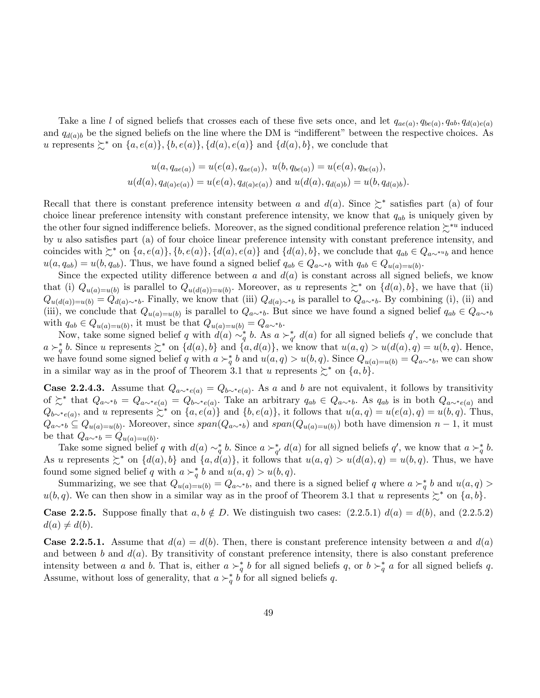Take a line l of signed beliefs that crosses each of these five sets once, and let  $q_{ae(a)}, q_{be(a)}, q_{ab}, q_{d(a)e(a)}$ and  $q_{d(a)b}$  be the signed beliefs on the line where the DM is "indifferent" between the respective choices. As u represents  $\succsim^*$  on  $\{a, e(a)\}, \{b, e(a)\}, \{d(a), e(a)\}\$  and  $\{d(a), b\}$ , we conclude that

$$
u(a, q_{ae(a)}) = u(e(a), q_{ae(a)}), \ u(b, q_{be(a)}) = u(e(a), q_{be(a)}),
$$
  

$$
u(d(a), q_{d(a)e(a)}) = u(e(a), q_{d(a)e(a)})
$$
 and 
$$
u(d(a), q_{d(a)b}) = u(b, q_{d(a)b}).
$$

Recall that there is constant preference intensity between a and  $d(a)$ . Since  $\succeq^*$  satisfies part (a) of four choice linear preference intensity with constant preference intensity, we know that  $q_{ab}$  is uniquely given by the other four signed indifference beliefs. Moreover, as the signed conditional preference relation  $\succcurlyeq^{*u}$  induced by u also satisfies part (a) of four choice linear preference intensity with constant preference intensity, and coincides with  $\zeta^*$  on  $\{a, e(a)\}, \{b, e(a)\}, \{d(a), e(a)\}\$  and  $\{d(a), b\}$ , we conclude that  $q_{ab} \in Q_{a\sim^{*a}b}$  and hence  $u(a,q_{ab}) = u(b,q_{ab})$ . Thus, we have found a signed belief  $q_{ab} \in Q_{a \sim^* b}$  with  $q_{ab} \in Q_{u(a)=u(b)}$ .

Since the expected utility difference between a and  $d(a)$  is constant across all signed beliefs, we know that (i)  $Q_{u(a)=u(b)}$  is parallel to  $Q_{u(d(a))=u(b)}$ . Moreover, as u represents  $\succeq^*$  on  $\{d(a),b\}$ , we have that (ii)  $Q_{u(d(a))=u(b)} = Q_{d(a)\sim b}$ . Finally, we know that (iii)  $Q_{d(a)\sim b}$  is parallel to  $Q_{a\sim b}$ . By combining (i), (ii) and (iii), we conclude that  $Q_{u(a)=u(b)}$  is parallel to  $Q_{a\sim b}$ . But since we have found a signed belief  $q_{ab} \in Q_{a\sim b}$ with  $q_{ab} \in Q_{u(a)=u(b)}$ , it must be that  $Q_{u(a)=u(b)} = Q_{a \sim^* b}$ .

Now, take some signed belief q with  $d(a) \sim_q^* b$ . As  $a \succ_{q'}^* d(a)$  for all signed beliefs q', we conclude that  $a \succ_q^* b$ . Since u represents  $\succsim^*$  on  $\{d(a), b\}$  and  $\{a, d(a)\}$ , we know that  $u(a,q) > u(d(a), q) = u(b,q)$ . Hence, we have found some signed belief q with  $a \succ_q^* b$  and  $u(a,q) > u(b,q)$ . Since  $Q_{u(a)=u(b)} = Q_{a \sim^* b}$ , we can show in a similar way as in the proof of Theorem 3.1 that u represents  $\succsim^*$  on  $\{a, b\}.$ 

**Case 2.2.4.3.** Assume that  $Q_{a\sim^*e(a)} = Q_{b\sim^*e(a)}$ . As a and b are not equivalent, it follows by transitivity of  $\succcurlyeq^*$  that  $Q_{a\sim^*b} = Q_{a\sim^*e(a)} = Q_{b\sim^*e(a)}$ . Take an arbitrary  $q_{ab} \in Q_{a\sim^*b}$ . As  $q_{ab}$  is in both  $Q_{a\sim^*e(a)}$  and  $Q_{b\sim^*(a)}$ , and u represents  $\succsim^*$  on  $\{a, e(a)\}$  and  $\{b, e(a)\}$ , it follows that  $u(a,q) = u(e(a), q) = u(b,q)$ . Thus,  $Q_{a\sim b} \subseteq Q_{u(a)=u(b)}$ . Moreover, since  $span(Q_{a\sim b})$  and  $span(Q_{u(a)=u(b)})$  both have dimension  $n-1$ , it must be that  $Q_{a\sim b} = Q_{u(a)=u(b)}$ .

Take some signed belief q with  $d(a) \sim_q^* b$ . Since  $a \succ_{q'}^* d(a)$  for all signed beliefs q', we know that  $a \succ_q^* b$ . As u represents  $\succsim^*$  on  $\{d(a), b\}$  and  $\{a, d(a)\}$ , it follows that  $u(a,q) > u(d(a), q) = u(b,q)$ . Thus, we have found some signed belief q with  $a \succ_q^* b$  and  $u(a,q) > u(b,q)$ .

Summarizing, we see that  $Q_{u(a)=u(b)} = Q_{a\sim b}$ , and there is a signed belief q where  $a \succ_q^* b$  and  $u(a,q)$  $u(b,q)$ . We can then show in a similar way as in the proof of Theorem 3.1 that u represents  $\succsim^*$  on  $\{a,b\}$ .

**Case 2.2.5.** Suppose finally that  $a, b \notin D$ . We distinguish two cases:  $(2.2.5.1) d(a) = d(b)$ , and  $(2.2.5.2)$  $d(a) \neq d(b).$ 

**Case 2.2.5.1.** Assume that  $d(a) = d(b)$ . Then, there is constant preference intensity between a and  $d(a)$ and between b and  $d(a)$ . By transitivity of constant preference intensity, there is also constant preference intensity between a and b. That is, either  $a \succ_q^* b$  for all signed beliefs q, or  $b \succ_q^* a$  for all signed beliefs q. Assume, without loss of generality, that  $a \succ_q^* b$  for all signed beliefs q.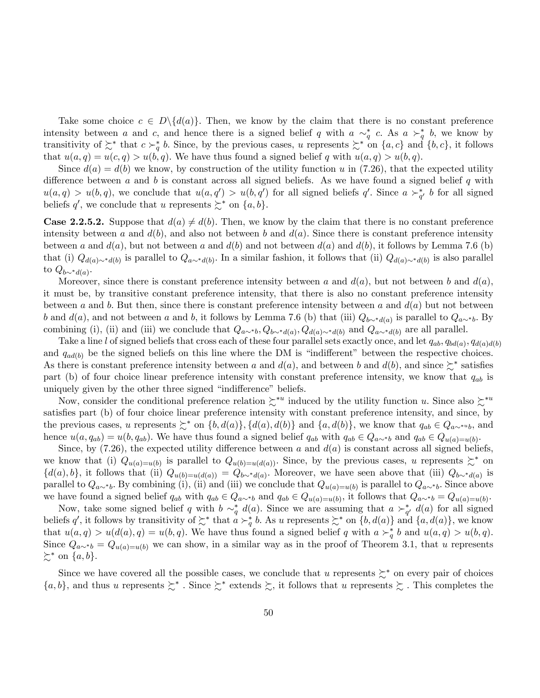Take some choice  $c \in D\setminus \{d(a)\}\.$  Then, we know by the claim that there is no constant preference intensity between a and c, and hence there is a signed belief q with  $a \sim_q^* c$ . As  $a \succ_q^* b$ , we know by transitivity of  $\lesssim^*$  that  $c \succ_q^* b$ . Since, by the previous cases, u represents  $\lesssim^*$  on  $\{a, c\}$  and  $\{b, c\}$ , it follows that  $u(a,q) = u(c,q) > u(b,q)$ . We have thus found a signed belief q with  $u(a,q) > u(b,q)$ .

Since  $d(a) = d(b)$  we know, by construction of the utility function u in (7.26), that the expected utility difference between a and b is constant across all signed beliefs. As we have found a signed belief q with  $u(a,q) > u(b,q)$ , we conclude that  $u(a,q') > u(b,q')$  for all signed beliefs q'. Since  $a \succ_{q'}^* b$  for all signed beliefs q', we conclude that u represents  $\succsim^*$  on  $\{a, b\}$ .

**Case 2.2.5.2.** Suppose that  $d(a) \neq d(b)$ . Then, we know by the claim that there is no constant preference intensity between a and  $d(b)$ , and also not between b and  $d(a)$ . Since there is constant preference intensity between a and  $d(a)$ , but not between a and  $d(b)$  and not between  $d(a)$  and  $d(b)$ , it follows by Lemma 7.6 (b) that (i)  $Q_{d(a)\sim d(b)}$  is parallel to  $Q_{a\sim d(b)}$ . In a similar fashion, it follows that (ii)  $Q_{d(a)\sim d(b)}$  is also parallel to  $Q_{b\sim^*d(a)}$ .

Moreover, since there is constant preference intensity between a and  $d(a)$ , but not between b and  $d(a)$ . it must be, by transitive constant preference intensity, that there is also no constant preference intensity between a and b. But then, since there is constant preference intensity between a and  $d(a)$  but not between b and  $d(a)$ , and not between a and b, it follows by Lemma 7.6 (b) that (iii)  $Q_{b\sim *d(a)}$  is parallel to  $Q_{a\sim *b}$ . By combining (i), (ii) and (iii) we conclude that  $Q_{a\sim b}$ ,  $Q_{b\sim d(a)}$ ,  $Q_{d(a)\sim d(b)}$  and  $Q_{a\sim d(b)}$  are all parallel.

Take a line l of signed beliefs that cross each of these four parallel sets exactly once, and let  $q_{ab}$ ,  $q_{bd(a)}$ ,  $q_{d(a)d(b)}$ and  $q_{ad(b)}$  be the signed beliefs on this line where the DM is "indifferent" between the respective choices. As there is constant preference intensity between a and  $d(a)$ , and between b and  $d(b)$ , and since  $\succsim^*$  satisfies part (b) of four choice linear preference intensity with constant preference intensity, we know that  $q_{ab}$  is uniquely given by the other three signed "indifference" beliefs.

Now, consider the conditional preference relation  $\zeta^{*u}$  induced by the utility function u. Since also  $\zeta^{*u}$ satisfies part (b) of four choice linear preference intensity with constant preference intensity, and since, by the previous cases, u represents  $\succsim^*$  on  $\{b, d(a)\}, \{d(a), d(b)\}\$  and  $\{a, d(b)\}\$ , we know that  $q_{ab} \in Q_{a\sim^* b}$ , and hence  $u(a, q_{ab}) = u(b, q_{ab})$ . We have thus found a signed belief  $q_{ab}$  with  $q_{ab} \in Q_{a \sim^* b}$  and  $q_{ab} \in Q_{u(a)=u(b)}$ .

Since, by  $(7.26)$ , the expected utility difference between a and  $d(a)$  is constant across all signed beliefs, we know that (i)  $Q_{u(a)=u(b)}$  is parallel to  $Q_{u(b)=u(d(a))}$ . Since, by the previous cases, u represents  $\succsim^*$  on  $\{d(a), b\}$ , it follows that (ii)  $Q_{u(b)=u(d(a))} = Q_{b\sim *d(a)}$ . Moreover, we have seen above that (iii)  $Q_{b\sim *d(a)}$  is parallel to  $Q_{a\sim b}$ . By combining (i), (ii) and (iii) we conclude that  $Q_{u(a)=u(b)}$  is parallel to  $Q_{a\sim b}$ . Since above we have found a signed belief  $q_{ab}$  with  $q_{ab} \in Q_{a \sim^* b}$  and  $q_{ab} \in Q_{u(a)=u(b)}$ , it follows that  $Q_{a \sim^* b} = Q_{u(a)=u(b)}$ .

Now, take some signed belief q with  $b \sim_q^* d(a)$ . Since we are assuming that  $a \succ_{q'}^* d(a)$  for all signed beliefs q', it follows by transitivity of  $\succsim^*$  that  $a \succ_q^* b$ . As u represents  $\succsim^*$  on  $\{b, d(a)\}$  and  $\{a, d(a)\}$ , we know that  $u(a,q) > u(d(a), q) = u(b,q)$ . We have thus found a signed belief q with  $a \succ_q^* b$  and  $u(a,q) > u(b,q)$ . Since  $Q_{a\sim b} = Q_{u(a)=u(b)}$  we can show, in a similar way as in the proof of Theorem 3.1, that u represents  $\succsim^*$  on  $\{a, b\}.$ 

Since we have covered all the possible cases, we conclude that u represents  $\zeta^*$  on every pair of choices  $\{a, b\}$ , and thus u represents  $\succsim^*$ . Since  $\succsim^*$  extends  $\succsim$ , it follows that u represents  $\succsim$ . This completes the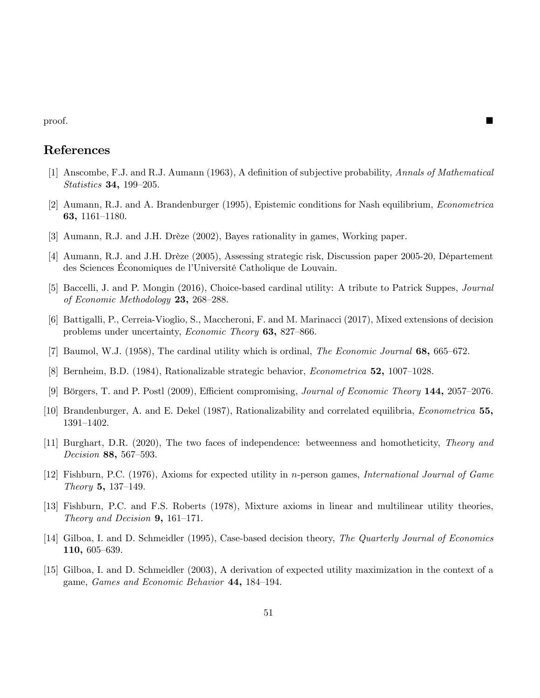proof.

# References

- [1] Anscombe, F.J. and R.J. Aumann (1963), A definition of subjective probability, Annals of Mathematical Statistics 34, 199–205.
- [2] Aumann, R.J. and A. Brandenburger (1995), Epistemic conditions for Nash equilibrium, Econometrica 63, 1161–1180.
- [3] Aumann, R.J. and J.H. Drèze (2002), Bayes rationality in games, Working paper.
- [4] Aumann, R.J. and J.H. Drèze (2005), Assessing strategic risk, Discussion paper 2005-20, Département des Sciences Économiques de l'Université Catholique de Louvain.
- [5] Baccelli, J. and P. Mongin (2016), Choice-based cardinal utility: A tribute to Patrick Suppes, Journal of Economic Methodology  $23, 268-288$ .
- [6] Battigalli, P., Cerreia-Vioglio, S., Maccheroni, F. and M. Marinacci (2017), Mixed extensions of decision problems under uncertainty, *Economic Theory* 63, 827–866.
- [7] Baumol, W.J. (1958), The cardinal utility which is ordinal, The Economic Journal  $68$ ,  $665-672$ .
- [8] Bernheim, B.D.  $(1984)$ , Rationalizable strategic behavior, *Econometrica* 52, 1007–1028.
- [9] Börgers, T. and P. Postl  $(2009)$ , Efficient compromising, *Journal of Economic Theory* 144, 2057–2076.
- [10] Brandenburger, A. and E. Dekel (1987), Rationalizability and correlated equilibria, Econometrica 55, 1391-1402.
- [11] Burghart, D.R. (2020), The two faces of independence: betweenness and homotheticity, Theory and Decision 88, 567-593.
- [12] Fishburn, P.C. (1976), Axioms for expected utility in n-person games, International Journal of Game Theory 5, 137–149.
- [13] Fishburn, P.C. and F.S. Roberts (1978), Mixture axioms in linear and multilinear utility theories, Theory and Decision  $9, 161-171$ .
- [14] Gilboa, I. and D. Schmeidler (1995), Case-based decision theory, The Quarterly Journal of Economics 110, 605–639.
- [15] Gilboa, I. and D. Schmeidler (2003), A derivation of expected utility maximization in the context of a game, Games and Economic Behavior 44, 184-194.